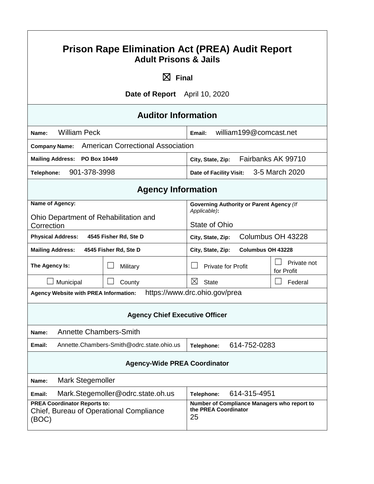| <b>Prison Rape Elimination Act (PREA) Audit Report</b><br><b>Adult Prisons &amp; Jails</b>                                                                           |                                                                 |                                                                           |                           |  |  |
|----------------------------------------------------------------------------------------------------------------------------------------------------------------------|-----------------------------------------------------------------|---------------------------------------------------------------------------|---------------------------|--|--|
|                                                                                                                                                                      | $\boxtimes$ Final                                               |                                                                           |                           |  |  |
|                                                                                                                                                                      | Date of Report April 10, 2020                                   |                                                                           |                           |  |  |
|                                                                                                                                                                      | <b>Auditor Information</b>                                      |                                                                           |                           |  |  |
| <b>William Peck</b><br>Name:                                                                                                                                         |                                                                 | william199@comcast.net<br>Email:                                          |                           |  |  |
| <b>Company Name:</b>                                                                                                                                                 | <b>American Correctional Association</b>                        |                                                                           |                           |  |  |
| <b>Mailing Address:</b>                                                                                                                                              | Fairbanks AK 99710<br>PO Box 10449<br>City, State, Zip:         |                                                                           |                           |  |  |
| 901-378-3998<br>Telephone:                                                                                                                                           |                                                                 | <b>Date of Facility Visit:</b>                                            | 3-5 March 2020            |  |  |
| <b>Agency Information</b>                                                                                                                                            |                                                                 |                                                                           |                           |  |  |
| Name of Agency:<br>Ohio Department of Rehabilitation and<br>Correction                                                                                               |                                                                 | Governing Authority or Parent Agency (If<br>Applicable):<br>State of Ohio |                           |  |  |
| Columbus OH 43228<br><b>Physical Address:</b><br>4545 Fisher Rd, Ste D<br>City, State, Zip:                                                                          |                                                                 |                                                                           |                           |  |  |
| <b>Columbus OH 43228</b><br><b>Mailing Address:</b><br>4545 Fisher Rd, Ste D<br>City, State, Zip:                                                                    |                                                                 |                                                                           |                           |  |  |
| The Agency Is:                                                                                                                                                       | Military                                                        | <b>Private for Profit</b>                                                 | Private not<br>for Profit |  |  |
| Municipal                                                                                                                                                            | County                                                          | $\boxtimes$<br><b>State</b>                                               | Federal                   |  |  |
| https://www.drc.ohio.gov/prea<br><b>Agency Website with PREA Information:</b>                                                                                        |                                                                 |                                                                           |                           |  |  |
| <b>Agency Chief Executive Officer</b>                                                                                                                                |                                                                 |                                                                           |                           |  |  |
| <b>Annette Chambers-Smith</b><br>Name:                                                                                                                               |                                                                 |                                                                           |                           |  |  |
| 614-752-0283<br>Annette.Chambers-Smith@odrc.state.ohio.us<br>Email:<br>Telephone:                                                                                    |                                                                 |                                                                           |                           |  |  |
| <b>Agency-Wide PREA Coordinator</b>                                                                                                                                  |                                                                 |                                                                           |                           |  |  |
| Mark Stegemoller<br>Name:                                                                                                                                            |                                                                 |                                                                           |                           |  |  |
| Email:                                                                                                                                                               | Mark.Stegemoller@odrc.state.oh.us<br>614-315-4951<br>Telephone: |                                                                           |                           |  |  |
| <b>PREA Coordinator Reports to:</b><br>Number of Compliance Managers who report to<br>the PREA Coordinator<br>Chief, Bureau of Operational Compliance<br>25<br>(BOC) |                                                                 |                                                                           |                           |  |  |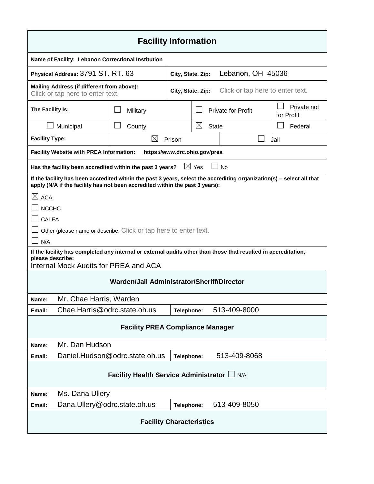| <b>Facility Information</b>                                                                                                                                                                           |                                |            |                               |                           |                           |  |
|-------------------------------------------------------------------------------------------------------------------------------------------------------------------------------------------------------|--------------------------------|------------|-------------------------------|---------------------------|---------------------------|--|
| Name of Facility: Lebanon Correctional Institution                                                                                                                                                    |                                |            |                               |                           |                           |  |
| Physical Address: 3791 ST. RT. 63<br>Lebanon, OH 45036<br>City, State, Zip:                                                                                                                           |                                |            |                               |                           |                           |  |
| Mailing Address (if different from above):<br>Click or tap here to enter text.<br>City, State, Zip:<br>Click or tap here to enter text.                                                               |                                |            |                               |                           |                           |  |
| The Facility Is:                                                                                                                                                                                      | Military                       |            |                               | <b>Private for Profit</b> | Private not<br>for Profit |  |
| Municipal                                                                                                                                                                                             | County                         |            | $\boxtimes$<br><b>State</b>   |                           | Federal                   |  |
| <b>Facility Type:</b>                                                                                                                                                                                 | $\boxtimes$                    | Prison     |                               |                           | Jail                      |  |
| <b>Facility Website with PREA Information:</b>                                                                                                                                                        |                                |            | https://www.drc.ohio.gov/prea |                           |                           |  |
| Has the facility been accredited within the past 3 years?                                                                                                                                             |                                |            | $\boxtimes$ Yes               | <b>No</b>                 |                           |  |
| If the facility has been accredited within the past 3 years, select the accrediting organization(s) - select all that<br>apply (N/A if the facility has not been accredited within the past 3 years): |                                |            |                               |                           |                           |  |
| $\boxtimes$ ACA                                                                                                                                                                                       |                                |            |                               |                           |                           |  |
| <b>NCCHC</b>                                                                                                                                                                                          |                                |            |                               |                           |                           |  |
| CALEA                                                                                                                                                                                                 |                                |            |                               |                           |                           |  |
| Other (please name or describe: Click or tap here to enter text.                                                                                                                                      |                                |            |                               |                           |                           |  |
| N/A                                                                                                                                                                                                   |                                |            |                               |                           |                           |  |
| If the facility has completed any internal or external audits other than those that resulted in accreditation,<br>please describe:                                                                    |                                |            |                               |                           |                           |  |
| Internal Mock Audits for PREA and ACA                                                                                                                                                                 |                                |            |                               |                           |                           |  |
| Warden/Jail Administrator/Sheriff/Director                                                                                                                                                            |                                |            |                               |                           |                           |  |
| Mr. Chae Harris, Warden<br>Name:                                                                                                                                                                      |                                |            |                               |                           |                           |  |
| Email:                                                                                                                                                                                                | Chae.Harris@odrc.state.oh.us   | Telephone: |                               | 513-409-8000              |                           |  |
| <b>Facility PREA Compliance Manager</b>                                                                                                                                                               |                                |            |                               |                           |                           |  |
| Mr. Dan Hudson<br>Name:                                                                                                                                                                               |                                |            |                               |                           |                           |  |
| Email:                                                                                                                                                                                                | Daniel.Hudson@odrc.state.oh.us | Telephone: |                               | 513-409-8068              |                           |  |
| Facility Health Service Administrator $\Box$ N/A                                                                                                                                                      |                                |            |                               |                           |                           |  |
| Ms. Dana Ullery<br>Name:                                                                                                                                                                              |                                |            |                               |                           |                           |  |
| Email:                                                                                                                                                                                                | Dana.Ullery@odrc.state.oh.us   | Telephone: |                               | 513-409-8050              |                           |  |
| <b>Facility Characteristics</b>                                                                                                                                                                       |                                |            |                               |                           |                           |  |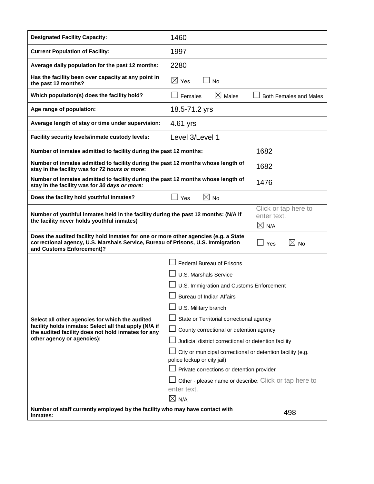| <b>Designated Facility Capacity:</b>                                                                                                                                                                | 1460                                                                                                                                                                                                                                                                                                                                                                                                                                                                                                                                                 |                                                     |  |
|-----------------------------------------------------------------------------------------------------------------------------------------------------------------------------------------------------|------------------------------------------------------------------------------------------------------------------------------------------------------------------------------------------------------------------------------------------------------------------------------------------------------------------------------------------------------------------------------------------------------------------------------------------------------------------------------------------------------------------------------------------------------|-----------------------------------------------------|--|
| <b>Current Population of Facility:</b>                                                                                                                                                              | 1997                                                                                                                                                                                                                                                                                                                                                                                                                                                                                                                                                 |                                                     |  |
| Average daily population for the past 12 months:                                                                                                                                                    | 2280                                                                                                                                                                                                                                                                                                                                                                                                                                                                                                                                                 |                                                     |  |
| Has the facility been over capacity at any point in<br>the past 12 months?                                                                                                                          | $\boxtimes$ Yes<br><b>No</b>                                                                                                                                                                                                                                                                                                                                                                                                                                                                                                                         |                                                     |  |
| Which population(s) does the facility hold?                                                                                                                                                         | $\boxtimes$ Males<br>Females<br><b>Both Females and Males</b>                                                                                                                                                                                                                                                                                                                                                                                                                                                                                        |                                                     |  |
| Age range of population:                                                                                                                                                                            | 18.5-71.2 yrs                                                                                                                                                                                                                                                                                                                                                                                                                                                                                                                                        |                                                     |  |
| Average length of stay or time under supervision:                                                                                                                                                   | 4.61 yrs                                                                                                                                                                                                                                                                                                                                                                                                                                                                                                                                             |                                                     |  |
| Facility security levels/inmate custody levels:                                                                                                                                                     | Level 3/Level 1                                                                                                                                                                                                                                                                                                                                                                                                                                                                                                                                      |                                                     |  |
| Number of inmates admitted to facility during the past 12 months:                                                                                                                                   |                                                                                                                                                                                                                                                                                                                                                                                                                                                                                                                                                      | 1682                                                |  |
| Number of inmates admitted to facility during the past 12 months whose length of<br>stay in the facility was for 72 hours or more:                                                                  | 1682                                                                                                                                                                                                                                                                                                                                                                                                                                                                                                                                                 |                                                     |  |
| Number of inmates admitted to facility during the past 12 months whose length of<br>stay in the facility was for 30 days or more:                                                                   | 1476                                                                                                                                                                                                                                                                                                                                                                                                                                                                                                                                                 |                                                     |  |
| $\boxtimes$ No<br>Does the facility hold youthful inmates?<br>$\square$ Yes                                                                                                                         |                                                                                                                                                                                                                                                                                                                                                                                                                                                                                                                                                      |                                                     |  |
| Number of youthful inmates held in the facility during the past 12 months: (N/A if<br>the facility never holds youthful inmates)                                                                    |                                                                                                                                                                                                                                                                                                                                                                                                                                                                                                                                                      | Click or tap here to<br>enter text.<br>$\times$ N/A |  |
| Does the audited facility hold inmates for one or more other agencies (e.g. a State<br>correctional agency, U.S. Marshals Service, Bureau of Prisons, U.S. Immigration<br>and Customs Enforcement)? | $\boxtimes$ No<br>Yes                                                                                                                                                                                                                                                                                                                                                                                                                                                                                                                                |                                                     |  |
| Select all other agencies for which the audited<br>facility holds inmates: Select all that apply (N/A if<br>the audited facility does not hold inmates for any<br>other agency or agencies):        | Federal Bureau of Prisons<br><b>U.S. Marshals Service</b><br>U.S. Immigration and Customs Enforcement<br><b>Bureau of Indian Affairs</b><br>U.S. Military branch<br>State or Territorial correctional agency<br>County correctional or detention agency<br>Judicial district correctional or detention facility<br>City or municipal correctional or detention facility (e.g.<br>police lockup or city jail)<br>Private corrections or detention provider<br>Other - please name or describe: Click or tap here to<br>enter text.<br>$\boxtimes$ N/A |                                                     |  |
| Number of staff currently employed by the facility who may have contact with<br>inmates:                                                                                                            | 498                                                                                                                                                                                                                                                                                                                                                                                                                                                                                                                                                  |                                                     |  |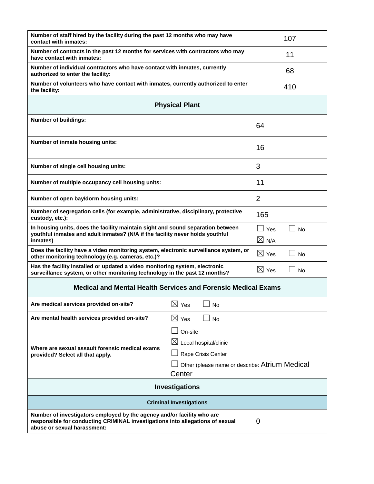| Number of staff hired by the facility during the past 12 months who may have<br>contact with inmates:                                                                                                                 | 107                                        |                |  |  |
|-----------------------------------------------------------------------------------------------------------------------------------------------------------------------------------------------------------------------|--------------------------------------------|----------------|--|--|
| Number of contracts in the past 12 months for services with contractors who may<br>have contact with inmates:                                                                                                         | 11                                         |                |  |  |
| Number of individual contractors who have contact with inmates, currently<br>authorized to enter the facility:                                                                                                        |                                            | 68             |  |  |
| Number of volunteers who have contact with inmates, currently authorized to enter<br>the facility:                                                                                                                    |                                            | 410            |  |  |
| <b>Physical Plant</b>                                                                                                                                                                                                 |                                            |                |  |  |
| <b>Number of buildings:</b>                                                                                                                                                                                           | 64                                         |                |  |  |
| Number of inmate housing units:                                                                                                                                                                                       | 16                                         |                |  |  |
| Number of single cell housing units:                                                                                                                                                                                  |                                            | 3              |  |  |
| Number of multiple occupancy cell housing units:                                                                                                                                                                      |                                            | 11             |  |  |
| Number of open bay/dorm housing units:                                                                                                                                                                                |                                            | $\overline{2}$ |  |  |
| Number of segregation cells (for example, administrative, disciplinary, protective<br>custody, etc.):                                                                                                                 | 165                                        |                |  |  |
| In housing units, does the facility maintain sight and sound separation between<br>youthful inmates and adult inmates? (N/A if the facility never holds youthful<br>inmates)                                          | $\Box$ Yes<br><b>No</b><br>$\boxtimes$ N/A |                |  |  |
| Does the facility have a video monitoring system, electronic surveillance system, or<br>other monitoring technology (e.g. cameras, etc.)?                                                                             | $\boxtimes$ Yes<br>No                      |                |  |  |
| Has the facility installed or updated a video monitoring system, electronic<br>surveillance system, or other monitoring technology in the past 12 months?                                                             | $\boxtimes$ Yes<br><b>No</b>               |                |  |  |
| <b>Medical and Mental Health Services and Forensic Medical Exams</b>                                                                                                                                                  |                                            |                |  |  |
| $\boxtimes$ Yes<br>$\Box$ No<br>Are medical services provided on-site?                                                                                                                                                |                                            |                |  |  |
| Are mental health services provided on-site?                                                                                                                                                                          | $\boxtimes$ Yes<br><b>No</b>               |                |  |  |
| On-site<br>$\boxtimes$ Local hospital/clinic<br>Where are sexual assault forensic medical exams<br>Rape Crisis Center<br>provided? Select all that apply.<br>Other (please name or describe: Atrium Medical<br>Center |                                            |                |  |  |
| <b>Investigations</b>                                                                                                                                                                                                 |                                            |                |  |  |
| <b>Criminal Investigations</b>                                                                                                                                                                                        |                                            |                |  |  |
| Number of investigators employed by the agency and/or facility who are<br>responsible for conducting CRIMINAL investigations into allegations of sexual<br>abuse or sexual harassment:                                | $\overline{0}$                             |                |  |  |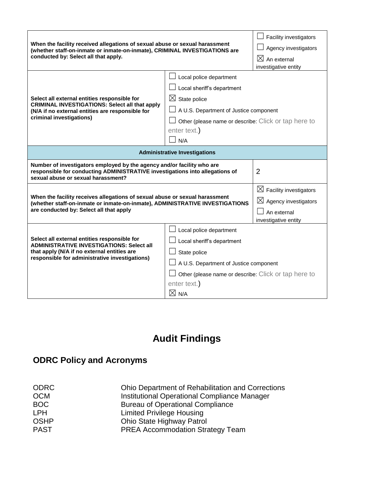| conducted by: Select all that apply.<br>$\boxtimes$ An external<br>investigative entity<br>Local police department<br>Local sheriff's department<br>Select all external entities responsible for<br>$\boxtimes$ State police<br><b>CRIMINAL INVESTIGATIONS: Select all that apply</b><br>A U.S. Department of Justice component<br>(N/A if no external entities are responsible for<br>criminal investigations)<br>Other (please name or describe: Click or tap here to<br>enter text.)<br>N/A<br><b>Administrative Investigations</b><br>Number of investigators employed by the agency and/or facility who are<br>$\overline{2}$<br>responsible for conducting ADMINISTRATIVE investigations into allegations of<br>sexual abuse or sexual harassment?<br>$\boxtimes$ Facility investigators<br>When the facility receives allegations of sexual abuse or sexual harassment<br>$\boxtimes$ Agency investigators<br>(whether staff-on-inmate or inmate-on-inmate), ADMINISTRATIVE INVESTIGATIONS<br>are conducted by: Select all that apply<br>An external | When the facility received allegations of sexual abuse or sexual harassment                                                                       | Facility investigators<br>Agency investigators       |                      |  |  |
|-------------------------------------------------------------------------------------------------------------------------------------------------------------------------------------------------------------------------------------------------------------------------------------------------------------------------------------------------------------------------------------------------------------------------------------------------------------------------------------------------------------------------------------------------------------------------------------------------------------------------------------------------------------------------------------------------------------------------------------------------------------------------------------------------------------------------------------------------------------------------------------------------------------------------------------------------------------------------------------------------------------------------------------------------------------|---------------------------------------------------------------------------------------------------------------------------------------------------|------------------------------------------------------|----------------------|--|--|
|                                                                                                                                                                                                                                                                                                                                                                                                                                                                                                                                                                                                                                                                                                                                                                                                                                                                                                                                                                                                                                                             | (whether staff-on-inmate or inmate-on-inmate), CRIMINAL INVESTIGATIONS are                                                                        |                                                      |                      |  |  |
|                                                                                                                                                                                                                                                                                                                                                                                                                                                                                                                                                                                                                                                                                                                                                                                                                                                                                                                                                                                                                                                             |                                                                                                                                                   |                                                      |                      |  |  |
|                                                                                                                                                                                                                                                                                                                                                                                                                                                                                                                                                                                                                                                                                                                                                                                                                                                                                                                                                                                                                                                             |                                                                                                                                                   |                                                      |                      |  |  |
|                                                                                                                                                                                                                                                                                                                                                                                                                                                                                                                                                                                                                                                                                                                                                                                                                                                                                                                                                                                                                                                             |                                                                                                                                                   |                                                      |                      |  |  |
|                                                                                                                                                                                                                                                                                                                                                                                                                                                                                                                                                                                                                                                                                                                                                                                                                                                                                                                                                                                                                                                             |                                                                                                                                                   |                                                      |                      |  |  |
|                                                                                                                                                                                                                                                                                                                                                                                                                                                                                                                                                                                                                                                                                                                                                                                                                                                                                                                                                                                                                                                             |                                                                                                                                                   |                                                      |                      |  |  |
|                                                                                                                                                                                                                                                                                                                                                                                                                                                                                                                                                                                                                                                                                                                                                                                                                                                                                                                                                                                                                                                             |                                                                                                                                                   |                                                      |                      |  |  |
|                                                                                                                                                                                                                                                                                                                                                                                                                                                                                                                                                                                                                                                                                                                                                                                                                                                                                                                                                                                                                                                             |                                                                                                                                                   |                                                      |                      |  |  |
|                                                                                                                                                                                                                                                                                                                                                                                                                                                                                                                                                                                                                                                                                                                                                                                                                                                                                                                                                                                                                                                             |                                                                                                                                                   |                                                      |                      |  |  |
|                                                                                                                                                                                                                                                                                                                                                                                                                                                                                                                                                                                                                                                                                                                                                                                                                                                                                                                                                                                                                                                             |                                                                                                                                                   |                                                      |                      |  |  |
|                                                                                                                                                                                                                                                                                                                                                                                                                                                                                                                                                                                                                                                                                                                                                                                                                                                                                                                                                                                                                                                             |                                                                                                                                                   |                                                      |                      |  |  |
|                                                                                                                                                                                                                                                                                                                                                                                                                                                                                                                                                                                                                                                                                                                                                                                                                                                                                                                                                                                                                                                             |                                                                                                                                                   |                                                      |                      |  |  |
|                                                                                                                                                                                                                                                                                                                                                                                                                                                                                                                                                                                                                                                                                                                                                                                                                                                                                                                                                                                                                                                             |                                                                                                                                                   |                                                      |                      |  |  |
|                                                                                                                                                                                                                                                                                                                                                                                                                                                                                                                                                                                                                                                                                                                                                                                                                                                                                                                                                                                                                                                             |                                                                                                                                                   |                                                      |                      |  |  |
|                                                                                                                                                                                                                                                                                                                                                                                                                                                                                                                                                                                                                                                                                                                                                                                                                                                                                                                                                                                                                                                             |                                                                                                                                                   |                                                      |                      |  |  |
|                                                                                                                                                                                                                                                                                                                                                                                                                                                                                                                                                                                                                                                                                                                                                                                                                                                                                                                                                                                                                                                             |                                                                                                                                                   |                                                      | investigative entity |  |  |
| Local police department                                                                                                                                                                                                                                                                                                                                                                                                                                                                                                                                                                                                                                                                                                                                                                                                                                                                                                                                                                                                                                     |                                                                                                                                                   |                                                      |                      |  |  |
| Select all external entities responsible for<br>Local sheriff's department                                                                                                                                                                                                                                                                                                                                                                                                                                                                                                                                                                                                                                                                                                                                                                                                                                                                                                                                                                                  | <b>ADMINISTRATIVE INVESTIGATIONS: Select all</b><br>that apply (N/A if no external entities are<br>responsible for administrative investigations) |                                                      |                      |  |  |
| State police                                                                                                                                                                                                                                                                                                                                                                                                                                                                                                                                                                                                                                                                                                                                                                                                                                                                                                                                                                                                                                                |                                                                                                                                                   |                                                      |                      |  |  |
| A U.S. Department of Justice component                                                                                                                                                                                                                                                                                                                                                                                                                                                                                                                                                                                                                                                                                                                                                                                                                                                                                                                                                                                                                      |                                                                                                                                                   |                                                      |                      |  |  |
|                                                                                                                                                                                                                                                                                                                                                                                                                                                                                                                                                                                                                                                                                                                                                                                                                                                                                                                                                                                                                                                             |                                                                                                                                                   | Other (please name or describe: Click or tap here to |                      |  |  |
| enter text.)                                                                                                                                                                                                                                                                                                                                                                                                                                                                                                                                                                                                                                                                                                                                                                                                                                                                                                                                                                                                                                                |                                                                                                                                                   |                                                      |                      |  |  |
| $\boxtimes$ N/A                                                                                                                                                                                                                                                                                                                                                                                                                                                                                                                                                                                                                                                                                                                                                                                                                                                                                                                                                                                                                                             |                                                                                                                                                   |                                                      |                      |  |  |

# **Audit Findings**

# **ODRC Policy and Acronyms**

| <b>ODRC</b> | <b>Ohio Department of Rehabilitation and Corrections</b> |
|-------------|----------------------------------------------------------|
| <b>OCM</b>  | Institutional Operational Compliance Manager             |
| <b>BOC</b>  | <b>Bureau of Operational Compliance</b>                  |
| <b>LPH</b>  | <b>Limited Privilege Housing</b>                         |
| <b>OSHP</b> | Ohio State Highway Patrol                                |
| <b>PAST</b> | <b>PREA Accommodation Strategy Team</b>                  |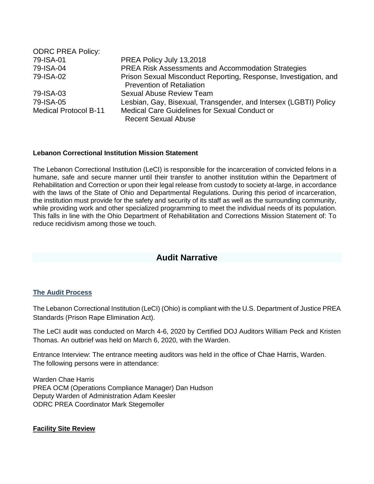| <b>ODRC PREA Policy:</b>     |                                                                  |
|------------------------------|------------------------------------------------------------------|
| 79-ISA-01                    | PREA Policy July 13,2018                                         |
| 79-ISA-04                    | PREA Risk Assessments and Accommodation Strategies               |
| 79-ISA-02                    | Prison Sexual Misconduct Reporting, Response, Investigation, and |
|                              | <b>Prevention of Retaliation</b>                                 |
| 79-ISA-03                    | <b>Sexual Abuse Review Team</b>                                  |
| 79-ISA-05                    | Lesbian, Gay, Bisexual, Transgender, and Intersex (LGBTI) Policy |
| <b>Medical Protocol B-11</b> | Medical Care Guidelines for Sexual Conduct or                    |
|                              | <b>Recent Sexual Abuse</b>                                       |

#### **Lebanon Correctional Institution Mission Statement**

The Lebanon Correctional Institution (LeCI) is responsible for the incarceration of convicted felons in a humane, safe and secure manner until their transfer to another institution within the Department of Rehabilitation and Correction or upon their legal release from custody to society at-large, in accordance with the laws of the State of Ohio and Departmental Regulations. During this period of incarceration, the institution must provide for the safety and security of its staff as well as the surrounding community, while providing work and other specialized programming to meet the individual needs of its population. This falls in line with the Ohio Department of Rehabilitation and Corrections Mission Statement of: To reduce recidivism among those we touch.

## **Audit Narrative**

## **The Audit Process**

The Lebanon Correctional Institution (LeCI) (Ohio) is compliant with the U.S. Department of Justice PREA Standards (Prison Rape Elimination Act).

The LeCI audit was conducted on March 4-6, 2020 by Certified DOJ Auditors William Peck and Kristen Thomas. An outbrief was held on March 6, 2020, with the Warden.

Entrance Interview: The entrance meeting auditors was held in the office of Chae Harris, Warden. The following persons were in attendance:

Warden Chae Harris PREA OCM (Operations Compliance Manager) Dan Hudson Deputy Warden of Administration Adam Keesler ODRC PREA Coordinator Mark Stegemoller

## **Facility Site Review**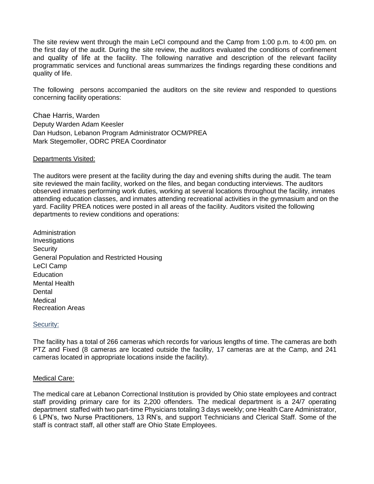The site review went through the main LeCI compound and the Camp from 1:00 p.m. to 4:00 pm. on the first day of the audit. During the site review, the auditors evaluated the conditions of confinement and quality of life at the facility. The following narrative and description of the relevant facility programmatic services and functional areas summarizes the findings regarding these conditions and quality of life.

The following persons accompanied the auditors on the site review and responded to questions concerning facility operations:

Chae Harris, Warden Deputy Warden Adam Keesler Dan Hudson, Lebanon Program Administrator OCM/PREA Mark Stegemoller, ODRC PREA Coordinator

#### Departments Visited:

The auditors were present at the facility during the day and evening shifts during the audit. The team site reviewed the main facility, worked on the files, and began conducting interviews. The auditors observed inmates performing work duties, working at several locations throughout the facility, inmates attending education classes, and inmates attending recreational activities in the gymnasium and on the yard. Facility PREA notices were posted in all areas of the facility. Auditors visited the following departments to review conditions and operations:

Administration Investigations **Security** General Population and Restricted Housing LeCI Camp **Education** Mental Health **Dental** Medical Recreation Areas

#### Security:

The facility has a total of 266 cameras which records for various lengths of time. The cameras are both PTZ and Fixed (8 cameras are located outside the facility, 17 cameras are at the Camp, and 241 cameras located in appropriate locations inside the facility).

#### Medical Care:

The medical care at Lebanon Correctional Institution is provided by Ohio state employees and contract staff providing primary care for its 2,200 offenders. The medical department is a 24/7 operating department staffed with two part-time Physicians totaling 3 days weekly; one Health Care Administrator, 6 LPN's, two Nurse Practitioners, 13 RN's, and support Technicians and Clerical Staff. Some of the staff is contract staff, all other staff are Ohio State Employees.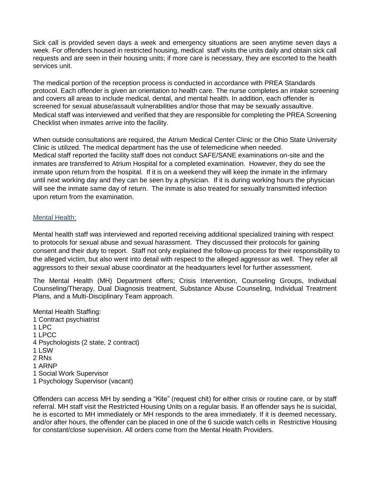Sick call is provided seven days a week and emergency situations are seen anytime seven days a week. For offenders housed in restricted housing, medical staff visits the units daily and obtain sick call requests and are seen in their housing units; if more care is necessary, they are escorted to the health services unit.

The medical portion of the reception process is conducted in accordance with PREA Standards protocol. Each offender is given an orientation to health care. The nurse completes an intake screening and covers all areas to include medical, dental, and mental health. In addition, each offender is screened for sexual abuse/assault vulnerabilities and/or those that may be sexually assaultive. Medical staff was interviewed and verified that they are responsible for completing the PREA Screening Checklist when inmates arrive into the facility.

When outside consultations are required, the Atrium Medical Center Clinic or the Ohio State University Clinic is utilized. The medical department has the use of telemedicine when needed. Medical staff reported the facility staff does not conduct SAFE/SANE examinations on-site and the inmates are transferred to Atrium Hospital for a completed examination. However, they do see the inmate upon return from the hospital. If it is on a weekend they will keep the inmate in the infirmary until next working day and they can be seen by a physician. If it is during working hours the physician will see the inmate same day of return. The inmate is also treated for sexually transmitted infection upon return from the examination.

## Mental Health:

Mental health staff was interviewed and reported receiving additional specialized training with respect to protocols for sexual abuse and sexual harassment. They discussed their protocols for gaining consent and their duty to report. Staff not only explained the follow-up process for their responsibility to the alleged victim, but also went into detail with respect to the alleged aggressor as well. They refer all aggressors to their sexual abuse coordinator at the headquarters level for further assessment.

The Mental Health (MH) Department offers; Crisis Intervention, Counseling Groups, Individual Counseling/Therapy, Dual Diagnosis treatment, Substance Abuse Counseling, Individual Treatment Plans, and a Multi-Disciplinary Team approach.

Mental Health Staffing: 1 Contract psychiatrist 1 LPC 1 LPCC 4 Psychologists (2 state, 2 contract) 1 LSW 2 RNs 1 ARNP 1 Social Work Supervisor

1 Psychology Supervisor (vacant)

Offenders can access MH by sending a "Kite" (request chit) for either crisis or routine care, or by staff referral. MH staff visit the Restricted Housing Units on a regular basis. If an offender says he is suicidal, he is escorted to MH immediately or MH responds to the area immediately. If it is deemed necessary, and/or after hours, the offender can be placed in one of the 6 suicide watch cells in Restrictive Housing for constant/close supervision. All orders come from the Mental Health Providers.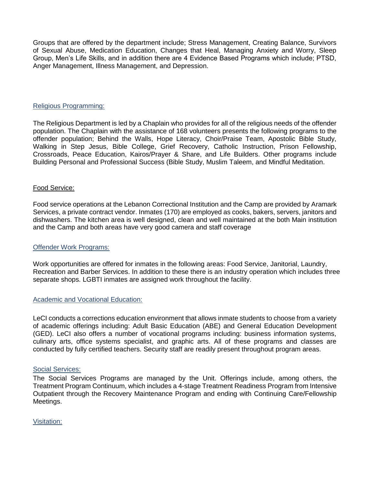Groups that are offered by the department include; Stress Management, Creating Balance, Survivors of Sexual Abuse, Medication Education, Changes that Heal, Managing Anxiety and Worry, Sleep Group, Men's Life Skills, and in addition there are 4 Evidence Based Programs which include; PTSD, Anger Management, Illness Management, and Depression.

#### Religious Programming:

The Religious Department is led by a Chaplain who provides for all of the religious needs of the offender population. The Chaplain with the assistance of 168 volunteers presents the following programs to the offender population; Behind the Walls, Hope Literacy, Choir/Praise Team, Apostolic Bible Study, Walking in Step Jesus, Bible College, Grief Recovery, Catholic Instruction, Prison Fellowship, Crossroads, Peace Education, Kairos/Prayer & Share, and Life Builders. Other programs include Building Personal and Professional Success (Bible Study, Muslim Taleem, and Mindful Meditation.

#### Food Service:

Food service operations at the Lebanon Correctional Institution and the Camp are provided by Aramark Services, a private contract vendor. Inmates (170) are employed as cooks, bakers, servers, janitors and dishwashers. The kitchen area is well designed, clean and well maintained at the both Main institution and the Camp and both areas have very good camera and staff coverage

#### Offender Work Programs:

Work opportunities are offered for inmates in the following areas: Food Service, Janitorial, Laundry, Recreation and Barber Services. In addition to these there is an industry operation which includes three separate shops. LGBTI inmates are assigned work throughout the facility.

## Academic and Vocational Education:

LeCI conducts a corrections education environment that allows inmate students to choose from a variety of academic offerings including: Adult Basic Education (ABE) and General Education Development (GED). LeCI also offers a number of vocational programs including: business information systems, culinary arts, office systems specialist, and graphic arts. All of these programs and classes are conducted by fully certified teachers. Security staff are readily present throughout program areas.

#### Social Services:

The Social Services Programs are managed by the Unit. Offerings include, among others, the Treatment Program Continuum, which includes a 4-stage Treatment Readiness Program from Intensive Outpatient through the Recovery Maintenance Program and ending with Continuing Care/Fellowship Meetings.

Visitation: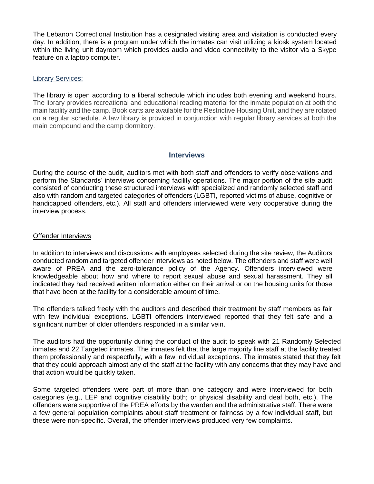The Lebanon Correctional Institution has a designated visiting area and visitation is conducted every day. In addition, there is a program under which the inmates can visit utilizing a kiosk system located within the living unit dayroom which provides audio and video connectivity to the visitor via a Skype feature on a laptop computer.

#### Library Services:

The library is open according to a liberal schedule which includes both evening and weekend hours. The library provides recreational and educational reading material for the inmate population at both the main facility and the camp. Book carts are available for the Restrictive Housing Unit, and they are rotated on a regular schedule. A law library is provided in conjunction with regular library services at both the main compound and the camp dormitory.

#### **Interviews**

During the course of the audit, auditors met with both staff and offenders to verify observations and perform the Standards' interviews concerning facility operations. The major portion of the site audit consisted of conducting these structured interviews with specialized and randomly selected staff and also with random and targeted categories of offenders (LGBTI, reported victims of abuse, cognitive or handicapped offenders, etc.). All staff and offenders interviewed were very cooperative during the interview process.

#### Offender Interviews

In addition to interviews and discussions with employees selected during the site review, the Auditors conducted random and targeted offender interviews as noted below. The offenders and staff were well aware of PREA and the zero-tolerance policy of the Agency. Offenders interviewed were knowledgeable about how and where to report sexual abuse and sexual harassment. They all indicated they had received written information either on their arrival or on the housing units for those that have been at the facility for a considerable amount of time.

The offenders talked freely with the auditors and described their treatment by staff members as fair with few individual exceptions. LGBTI offenders interviewed reported that they felt safe and a significant number of older offenders responded in a similar vein.

The auditors had the opportunity during the conduct of the audit to speak with 21 Randomly Selected inmates and 22 Targeted inmates. The inmates felt that the large majority line staff at the facility treated them professionally and respectfully, with a few individual exceptions. The inmates stated that they felt that they could approach almost any of the staff at the facility with any concerns that they may have and that action would be quickly taken.

Some targeted offenders were part of more than one category and were interviewed for both categories (e.g., LEP and cognitive disability both; or physical disability and deaf both, etc.). The offenders were supportive of the PREA efforts by the warden and the administrative staff. There were a few general population complaints about staff treatment or fairness by a few individual staff, but these were non-specific. Overall, the offender interviews produced very few complaints.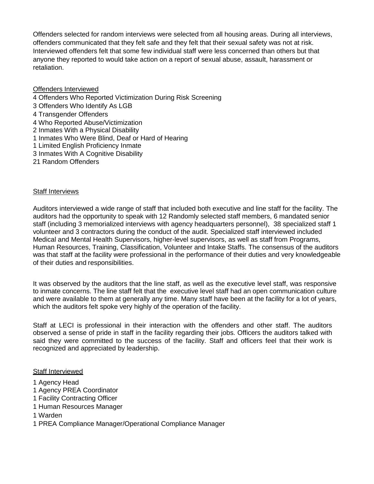Offenders selected for random interviews were selected from all housing areas. During all interviews, offenders communicated that they felt safe and they felt that their sexual safety was not at risk. Interviewed offenders felt that some few individual staff were less concerned than others but that anyone they reported to would take action on a report of sexual abuse, assault, harassment or retaliation.

Offenders Interviewed 4 Offenders Who Reported Victimization During Risk Screening 3 Offenders Who Identify As LGB 4 Transgender Offenders 4 Who Reported Abuse/Victimization 2 Inmates With a Physical Disability 1 Inmates Who Were Blind, Deaf or Hard of Hearing 1 Limited English Proficiency Inmate 3 Inmates With A Cognitive Disability

21 Random Offenders

#### Staff Interviews

Auditors interviewed a wide range of staff that included both executive and line staff for the facility. The auditors had the opportunity to speak with 12 Randomly selected staff members, 6 mandated senior staff (including 3 memorialized interviews with agency headquarters personnel), 38 specialized staff 1 volunteer and 3 contractors during the conduct of the audit. Specialized staff interviewed included Medical and Mental Health Supervisors, higher-level supervisors, as well as staff from Programs, Human Resources, Training, Classification, Volunteer and Intake Staffs. The consensus of the auditors was that staff at the facility were professional in the performance of their duties and very knowledgeable of their duties and responsibilities.

It was observed by the auditors that the line staff, as well as the executive level staff, was responsive to inmate concerns. The line staff felt that the executive level staff had an open communication culture and were available to them at generally any time. Many staff have been at the facility for a lot of years, which the auditors felt spoke very highly of the operation of the facility.

Staff at LECI is professional in their interaction with the offenders and other staff. The auditors observed a sense of pride in staff in the facility regarding their jobs. Officers the auditors talked with said they were committed to the success of the facility. Staff and officers feel that their work is recognized and appreciated by leadership.

#### Staff Interviewed

- 1 Agency Head
- 1 Agency PREA Coordinator
- 1 Facility Contracting Officer
- 1 Human Resources Manager
- 1 Warden
- 1 PREA Compliance Manager/Operational Compliance Manager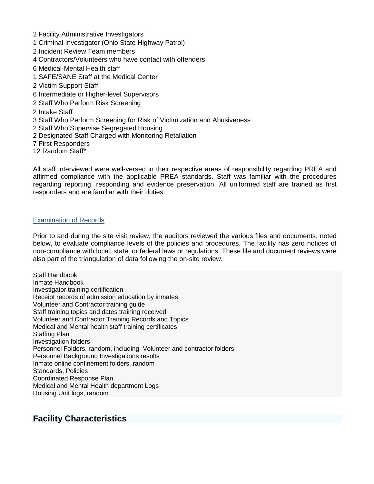- 2 Facility Administrative Investigators
- 1 Criminal Investigator (Ohio State Highway Patrol)
- 2 Incident Review Team members
- 4 Contractors/Volunteers who have contact with offenders
- 6 Medical-Mental Health staff
- 1 SAFE/SANE Staff at the Medical Center
- 2 Victim Support Staff
- 6 Intermediate or Higher-level Supervisors
- 2 Staff Who Perform Risk Screening
- 2 Intake Staff
- 3 Staff Who Perform Screening for Risk of Victimization and Abusiveness
- 2 Staff Who Supervise Segregated Housing
- 2 Designated Staff Charged with Monitoring Retaliation
- 7 First Responders
- 12 Random Staff\*

All staff interviewed were well-versed in their respective areas of responsibility regarding PREA and affirmed compliance with the applicable PREA standards. Staff was familiar with the procedures regarding reporting, responding and evidence preservation. All uniformed staff are trained as first responders and are familiar with their duties.

#### Examination of Records

Prior to and during the site visit review, the auditors reviewed the various files and documents, noted below, to evaluate compliance levels of the policies and procedures. The facility has zero notices of non-compliance with local, state, or federal laws or regulations. These file and document reviews were also part of the triangulation of data following the on-site review.

Staff Handbook Inmate Handbook Investigator training certification Receipt records of admission education by inmates Volunteer and Contractor training guide Staff training topics and dates training received Volunteer and Contractor Training Records and Topics Medical and Mental health staff training certificates Staffing Plan Investigation folders Personnel Folders, random, including Volunteer and contractor folders Personnel Background Investigations results Inmate online confinement folders, random Standards, Policies Coordinated Response Plan Medical and Mental Health department Logs Housing Unit logs, random

## **Facility Characteristics**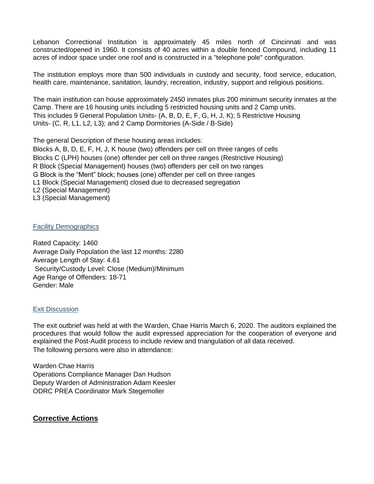Lebanon Correctional Institution is approximately 45 miles north of Cincinnati and was constructed/opened in 1960. It consists of 40 acres within a double fenced Compound, including 11 acres of indoor space under one roof and is constructed in a "telephone pole" configuration.

The institution employs more than 500 individuals in custody and security, food service, education, health care, maintenance, sanitation, laundry, recreation, industry, support and religious positions.

The main institution can house approximately 2450 inmates plus 200 minimum security inmates at the Camp. There are 16 housing units including 5 restricted housing units and 2 Camp units. This includes 9 General Population Units- (A, B, D, E, F, G, H, J, K); 5 Restrictive Housing Units- (C, R, L1, L2, L3); and 2 Camp Dormitories (A-Side / B-Side)

The general Description of these housing areas includes: Blocks A, B, D, E, F, H, J, K house (two) offenders per cell on three ranges of cells Blocks C (LPH) houses (one) offender per cell on three ranges (Restrictive Housing) R Block (Special Management) houses (two) offenders per cell on two ranges G Block is the "Merit" block; houses (one) offender per cell on three ranges L1 Block (Special Management) closed due to decreased segregation L2 (Special Management) L3 (Special Management)

#### Facility Demographics

Rated Capacity: 1460 Average Daily Population the last 12 months: 2280 Average Length of Stay: 4.61 Security/Custody Level: Close (Medium)/Minimum Age Range of Offenders: 18-71 Gender: Male

## Exit Discussion

The exit outbrief was held at with the Warden, Chae Harris March 6, 2020. The auditors explained the procedures that would follow the audit expressed appreciation for the cooperation of everyone and explained the Post-Audit process to include review and triangulation of all data received. The following persons were also in attendance:

Warden Chae Harris Operations Compliance Manager Dan Hudson Deputy Warden of Administration Adam Keesler ODRC PREA Coordinator Mark Stegemoller

## **Corrective Actions**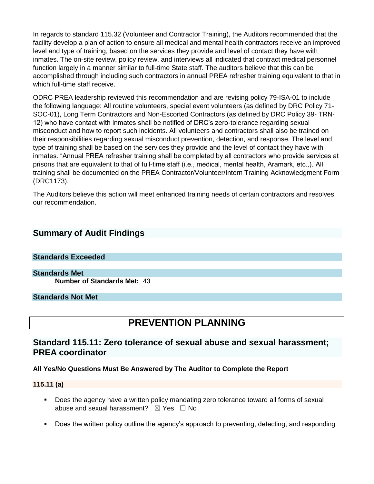In regards to standard 115.32 (Volunteer and Contractor Training), the Auditors recommended that the facility develop a plan of action to ensure all medical and mental health contractors receive an improved level and type of training, based on the services they provide and level of contact they have with inmates. The on-site review, policy review, and interviews all indicated that contract medical personnel function largely in a manner similar to full-time State staff. The auditors believe that this can be accomplished through including such contractors in annual PREA refresher training equivalent to that in which full-time staff receive.

ODRC PREA leadership reviewed this recommendation and are revising policy 79-ISA-01 to include the following language: All routine volunteers, special event volunteers (as defined by DRC Policy 71- SOC-01), Long Term Contractors and Non-Escorted Contractors (as defined by DRC Policy 39- TRN-12) who have contact with inmates shall be notified of DRC's zero-tolerance regarding sexual misconduct and how to report such incidents. All volunteers and contractors shall also be trained on their responsibilities regarding sexual misconduct prevention, detection, and response. The level and type of training shall be based on the services they provide and the level of contact they have with inmates. "Annual PREA refresher training shall be completed by all contractors who provide services at prisons that are equivalent to that of full-time staff (i.e., medical, mental health, Aramark, etc.,)."All training shall be documented on the PREA Contractor/Volunteer/Intern Training Acknowledgment Form (DRC1173).

The Auditors believe this action will meet enhanced training needs of certain contractors and resolves our recommendation.

## **Summary of Audit Findings**

#### **Standards Exceeded**

**Standards Met Number of Standards Met:** 43

#### **Standards Not Met**

# **PREVENTION PLANNING**

## **Standard 115.11: Zero tolerance of sexual abuse and sexual harassment; PREA coordinator**

#### **All Yes/No Questions Must Be Answered by The Auditor to Complete the Report**

#### **115.11 (a)**

- Does the agency have a written policy mandating zero tolerance toward all forms of sexual abuse and sexual harassment?  $\boxtimes$  Yes  $\Box$  No
- Does the written policy outline the agency's approach to preventing, detecting, and responding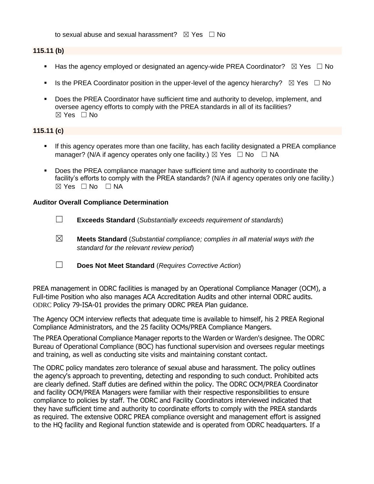to sexual abuse and sexual harassment?  $\boxtimes$  Yes  $\Box$  No

#### **115.11 (b)**

- **■** Has the agency employed or designated an agency-wide PREA Coordinator?  $\boxtimes$  Yes  $\Box$  No
- Is the PREA Coordinator position in the upper-level of the agency hierarchy?  $\boxtimes$  Yes  $\Box$  No
- Does the PREA Coordinator have sufficient time and authority to develop, implement, and oversee agency efforts to comply with the PREA standards in all of its facilities?  $\boxtimes$  Yes  $\Box$  No

## **115.11 (c)**

- If this agency operates more than one facility, has each facility designated a PREA compliance manager? (N/A if agency operates only one facility.)  $\boxtimes$  Yes  $\Box$  No  $\Box$  NA
- Does the PREA compliance manager have sufficient time and authority to coordinate the facility's efforts to comply with the PREA standards? (N/A if agency operates only one facility.)  $⊠ Yes ⊡ No ⊡ NA$

#### **Auditor Overall Compliance Determination**

- ☐ **Exceeds Standard** (*Substantially exceeds requirement of standards*)
- ☒ **Meets Standard** (*Substantial compliance; complies in all material ways with the standard for the relevant review period*)
- ☐ **Does Not Meet Standard** (*Requires Corrective Action*)

PREA management in ODRC facilities is managed by an Operational Compliance Manager (OCM), a Full-time Position who also manages ACA Accreditation Audits and other internal ODRC audits. ODRC Policy 79-ISA-01 provides the primary ODRC PREA Plan guidance.

The Agency OCM interview reflects that adequate time is available to himself, his 2 PREA Regional Compliance Administrators, and the 25 facility OCMs/PREA Compliance Mangers.

The PREA Operational Compliance Manager reports to the Warden or Warden's designee. The ODRC Bureau of Operational Compliance (BOC) has functional supervision and oversees regular meetings and training, as well as conducting site visits and maintaining constant contact.

The ODRC policy mandates zero tolerance of sexual abuse and harassment. The policy outlines the agency's approach to preventing, detecting and responding to such conduct. Prohibited acts are clearly defined. Staff duties are defined within the policy. The ODRC OCM/PREA Coordinator and facility OCM/PREA Managers were familiar with their respective responsibilities to ensure compliance to policies by staff. The ODRC and Facility Coordinators interviewed indicated that they have sufficient time and authority to coordinate efforts to comply with the PREA standards as required. The extensive ODRC PREA compliance oversight and management effort is assigned to the HQ facility and Regional function statewide and is operated from ODRC headquarters. If a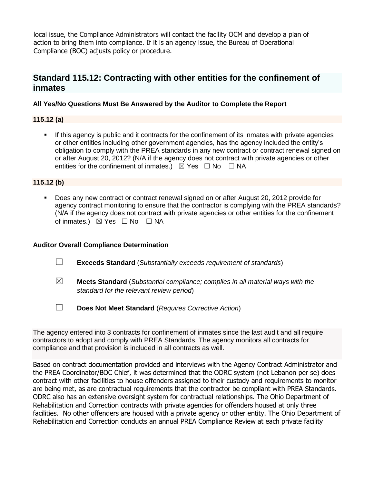local issue, the Compliance Administrators will contact the facility OCM and develop a plan of action to bring them into compliance. If it is an agency issue, the Bureau of Operational Compliance (BOC) adjusts policy or procedure.

## **Standard 115.12: Contracting with other entities for the confinement of inmates**

## **All Yes/No Questions Must Be Answered by the Auditor to Complete the Report**

## **115.12 (a)**

If this agency is public and it contracts for the confinement of its inmates with private agencies or other entities including other government agencies, has the agency included the entity's obligation to comply with the PREA standards in any new contract or contract renewal signed on or after August 20, 2012? (N/A if the agency does not contract with private agencies or other entities for the confinement of inmates.)  $\boxtimes$  Yes  $\Box$  No  $\Box$  NA

## **115.12 (b)**

■ Does any new contract or contract renewal signed on or after August 20, 2012 provide for agency contract monitoring to ensure that the contractor is complying with the PREA standards? (N/A if the agency does not contract with private agencies or other entities for the confinement of inmates.) ⊠ Yes □ No □ NA

## **Auditor Overall Compliance Determination**

- ☐ **Exceeds Standard** (*Substantially exceeds requirement of standards*)
- ☒ **Meets Standard** (*Substantial compliance; complies in all material ways with the standard for the relevant review period*)
- ☐ **Does Not Meet Standard** (*Requires Corrective Action*)

The agency entered into 3 contracts for confinement of inmates since the last audit and all require contractors to adopt and comply with PREA Standards. The agency monitors all contracts for compliance and that provision is included in all contracts as well.

Based on contract documentation provided and interviews with the Agency Contract Administrator and the PREA Coordinator/BOC Chief, it was determined that the ODRC system (not Lebanon per se) does contract with other facilities to house offenders assigned to their custody and requirements to monitor are being met, as are contractual requirements that the contractor be compliant with PREA Standards. ODRC also has an extensive oversight system for contractual relationships. The Ohio Department of Rehabilitation and Correction contracts with private agencies for offenders housed at only three facilities. No other offenders are housed with a private agency or other entity. The Ohio Department of Rehabilitation and Correction conducts an annual PREA Compliance Review at each private facility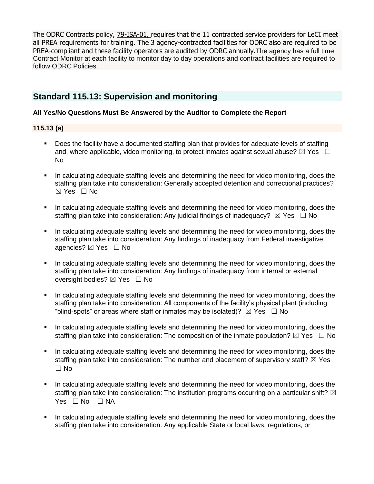The ODRC Contracts policy, [79-ISA-01,](file://///codata/biasc/Staff%20Folder%20-%20Stegemoller/2018%20PREA%20Audits/2018%20MASTER%20COPIES/115.12/79-ISA-01%20115.12a.pdf) requires that the 11 contracted service providers for LeCI meet all PREA requirements for training. The 3 agency-contracted facilities for ODRC also are required to be PREA-compliant and these facility operators are audited by ODRC annually.The agency has a full time Contract Monitor at each facility to monitor day to day operations and contract facilities are required to follow ODRC Policies.

## **Standard 115.13: Supervision and monitoring**

## **All Yes/No Questions Must Be Answered by the Auditor to Complete the Report**

## **115.13 (a)**

- Does the facility have a documented staffing plan that provides for adequate levels of staffing and, where applicable, video monitoring, to protect inmates against sexual abuse?  $\boxtimes$  Yes  $\Box$ No
- In calculating adequate staffing levels and determining the need for video monitoring, does the staffing plan take into consideration: Generally accepted detention and correctional practices? ☒ Yes ☐ No
- In calculating adequate staffing levels and determining the need for video monitoring, does the staffing plan take into consideration: Any judicial findings of inadequacy?  $\boxtimes$  Yes  $\Box$  No
- In calculating adequate staffing levels and determining the need for video monitoring, does the staffing plan take into consideration: Any findings of inadequacy from Federal investigative agencies? ⊠ Yes □ No
- In calculating adequate staffing levels and determining the need for video monitoring, does the staffing plan take into consideration: Any findings of inadequacy from internal or external oversight bodies? ⊠ Yes □ No
- In calculating adequate staffing levels and determining the need for video monitoring, does the staffing plan take into consideration: All components of the facility's physical plant (including "blind-spots" or areas where staff or inmates may be isolated)?  $\boxtimes$  Yes  $\Box$  No
- **•** In calculating adequate staffing levels and determining the need for video monitoring, does the staffing plan take into consideration: The composition of the inmate population?  $\boxtimes$  Yes  $\Box$  No
- In calculating adequate staffing levels and determining the need for video monitoring, does the staffing plan take into consideration: The number and placement of supervisory staff?  $\boxtimes$  Yes  $\Box$  No
- In calculating adequate staffing levels and determining the need for video monitoring, does the staffing plan take into consideration: The institution programs occurring on a particular shift?  $\boxtimes$ Yes □ No □ NA
- In calculating adequate staffing levels and determining the need for video monitoring, does the staffing plan take into consideration: Any applicable State or local laws, regulations, or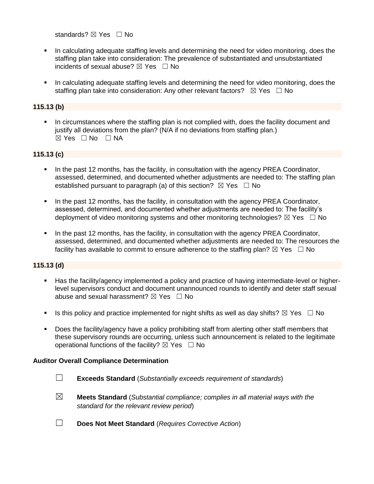standards? ⊠ Yes □ No

- In calculating adequate staffing levels and determining the need for video monitoring, does the staffing plan take into consideration: The prevalence of substantiated and unsubstantiated incidents of sexual abuse?  $\boxtimes$  Yes  $\Box$  No
- In calculating adequate staffing levels and determining the need for video monitoring, does the staffing plan take into consideration: Any other relevant factors?  $\boxtimes$  Yes  $\Box$  No

## **115.13 (b)**

In circumstances where the staffing plan is not complied with, does the facility document and justify all deviations from the plan? (N/A if no deviations from staffing plan.) ☒ Yes ☐ No ☐ NA

#### **115.13 (c)**

- In the past 12 months, has the facility, in consultation with the agency PREA Coordinator, assessed, determined, and documented whether adjustments are needed to: The staffing plan established pursuant to paragraph (a) of this section?  $\boxtimes$  Yes  $\Box$  No
- **•** In the past 12 months, has the facility, in consultation with the agency PREA Coordinator, assessed, determined, and documented whether adjustments are needed to: The facility's deployment of video monitoring systems and other monitoring technologies?  $\boxtimes$  Yes  $\Box$  No
- In the past 12 months, has the facility, in consultation with the agency PREA Coordinator, assessed, determined, and documented whether adjustments are needed to: The resources the facility has available to commit to ensure adherence to the staffing plan?  $\boxtimes$  Yes  $\Box$  No

#### **115.13 (d)**

- Has the facility/agency implemented a policy and practice of having intermediate-level or higherlevel supervisors conduct and document unannounced rounds to identify and deter staff sexual abuse and sexual harassment?  $\boxtimes$  Yes  $\Box$  No
- Is this policy and practice implemented for night shifts as well as day shifts?  $\boxtimes$  Yes  $\Box$  No
- Does the facility/agency have a policy prohibiting staff from alerting other staff members that these supervisory rounds are occurring, unless such announcement is related to the legitimate operational functions of the facility?  $\boxtimes$  Yes  $\Box$  No

#### **Auditor Overall Compliance Determination**

- ☐ **Exceeds Standard** (*Substantially exceeds requirement of standards*)
- ☒ **Meets Standard** (*Substantial compliance; complies in all material ways with the standard for the relevant review period*)
- ☐ **Does Not Meet Standard** (*Requires Corrective Action*)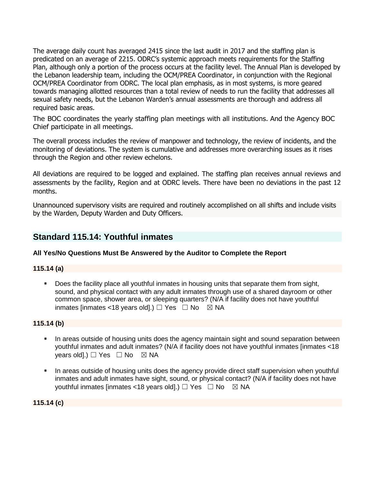The average daily count has averaged 2415 since the last audit in 2017 and the staffing plan is predicated on an average of 2215. ODRC's systemic approach meets requirements for the Staffing Plan, although only a portion of the process occurs at the facility level. The Annual Plan is developed by the Lebanon leadership team, including the OCM/PREA Coordinator, in conjunction with the Regional OCM/PREA Coordinator from ODRC. The local plan emphasis, as in most systems, is more geared towards managing allotted resources than a total review of needs to run the facility that addresses all sexual safety needs, but the Lebanon Warden's annual assessments are thorough and address all required basic areas.

The BOC coordinates the yearly staffing plan meetings with all institutions. And the Agency BOC Chief participate in all meetings.

The overall process includes the review of manpower and technology, the review of incidents, and the monitoring of deviations. The system is cumulative and addresses more overarching issues as it rises through the Region and other review echelons.

All deviations are required to be logged and explained. The staffing plan receives annual reviews and assessments by the facility, Region and at ODRC levels. There have been no deviations in the past 12 months.

Unannounced supervisory visits are required and routinely accomplished on all shifts and include visits by the Warden, Deputy Warden and Duty Officers.

## **Standard 115.14: Youthful inmates**

## **All Yes/No Questions Must Be Answered by the Auditor to Complete the Report**

## **115.14 (a)**

▪ Does the facility place all youthful inmates in housing units that separate them from sight, sound, and physical contact with any adult inmates through use of a shared dayroom or other common space, shower area, or sleeping quarters? (N/A if facility does not have youthful inmates [inmates <18 years old].)  $\Box$  Yes  $\Box$  No  $\boxtimes$  NA

**115.14 (b)**

- **■** In areas outside of housing units does the agency maintain sight and sound separation between youthful inmates and adult inmates? (N/A if facility does not have youthful inmates [inmates <18 years old].)  $\Box$  Yes  $\Box$  No  $\boxtimes$  NA
- **•** In areas outside of housing units does the agency provide direct staff supervision when youthful inmates and adult inmates have sight, sound, or physical contact? (N/A if facility does not have youthful inmates [inmates <18 years old].)  $\Box$  Yes  $\Box$  No  $\boxtimes$  NA

**115.14 (c)**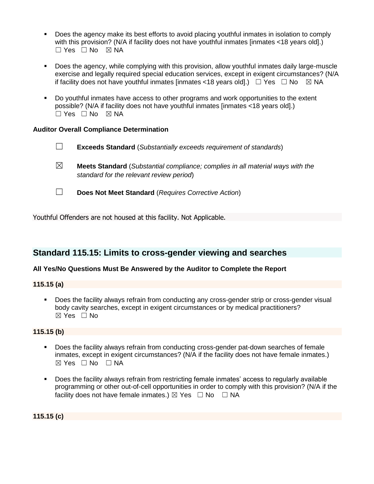- Does the agency make its best efforts to avoid placing youthful inmates in isolation to comply with this provision? (N/A if facility does not have youthful inmates [inmates <18 years old].)  $\Box$  Yes  $\Box$  No  $\boxtimes$  NA
- Does the agency, while complying with this provision, allow youthful inmates daily large-muscle exercise and legally required special education services, except in exigent circumstances? (N/A if facility does not have youthful inmates [inmates <18 years old].)  $\Box$  Yes  $\Box$  No  $\Box$  NA
- Do youthful inmates have access to other programs and work opportunities to the extent possible? (N/A if facility does not have youthful inmates [inmates <18 years old].) ☐ Yes ☐ No ☒ NA

## **Auditor Overall Compliance Determination**

- ☐ **Exceeds Standard** (*Substantially exceeds requirement of standards*)
- ☒ **Meets Standard** (*Substantial compliance; complies in all material ways with the standard for the relevant review period*)
- 
- ☐ **Does Not Meet Standard** (*Requires Corrective Action*)

Youthful Offenders are not housed at this facility. Not Applicable.

## **Standard 115.15: Limits to cross-gender viewing and searches**

## **All Yes/No Questions Must Be Answered by the Auditor to Complete the Report**

**115.15 (a)**

▪ Does the facility always refrain from conducting any cross-gender strip or cross-gender visual body cavity searches, except in exigent circumstances or by medical practitioners? ☒ Yes ☐ No

## **115.15 (b)**

- Does the facility always refrain from conducting cross-gender pat-down searches of female inmates, except in exigent circumstances? (N/A if the facility does not have female inmates.)  $\boxtimes$  Yes  $\Box$  No  $\Box$  NA
- Does the facility always refrain from restricting female inmates' access to regularly available programming or other out-of-cell opportunities in order to comply with this provision? (N/A if the facility does not have female inmates.)  $\boxtimes$  Yes  $\Box$  No  $\Box$  NA

**115.15 (c)**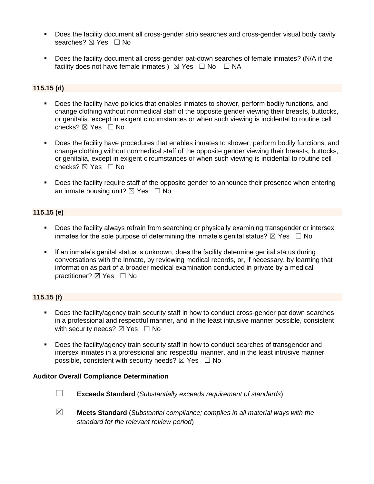- **•** Does the facility document all cross-gender strip searches and cross-gender visual body cavity searches? ⊠ Yes □ No
- Does the facility document all cross-gender pat-down searches of female inmates? (N/A if the facility does not have female inmates.)  $\boxtimes$  Yes  $\Box$  No  $\Box$  NA

## **115.15 (d)**

- Does the facility have policies that enables inmates to shower, perform bodily functions, and change clothing without nonmedical staff of the opposite gender viewing their breasts, buttocks, or genitalia, except in exigent circumstances or when such viewing is incidental to routine cell checks? ☒ Yes ☐ No
- Does the facility have procedures that enables inmates to shower, perform bodily functions, and change clothing without nonmedical staff of the opposite gender viewing their breasts, buttocks, or genitalia, except in exigent circumstances or when such viewing is incidental to routine cell checks? ☒ Yes ☐ No
- Does the facility require staff of the opposite gender to announce their presence when entering an inmate housing unit?  $\boxtimes$  Yes  $\Box$  No

## **115.15 (e)**

- **•** Does the facility always refrain from searching or physically examining transgender or intersex inmates for the sole purpose of determining the inmate's genital status?  $\boxtimes$  Yes  $\Box$  No
- **E** If an inmate's genital status is unknown, does the facility determine genital status during conversations with the inmate, by reviewing medical records, or, if necessary, by learning that information as part of a broader medical examination conducted in private by a medical practitioner? ⊠ Yes □ No

## **115.15 (f)**

- Does the facility/agency train security staff in how to conduct cross-gender pat down searches in a professional and respectful manner, and in the least intrusive manner possible, consistent with security needs?  $\boxtimes$  Yes  $\Box$  No
- Does the facility/agency train security staff in how to conduct searches of transgender and intersex inmates in a professional and respectful manner, and in the least intrusive manner possible, consistent with security needs?  $\boxtimes$  Yes  $\Box$  No

#### **Auditor Overall Compliance Determination**



- ☐ **Exceeds Standard** (*Substantially exceeds requirement of standards*)
- ☒ **Meets Standard** (*Substantial compliance; complies in all material ways with the standard for the relevant review period*)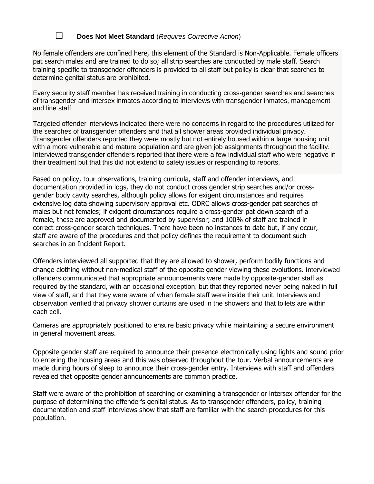## ☐ **Does Not Meet Standard** (*Requires Corrective Action*)

No female offenders are confined here, this element of the Standard is Non-Applicable. Female officers pat search males and are trained to do so; all strip searches are conducted by male staff. Search training specific to transgender offenders is provided to all staff but policy is clear that searches to determine genital status are prohibited.

Every security staff member has received training in conducting cross-gender searches and searches of transgender and intersex inmates according to interviews with transgender inmates, management and line staff.

Targeted offender interviews indicated there were no concerns in regard to the procedures utilized for the searches of transgender offenders and that all shower areas provided individual privacy. Transgender offenders reported they were mostly but not entirely housed within a large housing unit with a more vulnerable and mature population and are given job assignments throughout the facility. Interviewed transgender offenders reported that there were a few individual staff who were negative in their treatment but that this did not extend to safety issues or responding to reports.

Based on policy, tour observations, training curricula, staff and offender interviews, and documentation provided in logs, they do not conduct cross gender strip searches and/or crossgender body cavity searches, although policy allows for exigent circumstances and requires extensive log data showing supervisory approval etc. ODRC allows cross-gender pat searches of males but not females; if exigent circumstances require a cross-gender pat down search of a female, these are approved and documented by supervisor; and 100% of staff are trained in correct cross-gender search techniques. There have been no instances to date but, if any occur, staff are aware of the procedures and that policy defines the requirement to document such searches in an Incident Report.

Offenders interviewed all supported that they are allowed to shower, perform bodily functions and change clothing without non-medical staff of the opposite gender viewing these evolutions. Interviewed offenders communicated that appropriate announcements were made by opposite-gender staff as required by the standard, with an occasional exception, but that they reported never being naked in full view of staff, and that they were aware of when female staff were inside their unit. Interviews and observation verified that privacy shower curtains are used in the showers and that toilets are within each cell.

Cameras are appropriately positioned to ensure basic privacy while maintaining a secure environment in general movement areas.

Opposite gender staff are required to announce their presence electronically using lights and sound prior to entering the housing areas and this was observed throughout the tour. Verbal announcements are made during hours of sleep to announce their cross-gender entry. Interviews with staff and offenders revealed that opposite gender announcements are common practice.

Staff were aware of the prohibition of searching or examining a transgender or intersex offender for the purpose of determining the offender's genital status. As to transgender offenders, policy, training documentation and staff interviews show that staff are familiar with the search procedures for this population.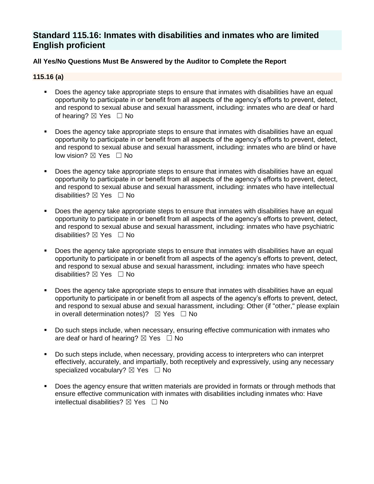## **Standard 115.16: Inmates with disabilities and inmates who are limited English proficient**

## **All Yes/No Questions Must Be Answered by the Auditor to Complete the Report**

#### **115.16 (a)**

- Does the agency take appropriate steps to ensure that inmates with disabilities have an equal opportunity to participate in or benefit from all aspects of the agency's efforts to prevent, detect, and respond to sexual abuse and sexual harassment, including: inmates who are deaf or hard of hearing? ⊠ Yes □ No
- Does the agency take appropriate steps to ensure that inmates with disabilities have an equal opportunity to participate in or benefit from all aspects of the agency's efforts to prevent, detect, and respond to sexual abuse and sexual harassment, including: inmates who are blind or have low vision? ⊠ Yes □ No
- Does the agency take appropriate steps to ensure that inmates with disabilities have an equal opportunity to participate in or benefit from all aspects of the agency's efforts to prevent, detect, and respond to sexual abuse and sexual harassment, including: inmates who have intellectual disabilities? ⊠ Yes □ No
- Does the agency take appropriate steps to ensure that inmates with disabilities have an equal opportunity to participate in or benefit from all aspects of the agency's efforts to prevent, detect, and respond to sexual abuse and sexual harassment, including: inmates who have psychiatric disabilities?  $\boxtimes$  Yes  $\Box$  No
- Does the agency take appropriate steps to ensure that inmates with disabilities have an equal opportunity to participate in or benefit from all aspects of the agency's efforts to prevent, detect, and respond to sexual abuse and sexual harassment, including: inmates who have speech disabilities?  $\boxtimes$  Yes  $\Box$  No
- Does the agency take appropriate steps to ensure that inmates with disabilities have an equal opportunity to participate in or benefit from all aspects of the agency's efforts to prevent, detect, and respond to sexual abuse and sexual harassment, including: Other (if "other," please explain in overall determination notes)?  $\boxtimes$  Yes  $\Box$  No
- Do such steps include, when necessary, ensuring effective communication with inmates who are deaf or hard of hearing?  $\boxtimes$  Yes  $\Box$  No
- Do such steps include, when necessary, providing access to interpreters who can interpret effectively, accurately, and impartially, both receptively and expressively, using any necessary specialized vocabulary? ⊠ Yes □ No
- Does the agency ensure that written materials are provided in formats or through methods that ensure effective communication with inmates with disabilities including inmates who: Have intellectual disabilities?  $\boxtimes$  Yes  $\Box$  No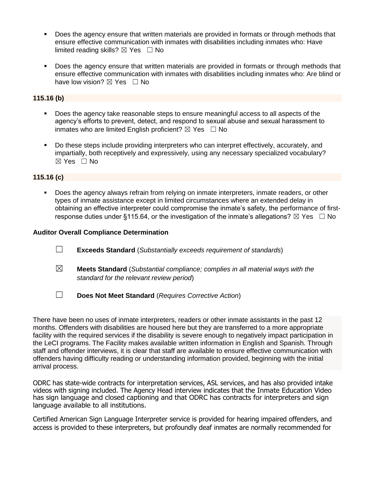- Does the agency ensure that written materials are provided in formats or through methods that ensure effective communication with inmates with disabilities including inmates who: Have limited reading skills?  $\boxtimes$  Yes  $\Box$  No
- Does the agency ensure that written materials are provided in formats or through methods that ensure effective communication with inmates with disabilities including inmates who: Are blind or have low vision?  $\boxtimes$  Yes  $\Box$  No

#### **115.16 (b)**

- Does the agency take reasonable steps to ensure meaningful access to all aspects of the agency's efforts to prevent, detect, and respond to sexual abuse and sexual harassment to inmates who are limited English proficient?  $\boxtimes$  Yes  $\Box$  No
- Do these steps include providing interpreters who can interpret effectively, accurately, and impartially, both receptively and expressively, using any necessary specialized vocabulary? ☒ Yes ☐ No

#### **115.16 (c)**

Does the agency always refrain from relying on inmate interpreters, inmate readers, or other types of inmate assistance except in limited circumstances where an extended delay in obtaining an effective interpreter could compromise the inmate's safety, the performance of firstresponse duties under §115.64, or the investigation of the inmate's allegations?  $\boxtimes$  Yes  $\Box$  No

#### **Auditor Overall Compliance Determination**

- ☐ **Exceeds Standard** (*Substantially exceeds requirement of standards*)
- ☒ **Meets Standard** (*Substantial compliance; complies in all material ways with the standard for the relevant review period*)
- ☐ **Does Not Meet Standard** (*Requires Corrective Action*)

There have been no uses of inmate interpreters, readers or other inmate assistants in the past 12 months. Offenders with disabilities are housed here but they are transferred to a more appropriate facility with the required services if the disability is severe enough to negatively impact participation in the LeCI programs. The Facility makes available written information in English and Spanish. Through staff and offender interviews, it is clear that staff are available to ensure effective communication with offenders having difficulty reading or understanding information provided, beginning with the initial arrival process.

ODRC has state-wide contracts for interpretation services, ASL services, and has also provided intake videos with signing included. The Agency Head interview indicates that the Inmate Education Video has sign language and closed captioning and that ODRC has contracts for interpreters and sign language available to all institutions.

Certified American Sign Language Interpreter service is provided for hearing impaired offenders, and access is provided to these interpreters, but profoundly deaf inmates are normally recommended for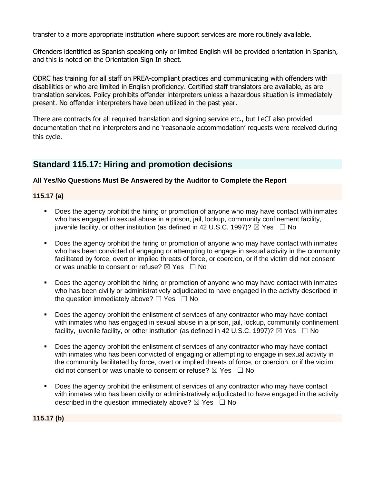transfer to a more appropriate institution where support services are more routinely available.

Offenders identified as Spanish speaking only or limited English will be provided orientation in Spanish, and this is noted on the Orientation Sign In sheet.

ODRC has training for all staff on PREA-compliant practices and communicating with offenders with disabilities or who are limited in English proficiency. Certified staff translators are available, as are translation services. Policy prohibits offender interpreters unless a hazardous situation is immediately present. No offender interpreters have been utilized in the past year.

There are contracts for all required translation and signing service etc., but LeCI also provided documentation that no interpreters and no 'reasonable accommodation' requests were received during this cycle.

## **Standard 115.17: Hiring and promotion decisions**

## **All Yes/No Questions Must Be Answered by the Auditor to Complete the Report**

**115.17 (a)**

- Does the agency prohibit the hiring or promotion of anyone who may have contact with inmates who has engaged in sexual abuse in a prison, jail, lockup, community confinement facility, juvenile facility, or other institution (as defined in 42 U.S.C. 1997)?  $\boxtimes$  Yes  $\Box$  No
- Does the agency prohibit the hiring or promotion of anyone who may have contact with inmates who has been convicted of engaging or attempting to engage in sexual activity in the community facilitated by force, overt or implied threats of force, or coercion, or if the victim did not consent or was unable to consent or refuse?  $\boxtimes$  Yes  $\Box$  No
- Does the agency prohibit the hiring or promotion of anyone who may have contact with inmates who has been civilly or administratively adjudicated to have engaged in the activity described in the question immediately above?  $\Box$  Yes  $\Box$  No
- Does the agency prohibit the enlistment of services of any contractor who may have contact with inmates who has engaged in sexual abuse in a prison, jail, lockup, community confinement facility, iuvenile facility, or other institution (as defined in 42 U.S.C. 1997)?  $\boxtimes$  Yes  $\Box$  No
- Does the agency prohibit the enlistment of services of any contractor who may have contact with inmates who has been convicted of engaging or attempting to engage in sexual activity in the community facilitated by force, overt or implied threats of force, or coercion, or if the victim did not consent or was unable to consent or refuse?  $\boxtimes$  Yes  $\Box$  No
- Does the agency prohibit the enlistment of services of any contractor who may have contact with inmates who has been civilly or administratively adjudicated to have engaged in the activity described in the question immediately above?  $\boxtimes$  Yes  $\Box$  No

**115.17 (b)**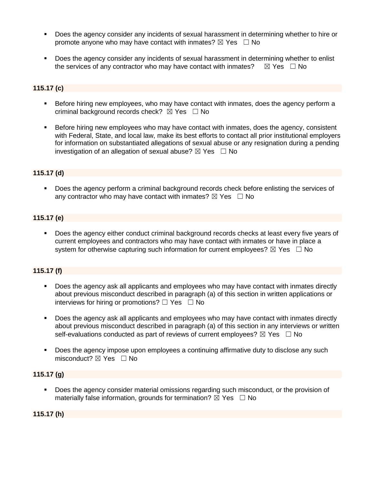- Does the agency consider any incidents of sexual harassment in determining whether to hire or promote anyone who may have contact with inmates?  $\boxtimes$  Yes  $\Box$  No
- **Does the agency consider any incidents of sexual harassment in determining whether to enlist** the services of any contractor who may have contact with inmates?  $\boxtimes$  Yes  $\Box$  No

## **115.17 (c)**

- **EXEL Before hiring new employees, who may have contact with inmates, does the agency perform a** criminal background records check?  $\boxtimes$  Yes  $\Box$  No
- Before hiring new employees who may have contact with inmates, does the agency, consistent with Federal, State, and local law, make its best efforts to contact all prior institutional employers for information on substantiated allegations of sexual abuse or any resignation during a pending investigation of an allegation of sexual abuse?  $\boxtimes$  Yes  $\Box$  No

#### **115.17 (d)**

▪ Does the agency perform a criminal background records check before enlisting the services of any contractor who may have contact with inmates?  $\boxtimes$  Yes  $\Box$  No

#### **115.17 (e)**

▪ Does the agency either conduct criminal background records checks at least every five years of current employees and contractors who may have contact with inmates or have in place a system for otherwise capturing such information for current employees?  $\boxtimes$  Yes  $\Box$  No

#### **115.17 (f)**

- **•** Does the agency ask all applicants and employees who may have contact with inmates directly about previous misconduct described in paragraph (a) of this section in written applications or interviews for hiring or promotions?  $\Box$  Yes  $\Box$  No
- Does the agency ask all applicants and employees who may have contact with inmates directly about previous misconduct described in paragraph (a) of this section in any interviews or written self-evaluations conducted as part of reviews of current employees?  $\boxtimes$  Yes  $\Box$  No
- Does the agency impose upon employees a continuing affirmative duty to disclose any such misconduct?  $\boxtimes$  Yes  $\Box$  No

#### **115.17 (g)**

■ Does the agency consider material omissions regarding such misconduct, or the provision of materially false information, grounds for termination?  $\boxtimes$  Yes  $\Box$  No

**115.17 (h)**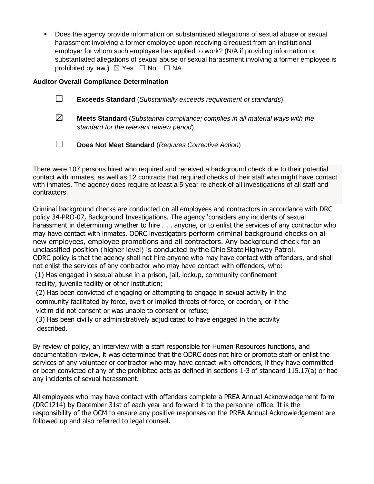Does the agency provide information on substantiated allegations of sexual abuse or sexual harassment involving a former employee upon receiving a request from an institutional employer for whom such employee has applied to work? (N/A if providing information on substantiated allegations of sexual abuse or sexual harassment involving a former employee is prohibited by law.)  $\boxtimes$  Yes  $\Box$  No  $\Box$  NA

## **Auditor Overall Compliance Determination**

| <b>Exceeds Standard</b> (Substantially exceeds requirement of standards)<br>$\Box$ |  |  |  |  |
|------------------------------------------------------------------------------------|--|--|--|--|
|------------------------------------------------------------------------------------|--|--|--|--|

- ☒ **Meets Standard** (*Substantial compliance; complies in all material ways with the standard for the relevant review period*)
- ☐ **Does Not Meet Standard** (*Requires Corrective Action*)

There were 107 persons hired who required and received a background check due to their potential contact with inmates, as well as 12 contracts that required checks of their staff who might have contact with inmates. The agency does require at least a 5-year re-check of all investigations of all staff and contractors.

Criminal background checks are conducted on all employees and contractors in accordance with DRC policy 34-PRO-07, Background Investigations. The agency 'considers any incidents of sexual harassment in determining whether to hire . . . anyone, or to enlist the services of any contractor who may have contact with inmates. ODRC investigators perform criminal background checks on all new employees, employee promotions and all contractors. Any background check for an unclassified position (higher level) is conducted by the Ohio State Highway Patrol. ODRC policy is that the agency shall not hire anyone who may have contact with offenders, and shall not enlist the services of any contractor who may have contact with offenders, who:

(1) Has engaged in sexual abuse in a prison, jail, lockup, community confinement facility, juvenile facility or other institution;

(2) Has been convicted of engaging or attempting to engage in sexual activity in the community facilitated by force, overt or implied threats of force, or coercion, or if the victim did not consent or was unable to consent or refuse;

(3) Has been civilly or administratively adjudicated to have engaged in the activity described.

By review of policy, an interview with a staff responsible for Human Resources functions, and documentation review, it was determined that the ODRC does not hire or promote staff or enlist the services of any volunteer or contractor who may have contact with offenders, if they have committed or been convicted of any of the prohibited acts as defined in sections 1-3 of standard 115.17(a) or had any incidents of sexual harassment.

All employees who may have contact with offenders complete a PREA Annual Acknowledgement form (DRC1214) by December 31st of each year and forward it to the personnel office. It is the responsibility of the OCM to ensure any positive responses on the PREA Annual Acknowledgement are followed up and also referred to legal counsel.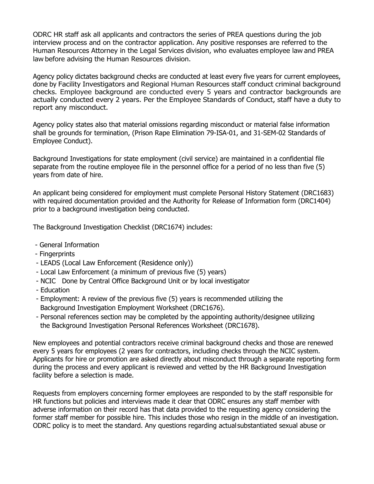ODRC HR staff ask all applicants and contractors the series of PREA questions during the job interview process and on the contractor application. Any positive responses are referred to the Human Resources Attorney in the Legal Services division, who evaluates employee law and PREA law before advising the Human Resources division.

Agency policy dictates background checks are conducted at least every five years for current employees, done by Facility Investigators and Regional Human Resources staff conduct criminal background checks. Employee background are conducted every 5 years and contractor backgrounds are actually conducted every 2 years. Per the Employee Standards of Conduct, staff have a duty to report any misconduct.

Agency policy states also that material omissions regarding misconduct or material false information shall be grounds for termination, (Prison Rape Elimination 79-ISA-01, and 31-SEM-02 Standards of Employee Conduct).

Background Investigations for state employment (civil service) are maintained in a confidential file separate from the routine employee file in the personnel office for a period of no less than five (5) years from date of hire.

An applicant being considered for employment must complete Personal History Statement (DRC1683) with required documentation provided and the Authority for Release of Information form (DRC1404) prior to a background investigation being conducted.

The Background Investigation Checklist (DRC1674) includes:

- General Information
- Fingerprints
- LEADS (Local Law Enforcement (Residence only))
- Local Law Enforcement (a minimum of previous five (5) years)
- NCIC Done by Central Office Background Unit or by local investigator
- Education
- Employment: A review of the previous five (5) years is recommended utilizing the Background Investigation Employment Worksheet (DRC1676).
- Personal references section may be completed by the appointing authority/designee utilizing the Background Investigation Personal References Worksheet (DRC1678).

New employees and potential contractors receive criminal background checks and those are renewed every 5 years for employees (2 years for contractors, including checks through the NCIC system. Applicants for hire or promotion are asked directly about misconduct through a separate reporting form during the process and every applicant is reviewed and vetted by the HR Background Investigation facility before a selection is made.

Requests from employers concerning former employees are responded to by the staff responsible for HR functions but policies and interviews made it clear that ODRC ensures any staff member with adverse information on their record has that data provided to the requesting agency considering the former staff member for possible hire. This includes those who resign in the middle of an investigation. ODRC policy is to meet the standard. Any questions regarding actualsubstantiated sexual abuse or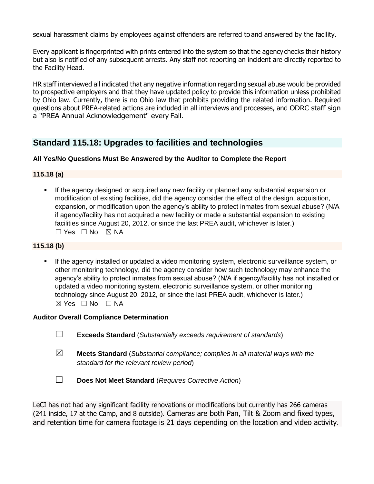sexual harassment claims by employees against offenders are referred to and answered by the facility.

Every applicant is fingerprinted with prints entered into the system so that the agencychecks their history but also is notified of any subsequent arrests. Any staff not reporting an incident are directly reported to the Facility Head.

HR staff interviewed all indicated that any negative information regarding sexual abuse would be provided to prospective employers and that they have updated policy to provide this information unless prohibited by Ohio law. Currently, there is no Ohio law that prohibits providing the related information. Required questions about PREA-related actions are included in all interviews and processes, and ODRC staff sign a "PREA Annual Acknowledgement" every Fall.

## **Standard 115.18: Upgrades to facilities and technologies**

## **All Yes/No Questions Must Be Answered by the Auditor to Complete the Report**

## **115.18 (a)**

If the agency designed or acquired any new facility or planned any substantial expansion or modification of existing facilities, did the agency consider the effect of the design, acquisition, expansion, or modification upon the agency's ability to protect inmates from sexual abuse? (N/A if agency/facility has not acquired a new facility or made a substantial expansion to existing facilities since August 20, 2012, or since the last PREA audit, whichever is later.) ☐ Yes ☐ No ☒ NA

## **115.18 (b)**

**.** If the agency installed or updated a video monitoring system, electronic surveillance system, or other monitoring technology, did the agency consider how such technology may enhance the agency's ability to protect inmates from sexual abuse? (N/A if agency/facility has not installed or updated a video monitoring system, electronic surveillance system, or other monitoring technology since August 20, 2012, or since the last PREA audit, whichever is later.) ☒ Yes ☐ No ☐ NA

## **Auditor Overall Compliance Determination**

- ☐ **Exceeds Standard** (*Substantially exceeds requirement of standards*)
- ☒ **Meets Standard** (*Substantial compliance; complies in all material ways with the standard for the relevant review period*)
- ☐ **Does Not Meet Standard** (*Requires Corrective Action*)

LeCI has not had any significant facility renovations or modifications but currently has 266 cameras (241 inside, 17 at the Camp, and 8 outside). Cameras are both Pan, Tilt & Zoom and fixed types, and retention time for camera footage is 21 days depending on the location and video activity.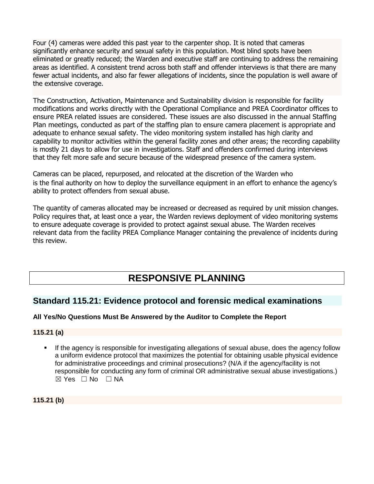Four (4) cameras were added this past year to the carpenter shop. It is noted that cameras significantly enhance security and sexual safety in this population. Most blind spots have been eliminated or greatly reduced; the Warden and executive staff are continuing to address the remaining areas as identified. A consistent trend across both staff and offender interviews is that there are many fewer actual incidents, and also far fewer allegations of incidents, since the population is well aware of the extensive coverage.

The Construction, Activation, Maintenance and Sustainability division is responsible for facility modifications and works directly with the Operational Compliance and PREA Coordinator offices to ensure PREA related issues are considered. These issues are also discussed in the annual Staffing Plan meetings, conducted as part of the staffing plan to ensure camera placement is appropriate and adequate to enhance sexual safety. The video monitoring system installed has high clarity and capability to monitor activities within the general facility zones and other areas; the recording capability is mostly 21 days to allow for use in investigations. Staff and offenders confirmed during interviews that they felt more safe and secure because of the widespread presence of the camera system.

Cameras can be placed, repurposed, and relocated at the discretion of the Warden who is the final authority on how to deploy the surveillance equipment in an effort to enhance the agency's ability to protect offenders from sexual abuse.

The quantity of cameras allocated may be increased or decreased as required by unit mission changes. Policy requires that, at least once a year, the Warden reviews deployment of video monitoring systems to ensure adequate coverage is provided to protect against sexual abuse. The Warden receives relevant data from the facility PREA Compliance Manager containing the prevalence of incidents during this review.

# **RESPONSIVE PLANNING**

## **Standard 115.21: Evidence protocol and forensic medical examinations**

## **All Yes/No Questions Must Be Answered by the Auditor to Complete the Report**

## **115.21 (a)**

If the agency is responsible for investigating allegations of sexual abuse, does the agency follow a uniform evidence protocol that maximizes the potential for obtaining usable physical evidence for administrative proceedings and criminal prosecutions? (N/A if the agency/facility is not responsible for conducting any form of criminal OR administrative sexual abuse investigations.)  $\boxtimes$  Yes  $\Box$  No  $\Box$  NA

**115.21 (b)**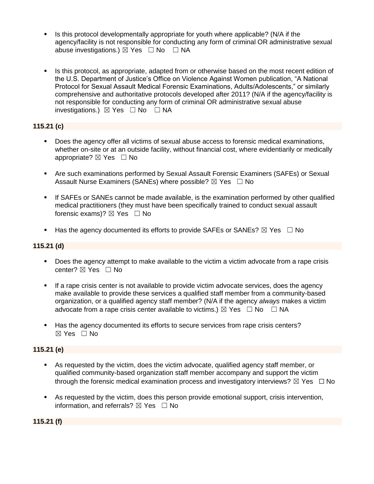- Is this protocol developmentally appropriate for youth where applicable? (N/A if the agency/facility is not responsible for conducting any form of criminal OR administrative sexual abuse investigations.)  $\boxtimes$  Yes  $\Box$  No  $\Box$  NA
- Is this protocol, as appropriate, adapted from or otherwise based on the most recent edition of the U.S. Department of Justice's Office on Violence Against Women publication, "A National Protocol for Sexual Assault Medical Forensic Examinations, Adults/Adolescents," or similarly comprehensive and authoritative protocols developed after 2011? (N/A if the agency/facility is not responsible for conducting any form of criminal OR administrative sexual abuse investigations.)  $\boxtimes$  Yes  $\Box$  No  $\Box$  NA

## **115.21 (c)**

- Does the agency offer all victims of sexual abuse access to forensic medical examinations, whether on-site or at an outside facility, without financial cost, where evidentiarily or medically appropriate?  $\boxtimes$  Yes  $\Box$  No
- **EXECT** Are such examinations performed by Sexual Assault Forensic Examiners (SAFEs) or Sexual Assault Nurse Examiners (SANEs) where possible?  $\boxtimes$  Yes  $\Box$  No
- **.** If SAFEs or SANEs cannot be made available, is the examination performed by other qualified medical practitioners (they must have been specifically trained to conduct sexual assault forensic exams)?  $\boxtimes$  Yes  $\Box$  No
- Has the agency documented its efforts to provide SAFEs or SANEs?  $\boxtimes$  Yes  $\Box$  No

## **115.21 (d)**

- Does the agency attempt to make available to the victim a victim advocate from a rape crisis center? ⊠ Yes □ No
- **.** If a rape crisis center is not available to provide victim advocate services, does the agency make available to provide these services a qualified staff member from a community-based organization, or a qualified agency staff member? (N/A if the agency *always* makes a victim advocate from a rape crisis center available to victims.)  $\boxtimes$  Yes  $\Box$  No  $\Box$  NA
- Has the agency documented its efforts to secure services from rape crisis centers? ☒ Yes ☐ No

## **115.21 (e)**

- As requested by the victim, does the victim advocate, qualified agency staff member, or qualified community-based organization staff member accompany and support the victim through the forensic medical examination process and investigatory interviews?  $\boxtimes$  Yes  $\Box$  No
- As requested by the victim, does this person provide emotional support, crisis intervention, information, and referrals?  $\boxtimes$  Yes  $\Box$  No

**115.21 (f)**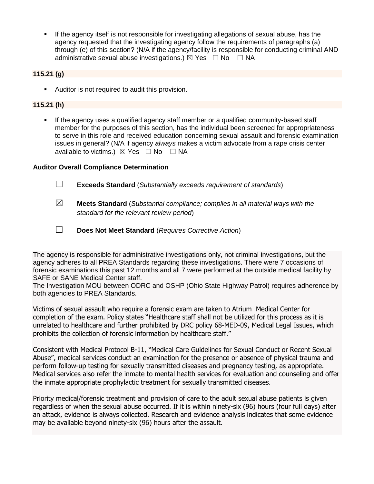**.** If the agency itself is not responsible for investigating allegations of sexual abuse, has the agency requested that the investigating agency follow the requirements of paragraphs (a) through (e) of this section? (N/A if the agency/facility is responsible for conducting criminal AND administrative sexual abuse investigations.)  $\boxtimes$  Yes  $\Box$  No  $\Box$  NA

## **115.21 (g)**

■ Auditor is not required to audit this provision.

## **115.21 (h)**

▪ If the agency uses a qualified agency staff member or a qualified community-based staff member for the purposes of this section, has the individual been screened for appropriateness to serve in this role and received education concerning sexual assault and forensic examination issues in general? (N/A if agency *always* makes a victim advocate from a rape crisis center available to victims.)  $\boxtimes$  Yes  $\Box$  No  $\Box$  NA

## **Auditor Overall Compliance Determination**

- ☐ **Exceeds Standard** (*Substantially exceeds requirement of standards*)
- ☒ **Meets Standard** (*Substantial compliance; complies in all material ways with the standard for the relevant review period*)
- ☐ **Does Not Meet Standard** (*Requires Corrective Action*)

The agency is responsible for administrative investigations only, not criminal investigations, but the agency adheres to all PREA Standards regarding these investigations. There were 7 occasions of forensic examinations this past 12 months and all 7 were performed at the outside medical facility by SAFE or SANE Medical Center staff.

The Investigation MOU between ODRC and OSHP (Ohio State Highway Patrol) requires adherence by both agencies to PREA Standards.

Victims of sexual assault who require a forensic exam are taken to Atrium Medical Center for completion of the exam. Policy states "Healthcare staff shall not be utilized for this process as it is unrelated to healthcare and further prohibited by DRC policy 68-MED-09, Medical Legal Issues, which prohibits the collection of forensic information by healthcare staff."

Consistent with Medical Protocol B-11, "Medical Care Guidelines for Sexual Conduct or Recent Sexual Abuse", medical services conduct an examination for the presence or absence of physical trauma and perform follow-up testing for sexually transmitted diseases and pregnancy testing, as appropriate. Medical services also refer the inmate to mental health services for evaluation and counseling and offer the inmate appropriate prophylactic treatment for sexually transmitted diseases.

Priority medical/forensic treatment and provision of care to the adult sexual abuse patients is given regardless of when the sexual abuse occurred. If it is within ninety-six (96) hours (four full days) after an attack, evidence is always collected. Research and evidence analysis indicates that some evidence may be available beyond ninety-six (96) hours after the assault.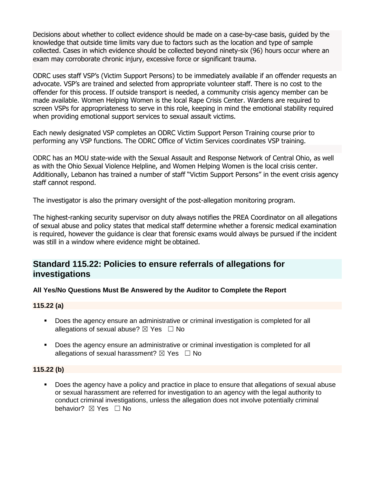Decisions about whether to collect evidence should be made on a case-by-case basis, guided by the knowledge that outside time limits vary due to factors such as the location and type of sample collected. Cases in which evidence should be collected beyond ninety-six (96) hours occur where an exam may corroborate chronic injury, excessive force or significant trauma.

ODRC uses staff VSP's (Victim Support Persons) to be immediately available if an offender requests an advocate. VSP's are trained and selected from appropriate volunteer staff. There is no cost to the offender for this process. If outside transport is needed, a community crisis agency member can be made available. Women Helping Women is the local Rape Crisis Center. Wardens are required to screen VSPs for appropriateness to serve in this role, keeping in mind the emotional stability required when providing emotional support services to sexual assault victims.

Each newly designated VSP completes an ODRC Victim Support Person Training course prior to performing any VSP functions. The ODRC Office of Victim Services coordinates VSP training.

ODRC has an MOU state-wide with the Sexual Assault and Response Network of Central Ohio, as well as with the Ohio Sexual Violence Helpline, and Women Helping Women is the local crisis center. Additionally, Lebanon has trained a number of staff "Victim Support Persons" in the event crisis agency staff cannot respond.

The investigator is also the primary oversight of the post-allegation monitoring program.

The highest-ranking security supervisor on duty always notifies the PREA Coordinator on all allegations of sexual abuse and policy states that medical staff determine whether a forensic medical examination is required, however the guidance is clear that forensic exams would always be pursued if the incident was still in a window where evidence might be obtained.

## **Standard 115.22: Policies to ensure referrals of allegations for investigations**

## **All Yes/No Questions Must Be Answered by the Auditor to Complete the Report**

#### **115.22 (a)**

- Does the agency ensure an administrative or criminal investigation is completed for all allegations of sexual abuse?  $\boxtimes$  Yes  $\Box$  No
- Does the agency ensure an administrative or criminal investigation is completed for all allegations of sexual harassment?  $\boxtimes$  Yes  $\Box$  No

## **115.22 (b)**

Does the agency have a policy and practice in place to ensure that allegations of sexual abuse or sexual harassment are referred for investigation to an agency with the legal authority to conduct criminal investigations, unless the allegation does not involve potentially criminal behavior? **⊠** Yes □ No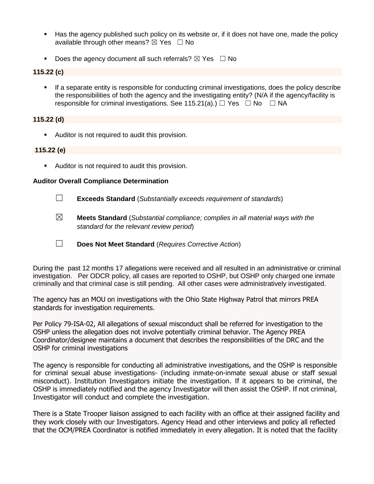- Has the agency published such policy on its website or, if it does not have one, made the policy available through other means?  $\boxtimes$  Yes  $\Box$  No
- **•** Does the agency document all such referrals?  $\boxtimes$  Yes  $\Box$  No

## **115.22 (c)**

**EXT** If a separate entity is responsible for conducting criminal investigations, does the policy describe the responsibilities of both the agency and the investigating entity? (N/A if the agency/facility is responsible for criminal investigations. See 115.21(a).)  $\Box$  Yes  $\Box$  No  $\Box$  NA

## **115.22 (d)**

■ Auditor is not required to audit this provision.

## **115.22 (e)**

■ Auditor is not required to audit this provision.

## **Auditor Overall Compliance Determination**

- ☐ **Exceeds Standard** (*Substantially exceeds requirement of standards*)
- ☒ **Meets Standard** (*Substantial compliance; complies in all material ways with the standard for the relevant review period*)
- ☐ **Does Not Meet Standard** (*Requires Corrective Action*)

During the past 12 months 17 allegations were received and all resulted in an administrative or criminal investigation. Per ODCR policy, all cases are reported to OSHP, but OSHP only charged one inmate criminally and that criminal case is still pending. All other cases were administratively investigated.

The agency has an MOU on investigations with the Ohio State Highway Patrol that mirrors PREA standards for investigation requirements.

Per Policy 79-ISA-02, All allegations of sexual misconduct shall be referred for investigation to the OSHP unless the allegation does not involve potentially criminal behavior. The Agency PREA Coordinator/designee maintains a document that describes the responsibilities of the DRC and the OSHP for criminal investigations

The agency is responsible for conducting all administrative investigations, and the OSHP is responsible for criminal sexual abuse investigations- (including inmate-on-inmate sexual abuse or staff sexual misconduct). Institution Investigators initiate the investigation. If it appears to be criminal, the OSHP is immediately notified and the agency Investigator will then assist the OSHP. If not criminal, Investigator will conduct and complete the investigation.

There is a State Trooper liaison assigned to each facility with an office at their assigned facility and they work closely with our Investigators. Agency Head and other interviews and policy all reflected that the OCM/PREA Coordinator is notified immediately in every allegation. It is noted that the facility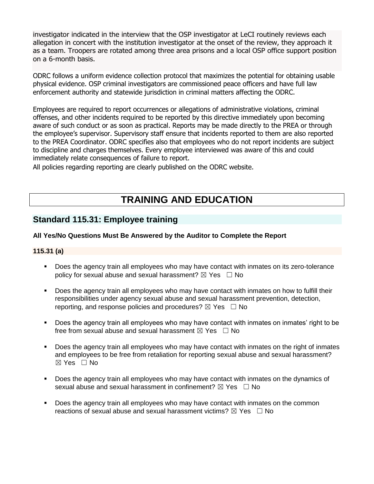investigator indicated in the interview that the OSP investigator at LeCI routinely reviews each allegation in concert with the institution investigator at the onset of the review, they approach it as a team. Troopers are rotated among three area prisons and a local OSP office support position on a 6-month basis.

ODRC follows a uniform evidence collection protocol that maximizes the potential for obtaining usable physical evidence. OSP criminal investigators are commissioned peace officers and have full law enforcement authority and statewide jurisdiction in criminal matters affecting the ODRC.

Employees are required to report occurrences or allegations of administrative violations, criminal offenses, and other incidents required to be reported by this directive immediately upon becoming aware of such conduct or as soon as practical. Reports may be made directly to the PREA or through the employee's supervisor. Supervisory staff ensure that incidents reported to them are also reported to the PREA Coordinator. ODRC specifies also that employees who do not report incidents are subject to discipline and charges themselves. Every employee interviewed was aware of this and could immediately relate consequences of failure to report.

All policies regarding reporting are clearly published on the ODRC website.

# **TRAINING AND EDUCATION**

## **Standard 115.31: Employee training**

## **All Yes/No Questions Must Be Answered by the Auditor to Complete the Report**

## **115.31 (a)**

- Does the agency train all employees who may have contact with inmates on its zero-tolerance policy for sexual abuse and sexual harassment?  $\boxtimes$  Yes  $\Box$  No
- **•** Does the agency train all employees who may have contact with inmates on how to fulfill their responsibilities under agency sexual abuse and sexual harassment prevention, detection, reporting, and response policies and procedures?  $\boxtimes$  Yes  $\Box$  No
- Does the agency train all employees who may have contact with inmates on inmates' right to be free from sexual abuse and sexual harassment  $\boxtimes$  Yes  $\Box$  No
- Does the agency train all employees who may have contact with inmates on the right of inmates and employees to be free from retaliation for reporting sexual abuse and sexual harassment? ☒ Yes ☐ No
- Does the agency train all employees who may have contact with inmates on the dynamics of sexual abuse and sexual harassment in confinement?  $\boxtimes$  Yes  $\Box$  No
- Does the agency train all employees who may have contact with inmates on the common reactions of sexual abuse and sexual harassment victims?  $\boxtimes$  Yes  $\Box$  No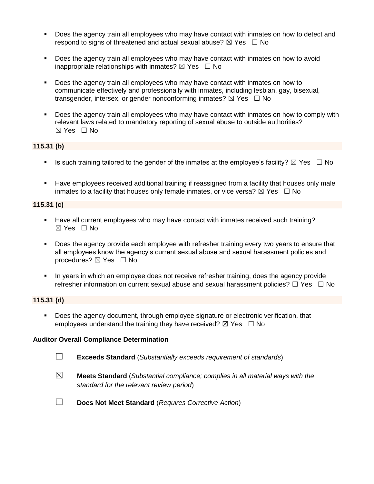- Does the agency train all employees who may have contact with inmates on how to detect and respond to signs of threatened and actual sexual abuse?  $\boxtimes$  Yes  $\Box$  No
- Does the agency train all employees who may have contact with inmates on how to avoid inappropriate relationships with inmates?  $\boxtimes$  Yes  $\Box$  No
- Does the agency train all employees who may have contact with inmates on how to communicate effectively and professionally with inmates, including lesbian, gay, bisexual, transgender, intersex, or gender nonconforming inmates?  $\boxtimes$  Yes  $\Box$  No
- Does the agency train all employees who may have contact with inmates on how to comply with relevant laws related to mandatory reporting of sexual abuse to outside authorities?  $\boxtimes$  Yes  $\Box$  No

## **115.31 (b)**

- **■** Is such training tailored to the gender of the inmates at the employee's facility?  $\boxtimes$  Yes  $\Box$  No
- **EXECT** Have employees received additional training if reassigned from a facility that houses only male inmates to a facility that houses only female inmates, or vice versa?  $\boxtimes$  Yes  $\Box$  No

## **115.31 (c)**

- Have all current employees who may have contact with inmates received such training? ☒ Yes ☐ No
- Does the agency provide each employee with refresher training every two years to ensure that all employees know the agency's current sexual abuse and sexual harassment policies and procedures?  $\boxtimes$  Yes  $\Box$  No
- In years in which an employee does not receive refresher training, does the agency provide refresher information on current sexual abuse and sexual harassment policies?  $\Box$  Yes  $\Box$  No

#### **115.31 (d)**

▪ Does the agency document, through employee signature or electronic verification, that employees understand the training they have received?  $\boxtimes$  Yes  $\Box$  No

## **Auditor Overall Compliance Determination**

- ☐ **Exceeds Standard** (*Substantially exceeds requirement of standards*)
- ☒ **Meets Standard** (*Substantial compliance; complies in all material ways with the standard for the relevant review period*)
- ☐ **Does Not Meet Standard** (*Requires Corrective Action*)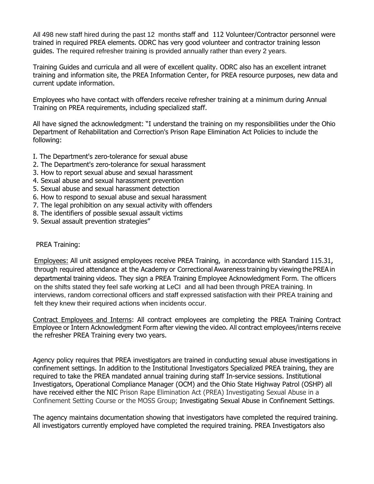All 498 new staff hired during the past 12 months staff and 112 Volunteer/Contractor personnel were trained in required PREA elements. ODRC has very good volunteer and contractor training lesson guides. The required refresher training is provided annually rather than every 2 years.

Training Guides and curricula and all were of excellent quality. ODRC also has an excellent intranet training and information site, the PREA Information Center, for PREA resource purposes, new data and current update information.

Employees who have contact with offenders receive refresher training at a minimum during Annual Training on PREA requirements, including specialized staff.

All have signed the acknowledgment: "I understand the training on my responsibilities under the Ohio Department of Rehabilitation and Correction's Prison Rape Elimination Act Policies to include the following:

- I. The Department's zero-tolerance for sexual abuse
- 2. The Department's zero-tolerance for sexual harassment
- 3. How to report sexual abuse and sexual harassment
- 4. Sexual abuse and sexual harassment prevention
- 5. Sexual abuse and sexual harassment detection
- 6. How to respond to sexual abuse and sexual harassment
- 7. The legal prohibition on any sexual activity with offenders
- 8. The identifiers of possible sexual assault victims
- 9. Sexual assault prevention strategies"

#### PREA Training:

Employees: All unit assigned employees receive PREA Training, in accordance with Standard 115.31, through required attendance at the Academy or Correctional Awareness training by viewing the PREA in departmental training videos. They sign a PREA Training Employee Acknowledgment Form. The officers on the shifts stated they feel safe working at LeCI and all had been through PREA training. In interviews, random correctional officers and staff expressed satisfaction with their PREA training and felt they knew their required actions when incidents occur.

Contract Employees and Interns: All contract employees are completing the PREA Training Contract Employee or Intern Acknowledgment Form after viewing the video. All contract employees/interns receive the refresher PREA Training every two years.

Agency policy requires that PREA investigators are trained in conducting sexual abuse investigations in confinement settings. In addition to the Institutional Investigators Specialized PREA training, they are required to take the PREA mandated annual training during staff In-service sessions. Institutional Investigators, Operational Compliance Manager (OCM) and the Ohio State Highway Patrol (OSHP) all have received either the NIC Prison Rape Elimination Act (PREA) Investigating Sexual Abuse in a Confinement Setting Course or the MOSS Group; Investigating Sexual Abuse in Confinement Settings.

The agency maintains documentation showing that investigators have completed the required training. All investigators currently employed have completed the required training. PREA Investigators also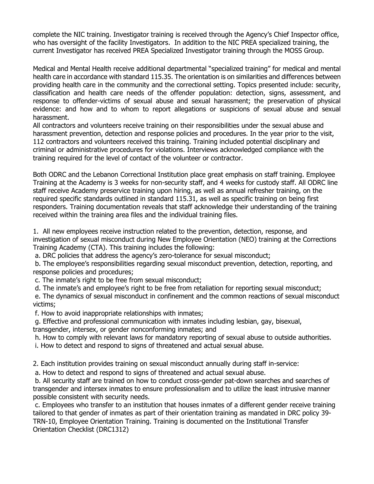complete the NIC training. Investigator training is received through the Agency's Chief Inspector office, who has oversight of the facility Investigators. In addition to the NIC PREA specialized training, the current Investigator has received PREA Specialized Investigator training through the MOSS Group.

Medical and Mental Health receive additional departmental "specialized training" for medical and mental health care in accordance with standard 115.35. The orientation is on similarities and differences between providing health care in the community and the correctional setting. Topics presented include: security, classification and health care needs of the offender population: detection, signs, assessment, and response to offender-victims of sexual abuse and sexual harassment; the preservation of physical evidence: and how and to whom to report allegations or suspicions of sexual abuse and sexual harassment.

All contractors and volunteers receive training on their responsibilities under the sexual abuse and harassment prevention, detection and response policies and procedures. In the year prior to the visit, 112 contractors and volunteers received this training. Training included potential disciplinary and criminal or administrative procedures for violations. Interviews acknowledged compliance with the training required for the level of contact of the volunteer or contractor.

Both ODRC and the Lebanon Correctional Institution place great emphasis on staff training. Employee Training at the Academy is 3 weeks for non-security staff, and 4 weeks for custody staff. All ODRC line staff receive Academy preservice training upon hiring, as well as annual refresher training, on the required specific standards outlined in standard 115.31, as well as specific training on being first responders. Training documentation reveals that staff acknowledge their understanding of the training received within the training area files and the individual training files.

1. All new employees receive instruction related to the prevention, detection, response, and investigation of sexual misconduct during New Employee Orientation (NEO) training at the Corrections Training Academy (CTA). This training includes the following:

a. DRC policies that address the agency's zero-tolerance for sexual misconduct;

b. The employee's responsibilities regarding sexual misconduct prevention, detection, reporting, and response policies and procedures;

c. The inmate's right to be free from sexual misconduct;

d. The inmate's and employee's right to be free from retaliation for reporting sexual misconduct;

e. The dynamics of sexual misconduct in confinement and the common reactions of sexual misconduct victims;

f. How to avoid inappropriate relationships with inmates;

g. Effective and professional communication with inmates including lesbian, gay, bisexual, transgender, intersex, or gender nonconforming inmates; and

h. How to comply with relevant laws for mandatory reporting of sexual abuse to outside authorities.

i. How to detect and respond to signs of threatened and actual sexual abuse.

2. Each institution provides training on sexual misconduct annually during staff in-service:

a. How to detect and respond to signs of threatened and actual sexual abuse.

b. All security staff are trained on how to conduct cross-gender pat-down searches and searches of transgender and intersex inmates to ensure professionalism and to utilize the least intrusive manner possible consistent with security needs.

c. Employees who transfer to an institution that houses inmates of a different gender receive training tailored to that gender of inmates as part of their orientation training as mandated in DRC policy 39- TRN-10, Employee Orientation Training. Training is documented on the Institutional Transfer Orientation Checklist (DRC1312)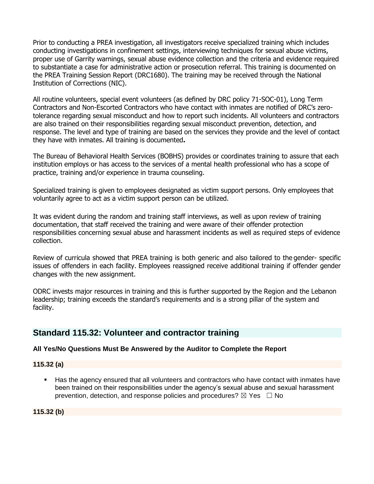Prior to conducting a PREA investigation, all investigators receive specialized training which includes conducting investigations in confinement settings, interviewing techniques for sexual abuse victims, proper use of Garrity warnings, sexual abuse evidence collection and the criteria and evidence required to substantiate a case for administrative action or prosecution referral. This training is documented on the PREA Training Session Report (DRC1680). The training may be received through the National Institution of Corrections (NIC).

All routine volunteers, special event volunteers (as defined by DRC policy 71-SOC-01), Long Term Contractors and Non-Escorted Contractors who have contact with inmates are notified of DRC's zerotolerance regarding sexual misconduct and how to report such incidents. All volunteers and contractors are also trained on their responsibilities regarding sexual misconduct prevention, detection, and response. The level and type of training are based on the services they provide and the level of contact they have with inmates. All training is documented**.**

The Bureau of Behavioral Health Services (BOBHS) provides or coordinates training to assure that each institution employs or has access to the services of a mental health professional who has a scope of practice, training and/or experience in trauma counseling.

Specialized training is given to employees designated as victim support persons. Only employees that voluntarily agree to act as a victim support person can be utilized.

It was evident during the random and training staff interviews, as well as upon review of training documentation, that staff received the training and were aware of their offender protection responsibilities concerning sexual abuse and harassment incidents as well as required steps of evidence collection.

Review of curricula showed that PREA training is both generic and also tailored to the gender- specific issues of offenders in each facility. Employees reassigned receive additional training if offender gender changes with the new assignment.

ODRC invests major resources in training and this is further supported by the Region and the Lebanon leadership; training exceeds the standard's requirements and is a strong pillar of the system and facility.

# **Standard 115.32: Volunteer and contractor training**

# **All Yes/No Questions Must Be Answered by the Auditor to Complete the Report**

#### **115.32 (a)**

Has the agency ensured that all volunteers and contractors who have contact with inmates have been trained on their responsibilities under the agency's sexual abuse and sexual harassment prevention, detection, and response policies and procedures?  $\boxtimes$  Yes  $\Box$  No

**115.32 (b)**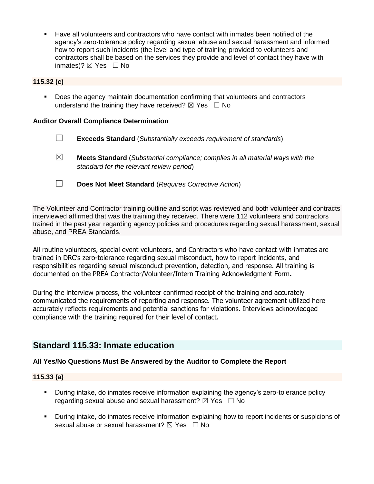Have all volunteers and contractors who have contact with inmates been notified of the agency's zero-tolerance policy regarding sexual abuse and sexual harassment and informed how to report such incidents (the level and type of training provided to volunteers and contractors shall be based on the services they provide and level of contact they have with inmates)?  $⊠$  Yes  $□$  No

### **115.32 (c)**

■ Does the agency maintain documentation confirming that volunteers and contractors understand the training they have received?  $\boxtimes$  Yes  $\Box$  No

#### **Auditor Overall Compliance Determination**

- ☐ **Exceeds Standard** (*Substantially exceeds requirement of standards*)
- ☒ **Meets Standard** (*Substantial compliance; complies in all material ways with the standard for the relevant review period*)
- ☐ **Does Not Meet Standard** (*Requires Corrective Action*)

The Volunteer and Contractor training outline and script was reviewed and both volunteer and contracts interviewed affirmed that was the training they received. There were 112 volunteers and contractors trained in the past year regarding agency policies and procedures regarding sexual harassment, sexual abuse, and PREA Standards.

All routine volunteers, special event volunteers, and Contractors who have contact with inmates are trained in DRC's zero-tolerance regarding sexual misconduct, how to report incidents, and responsibilities regarding sexual misconduct prevention, detection, and response. All training is documented on the PREA Contractor/Volunteer/Intern Training Acknowledgment Form**.**

During the interview process, the volunteer confirmed receipt of the training and accurately communicated the requirements of reporting and response. The volunteer agreement utilized here accurately reflects requirements and potential sanctions for violations. Interviews acknowledged compliance with the training required for their level of contact.

# **Standard 115.33: Inmate education**

#### **All Yes/No Questions Must Be Answered by the Auditor to Complete the Report**

#### **115.33 (a)**

- **•** During intake, do inmates receive information explaining the agency's zero-tolerance policy regarding sexual abuse and sexual harassment?  $\boxtimes$  Yes  $\Box$  No
- During intake, do inmates receive information explaining how to report incidents or suspicions of sexual abuse or sexual harassment?  $\boxtimes$  Yes  $\Box$  No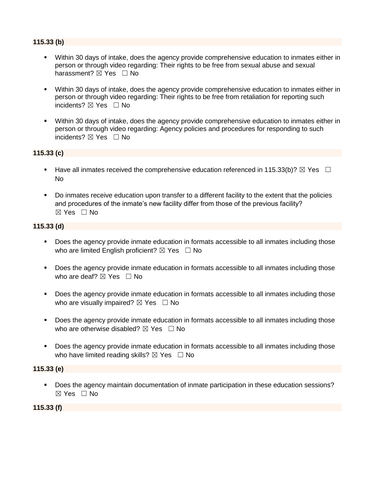#### **115.33 (b)**

- Within 30 days of intake, does the agency provide comprehensive education to inmates either in person or through video regarding: Their rights to be free from sexual abuse and sexual harassment?  $\boxtimes$  Yes  $\Box$  No
- Within 30 days of intake, does the agency provide comprehensive education to inmates either in person or through video regarding: Their rights to be free from retaliation for reporting such incidents?  $\boxtimes$  Yes  $\Box$  No
- Within 30 days of intake, does the agency provide comprehensive education to inmates either in person or through video regarding: Agency policies and procedures for responding to such incidents?  $\boxtimes$  Yes  $\Box$  No

#### **115.33 (c)**

- **■** Have all inmates received the comprehensive education referenced in 115.33(b)?  $\boxtimes$  Yes  $\Box$ No
- Do inmates receive education upon transfer to a different facility to the extent that the policies and procedures of the inmate's new facility differ from those of the previous facility? ☒ Yes ☐ No

#### **115.33 (d)**

- Does the agency provide inmate education in formats accessible to all inmates including those who are limited English proficient?  $\boxtimes$  Yes  $\Box$  No
- Does the agency provide inmate education in formats accessible to all inmates including those who are deaf?  $\boxtimes$  Yes  $\Box$  No
- **•** Does the agency provide inmate education in formats accessible to all inmates including those who are visually impaired?  $\boxtimes$  Yes  $\Box$  No
- Does the agency provide inmate education in formats accessible to all inmates including those who are otherwise disabled?  $\boxtimes$  Yes  $\Box$  No
- Does the agency provide inmate education in formats accessible to all inmates including those who have limited reading skills?  $\boxtimes$  Yes  $\Box$  No

#### **115.33 (e)**

▪ Does the agency maintain documentation of inmate participation in these education sessions? ☒ Yes ☐ No

#### **115.33 (f)**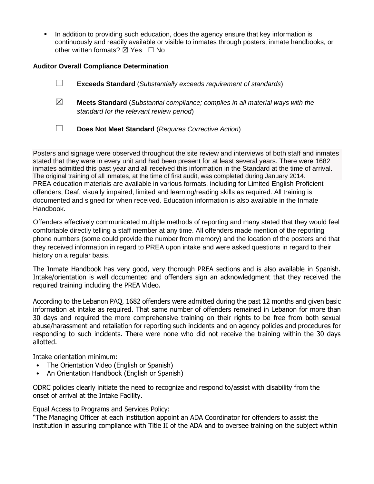**•** In addition to providing such education, does the agency ensure that key information is continuously and readily available or visible to inmates through posters, inmate handbooks, or other written formats?  $\boxtimes$  Yes  $\Box$  No

#### **Auditor Overall Compliance Determination**

|             | <b>Exceeds Standard</b> (Substantially exceeds requirement of standards)                                                          |
|-------------|-----------------------------------------------------------------------------------------------------------------------------------|
| $\boxtimes$ | <b>Meets Standard</b> (Substantial compliance; complies in all material ways with the<br>standard for the relevant review period) |
|             | Does Not Meet Standard (Requires Corrective Action)                                                                               |

Posters and signage were observed throughout the site review and interviews of both staff and inmates stated that they were in every unit and had been present for at least several years. There were 1682 inmates admitted this past year and all received this information in the Standard at the time of arrival. The original training of all inmates, at the time of first audit, was completed during January 2014. PREA education materials are available in various formats, including for Limited English Proficient offenders, Deaf, visually impaired, limited and learning/reading skills as required. All training is documented and signed for when received. Education information is also available in the Inmate Handbook.

Offenders effectively communicated multiple methods of reporting and many stated that they would feel comfortable directly telling a staff member at any time. All offenders made mention of the reporting phone numbers (some could provide the number from memory) and the location of the posters and that they received information in regard to PREA upon intake and were asked questions in regard to their history on a regular basis.

The Inmate Handbook has very good, very thorough PREA sections and is also available in Spanish. Intake/orientation is well documented and offenders sign an acknowledgment that they received the required training including the PREA Video.

According to the Lebanon PAQ, 1682 offenders were admitted during the past 12 months and given basic information at intake as required. That same number of offenders remained in Lebanon for more than 30 days and required the more comprehensive training on their rights to be free from both sexual abuse/harassment and retaliation for reporting such incidents and on agency policies and procedures for responding to such incidents. There were none who did not receive the training within the 30 days allotted.

Intake orientation minimum:

- The Orientation Video (English or Spanish)
- An Orientation Handbook (English or Spanish)

ODRC policies clearly initiate the need to recognize and respond to/assist with disability from the onset of arrival at the Intake Facility.

Equal Access to Programs and Services Policy:

"The Managing Officer at each institution appoint an ADA Coordinator for offenders to assist the institution in assuring compliance with Title II of the ADA and to oversee training on the subject within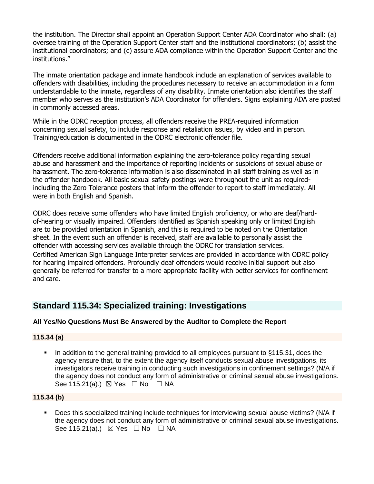the institution. The Director shall appoint an Operation Support Center ADA Coordinator who shall: (a) oversee training of the Operation Support Center staff and the institutional coordinators; (b) assist the institutional coordinators; and (c) assure ADA compliance within the Operation Support Center and the institutions."

The inmate orientation package and inmate handbook include an explanation of services available to offenders with disabilities, including the procedures necessary to receive an accommodation in a form understandable to the inmate, regardless of any disability. Inmate orientation also identifies the staff member who serves as the institution's ADA Coordinator for offenders. Signs explaining ADA are posted in commonly accessed areas.

While in the ODRC reception process, all offenders receive the PREA-required information concerning sexual safety, to include response and retaliation issues, by video and in person. Training/education is documented in the ODRC electronic offender file.

Offenders receive additional information explaining the zero-tolerance policy regarding sexual abuse and harassment and the importance of reporting incidents or suspicions of sexual abuse or harassment. The zero-tolerance information is also disseminated in all staff training as well as in the offender handbook. All basic sexual safety postings were throughout the unit as requiredincluding the Zero Tolerance posters that inform the offender to report to staff immediately. All were in both English and Spanish.

ODRC does receive some offenders who have limited English proficiency, or who are deaf/hardof-hearing or visually impaired. Offenders identified as Spanish speaking only or limited English are to be provided orientation in Spanish, and this is required to be noted on the Orientation sheet. In the event such an offender is received, staff are available to personally assist the offender with accessing services available through the ODRC for translation services. Certified American Sign Language Interpreter services are provided in accordance with ODRC policy for hearing impaired offenders. Profoundly deaf offenders would receive initial support but also generally be referred for transfer to a more appropriate facility with better services for confinement and care.

# **Standard 115.34: Specialized training: Investigations**

#### **All Yes/No Questions Must Be Answered by the Auditor to Complete the Report**

#### **115.34 (a)**

In addition to the general training provided to all employees pursuant to §115.31, does the agency ensure that, to the extent the agency itself conducts sexual abuse investigations, its investigators receive training in conducting such investigations in confinement settings? (N/A if the agency does not conduct any form of administrative or criminal sexual abuse investigations. See 115.21(a).)  $\boxtimes$  Yes  $\Box$  No  $\Box$  NA

#### **115.34 (b)**

▪ Does this specialized training include techniques for interviewing sexual abuse victims? (N/A if the agency does not conduct any form of administrative or criminal sexual abuse investigations. See 115.21(a).)  $\boxtimes$  Yes  $\Box$  No  $\Box$  NA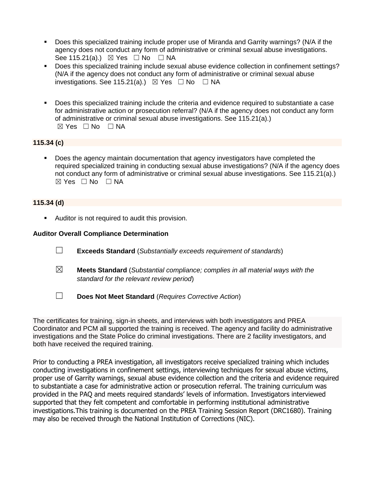- Does this specialized training include proper use of Miranda and Garrity warnings? (N/A if the agency does not conduct any form of administrative or criminal sexual abuse investigations. See 115.21(a).)  $\boxtimes$  Yes  $\Box$  No  $\Box$  NA
- Does this specialized training include sexual abuse evidence collection in confinement settings? (N/A if the agency does not conduct any form of administrative or criminal sexual abuse investigations. See 115.21(a).)  $\boxtimes$  Yes  $\Box$  No  $\Box$  NA
- Does this specialized training include the criteria and evidence required to substantiate a case for administrative action or prosecution referral? (N/A if the agency does not conduct any form of administrative or criminal sexual abuse investigations. See 115.21(a).)  $\boxtimes$  Yes  $\Box$  No  $\Box$  NA

## **115.34 (c)**

■ Does the agency maintain documentation that agency investigators have completed the required specialized training in conducting sexual abuse investigations? (N/A if the agency does not conduct any form of administrative or criminal sexual abuse investigations. See 115.21(a).) ☒ Yes ☐ No ☐ NA

#### **115.34 (d)**

**EXEC** Auditor is not required to audit this provision.

#### **Auditor Overall Compliance Determination**

- ☐ **Exceeds Standard** (*Substantially exceeds requirement of standards*)
- ☒ **Meets Standard** (*Substantial compliance; complies in all material ways with the standard for the relevant review period*)
- ☐ **Does Not Meet Standard** (*Requires Corrective Action*)

The certificates for training, sign-in sheets, and interviews with both investigators and PREA Coordinator and PCM all supported the training is received. The agency and facility do administrative investigations and the State Police do criminal investigations. There are 2 facility investigators, and both have received the required training.

Prior to conducting a PREA investigation, all investigators receive specialized training which includes conducting investigations in confinement settings, interviewing techniques for sexual abuse victims, proper use of Garrity warnings, sexual abuse evidence collection and the criteria and evidence required to substantiate a case for administrative action or prosecution referral. The training curriculum was provided in the PAQ and meets required standards' levels of information. Investigators interviewed supported that they felt competent and comfortable in performing institutional administrative investigations.This training is documented on the PREA Training Session Report (DRC1680). Training may also be received through the National Institution of Corrections (NIC).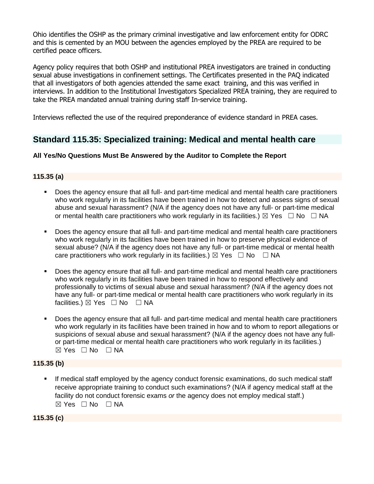Ohio identifies the OSHP as the primary criminal investigative and law enforcement entity for ODRC and this is cemented by an MOU between the agencies employed by the PREA are required to be certified peace officers.

Agency policy requires that both OSHP and institutional PREA investigators are trained in conducting sexual abuse investigations in confinement settings. The Certificates presented in the PAQ indicated that all investigators of both agencies attended the same exact training, and this was verified in interviews. In addition to the Institutional Investigators Specialized PREA training, they are required to take the PREA mandated annual training during staff In-service training.

Interviews reflected the use of the required preponderance of evidence standard in PREA cases.

# **Standard 115.35: Specialized training: Medical and mental health care**

# **All Yes/No Questions Must Be Answered by the Auditor to Complete the Report**

# **115.35 (a)**

- Does the agency ensure that all full- and part-time medical and mental health care practitioners who work regularly in its facilities have been trained in how to detect and assess signs of sexual abuse and sexual harassment? (N/A if the agency does not have any full- or part-time medical or mental health care practitioners who work regularly in its facilities.)  $\boxtimes$  Yes  $\Box$  No  $\Box$  NA
- Does the agency ensure that all full- and part-time medical and mental health care practitioners who work regularly in its facilities have been trained in how to preserve physical evidence of sexual abuse? (N/A if the agency does not have any full- or part-time medical or mental health care practitioners who work regularly in its facilities.)  $\boxtimes$  Yes  $\Box$  No  $\Box$  NA
- Does the agency ensure that all full- and part-time medical and mental health care practitioners who work regularly in its facilities have been trained in how to respond effectively and professionally to victims of sexual abuse and sexual harassment? (N/A if the agency does not have any full- or part-time medical or mental health care practitioners who work regularly in its facilities.) ⊠ Yes □ No □ NA
- Does the agency ensure that all full- and part-time medical and mental health care practitioners who work regularly in its facilities have been trained in how and to whom to report allegations or suspicions of sexual abuse and sexual harassment? (N/A if the agency does not have any fullor part-time medical or mental health care practitioners who work regularly in its facilities.)  $\boxtimes$  Yes  $\Box$  No  $\Box$  NA

# **115.35 (b)**

If medical staff employed by the agency conduct forensic examinations, do such medical staff receive appropriate training to conduct such examinations? (N/A if agency medical staff at the facility do not conduct forensic exams *or* the agency does not employ medical staff.) ☒ Yes ☐ No ☐ NA

**115.35 (c)**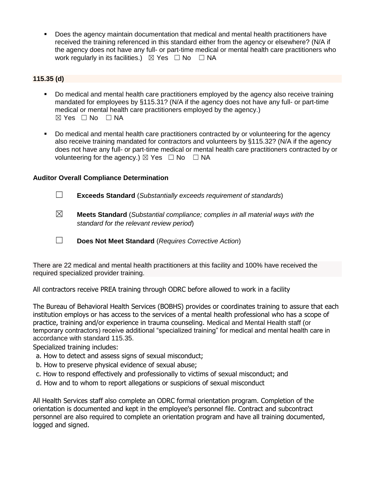▪ Does the agency maintain documentation that medical and mental health practitioners have received the training referenced in this standard either from the agency or elsewhere? (N/A if the agency does not have any full- or part-time medical or mental health care practitioners who work regularly in its facilities.)  $\boxtimes$  Yes  $\Box$  No  $\Box$  NA

### **115.35 (d)**

- Do medical and mental health care practitioners employed by the agency also receive training mandated for employees by §115.31? (N/A if the agency does not have any full- or part-time medical or mental health care practitioners employed by the agency.)  $\boxtimes$  Yes  $\Box$  No  $\Box$  NA
- Do medical and mental health care practitioners contracted by or volunteering for the agency also receive training mandated for contractors and volunteers by §115.32? (N/A if the agency does not have any full- or part-time medical or mental health care practitioners contracted by or volunteering for the agency.)  $\boxtimes$  Yes  $\Box$  No  $\Box$  NA

## **Auditor Overall Compliance Determination**

- ☐ **Exceeds Standard** (*Substantially exceeds requirement of standards*)
- ☒ **Meets Standard** (*Substantial compliance; complies in all material ways with the standard for the relevant review period*)
- ☐ **Does Not Meet Standard** (*Requires Corrective Action*)

There are 22 medical and mental health practitioners at this facility and 100% have received the required specialized provider training.

All contractors receive PREA training through ODRC before allowed to work in a facility

The Bureau of Behavioral Health Services (BOBHS) provides or coordinates training to assure that each institution employs or has access to the services of a mental health professional who has a scope of practice, training and/or experience in trauma counseling. Medical and Mental Health staff (or temporary contractors) receive additional "specialized training" for medical and mental health care in accordance with standard 115.35.

Specialized training includes:

- a. How to detect and assess signs of sexual misconduct;
- b. How to preserve physical evidence of sexual abuse;
- c. How to respond effectively and professionally to victims of sexual misconduct; and
- d. How and to whom to report allegations or suspicions of sexual misconduct

All Health Services staff also complete an ODRC formal orientation program. Completion of the orientation is documented and kept in the employee's personnel file. Contract and subcontract personnel are also required to complete an orientation program and have all training documented, logged and signed.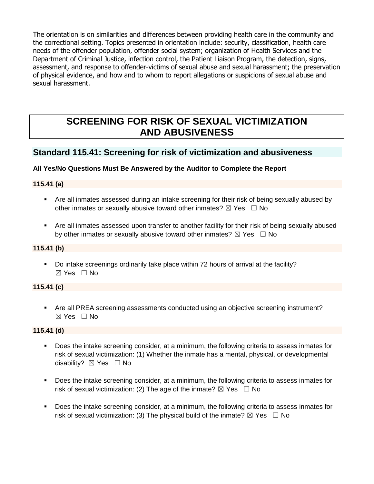The orientation is on similarities and differences between providing health care in the community and the correctional setting. Topics presented in orientation include: security, classification, health care needs of the offender population, offender social system; organization of Health Services and the Department of Criminal Justice, infection control, the Patient Liaison Program, the detection, signs, assessment, and response to offender-victims of sexual abuse and sexual harassment; the preservation of physical evidence, and how and to whom to report allegations or suspicions of sexual abuse and sexual harassment.

# **SCREENING FOR RISK OF SEXUAL VICTIMIZATION AND ABUSIVENESS**

# **Standard 115.41: Screening for risk of victimization and abusiveness**

# **All Yes/No Questions Must Be Answered by the Auditor to Complete the Report**

## **115.41 (a)**

- **•** Are all inmates assessed during an intake screening for their risk of being sexually abused by other inmates or sexually abusive toward other inmates?  $\boxtimes$  Yes  $\Box$  No
- Are all inmates assessed upon transfer to another facility for their risk of being sexually abused by other inmates or sexually abusive toward other inmates?  $\boxtimes$  Yes  $\Box$  No

# **115.41 (b)**

▪ Do intake screenings ordinarily take place within 72 hours of arrival at the facility? ☒ Yes ☐ No

# **115.41 (c)**

■ Are all PREA screening assessments conducted using an objective screening instrument? ☒ Yes ☐ No

#### **115.41 (d)**

- Does the intake screening consider, at a minimum, the following criteria to assess inmates for risk of sexual victimization: (1) Whether the inmate has a mental, physical, or developmental disability? ⊠ Yes □ No
- Does the intake screening consider, at a minimum, the following criteria to assess inmates for risk of sexual victimization: (2) The age of the inmate?  $\boxtimes$  Yes  $\Box$  No
- Does the intake screening consider, at a minimum, the following criteria to assess inmates for risk of sexual victimization: (3) The physical build of the inmate?  $\boxtimes$  Yes  $\Box$  No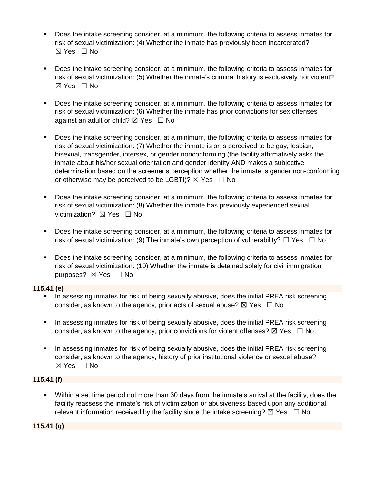- Does the intake screening consider, at a minimum, the following criteria to assess inmates for risk of sexual victimization: (4) Whether the inmate has previously been incarcerated?  $\boxtimes$  Yes  $\Box$  No
- Does the intake screening consider, at a minimum, the following criteria to assess inmates for risk of sexual victimization: (5) Whether the inmate's criminal history is exclusively nonviolent?  $\boxtimes$  Yes  $\Box$  No
- Does the intake screening consider, at a minimum, the following criteria to assess inmates for risk of sexual victimization: (6) Whether the inmate has prior convictions for sex offenses against an adult or child?  $\boxtimes$  Yes  $\Box$  No
- Does the intake screening consider, at a minimum, the following criteria to assess inmates for risk of sexual victimization: (7) Whether the inmate is or is perceived to be gay, lesbian, bisexual, transgender, intersex, or gender nonconforming (the facility affirmatively asks the inmate about his/her sexual orientation and gender identity AND makes a subjective determination based on the screener's perception whether the inmate is gender non-conforming or otherwise may be perceived to be LGBTI)?  $\boxtimes$  Yes  $\Box$  No
- Does the intake screening consider, at a minimum, the following criteria to assess inmates for risk of sexual victimization: (8) Whether the inmate has previously experienced sexual victimization? **⊠** Yes □ No
- Does the intake screening consider, at a minimum, the following criteria to assess inmates for risk of sexual victimization: (9) The inmate's own perception of vulnerability?  $\Box$  Yes  $\Box$  No
- Does the intake screening consider, at a minimum, the following criteria to assess inmates for risk of sexual victimization: (10) Whether the inmate is detained solely for civil immigration purposes? ⊠ Yes □ No

#### **115.41 (e)**

- **•** In assessing inmates for risk of being sexually abusive, does the initial PREA risk screening consider, as known to the agency, prior acts of sexual abuse?  $\boxtimes$  Yes  $\Box$  No
- **■** In assessing inmates for risk of being sexually abusive, does the initial PREA risk screening consider, as known to the agency, prior convictions for violent offenses?  $\boxtimes$  Yes  $\Box$  No
- **•** In assessing inmates for risk of being sexually abusive, does the initial PREA risk screening consider, as known to the agency, history of prior institutional violence or sexual abuse? ☒ Yes ☐ No

#### **115.41 (f)**

▪ Within a set time period not more than 30 days from the inmate's arrival at the facility, does the facility reassess the inmate's risk of victimization or abusiveness based upon any additional, relevant information received by the facility since the intake screening?  $\boxtimes$  Yes  $\Box$  No

# **115.41 (g)**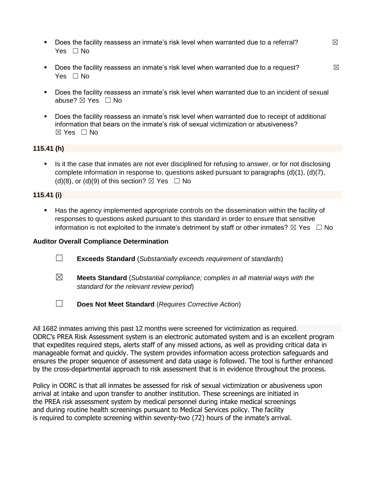- **•** Does the facility reassess an inmate's risk level when warranted due to a referral?  $\boxtimes$ Yes □ No
- **•** Does the facility reassess an inmate's risk level when warranted due to a request?  $\boxtimes$ Yes □ No
- Does the facility reassess an inmate's risk level when warranted due to an incident of sexual abuse? ⊠ Yes □ No
- Does the facility reassess an inmate's risk level when warranted due to receipt of additional information that bears on the inmate's risk of sexual victimization or abusiveness?  $\boxtimes$  Yes  $\Box$  No

#### **115.41 (h)**

**EXECT** Is it the case that inmates are not ever disciplined for refusing to answer, or for not disclosing complete information in response to, questions asked pursuant to paragraphs (d)(1), (d)(7), (d)(8), or (d)(9) of this section?  $\boxtimes$  Yes  $\Box$  No

#### **115.41 (i)**

**EXECT** Has the agency implemented appropriate controls on the dissemination within the facility of responses to questions asked pursuant to this standard in order to ensure that sensitive information is not exploited to the inmate's detriment by staff or other inmates?  $\boxtimes$  Yes  $\Box$  No

#### **Auditor Overall Compliance Determination**

- ☐ **Exceeds Standard** (*Substantially exceeds requirement of standards*)
- ☒ **Meets Standard** (*Substantial compliance; complies in all material ways with the standard for the relevant review period*)
- ☐ **Does Not Meet Standard** (*Requires Corrective Action*)

All 1682 inmates arriving this past 12 months were screened for victimization as required. ODRC's PREA Risk Assessment system is an electronic automated system and is an excellent program that expedites required steps, alerts staff of any missed actions, as well as providing critical data in manageable format and quickly. The system provides information access protection safeguards and ensures the proper sequence of assessment and data usage is followed. The tool is further enhanced by the cross-departmental approach to risk assessment that is in evidence throughout the process.

Policy in ODRC is that all inmates be assessed for risk of sexual victimization or abusiveness upon arrival at intake and upon transfer to another institution. These screenings are initiated in the PREA risk assessment system by medical personnel during intake medical screenings and during routine health screenings pursuant to Medical Services policy. The facility is required to complete screening within seventy-two (72) hours of the inmate's arrival.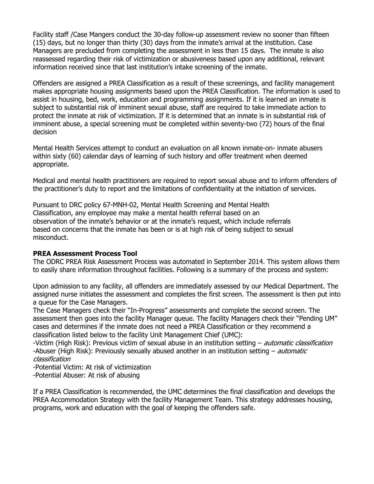Facility staff /Case Mangers conduct the 30-day follow-up assessment review no sooner than fifteen (15) days, but no longer than thirty (30) days from the inmate's arrival at the institution. Case Managers are precluded from completing the assessment in less than 15 days. The inmate is also reassessed regarding their risk of victimization or abusiveness based upon any additional, relevant information received since that last institution's intake screening of the inmate.

Offenders are assigned a PREA Classification as a result of these screenings, and facility management makes appropriate housing assignments based upon the PREA Classification. The information is used to assist in housing, bed, work, education and programming assignments. If it is learned an inmate is subject to substantial risk of imminent sexual abuse, staff are required to take immediate action to protect the inmate at risk of victimization. If it is determined that an inmate is in substantial risk of imminent abuse, a special screening must be completed within seventy-two (72) hours of the final decision

Mental Health Services attempt to conduct an evaluation on all known inmate-on- inmate abusers within sixty (60) calendar days of learning of such history and offer treatment when deemed appropriate.

Medical and mental health practitioners are required to report sexual abuse and to inform offenders of the practitioner's duty to report and the limitations of confidentiality at the initiation of services.

Pursuant to DRC policy 67-MNH-02, Mental Health Screening and Mental Health Classification, any employee may make a mental health referral based on an observation of the inmate's behavior or at the inmate's request, which include referrals based on concerns that the inmate has been or is at high risk of being subject to sexual misconduct.

#### **PREA Assessment Process Tool**

The ODRC PREA Risk Assessment Process was automated in September 2014. This system allows them to easily share information throughout facilities. Following is a summary of the process and system:

Upon admission to any facility, all offenders are immediately assessed by our Medical Department. The assigned nurse initiates the assessment and completes the first screen. The assessment is then put into a queue for the Case Managers.

The Case Managers check their "In-Progress" assessments and complete the second screen. The assessment then goes into the facility Manager queue. The facility Managers check their "Pending UM" cases and determines if the inmate does not need a PREA Classification or they recommend a classification listed below to the facility Unit Management Chief (UMC):

-Victim (High Risk): Previous victim of sexual abuse in an institution setting - automatic classification -Abuser (High Risk): Previously sexually abused another in an institution setting – *automatic* classification

-Potential Victim: At risk of victimization

-Potential Abuser: At risk of abusing

If a PREA Classification is recommended, the UMC determines the final classification and develops the PREA Accommodation Strategy with the facility Management Team. This strategy addresses housing, programs, work and education with the goal of keeping the offenders safe.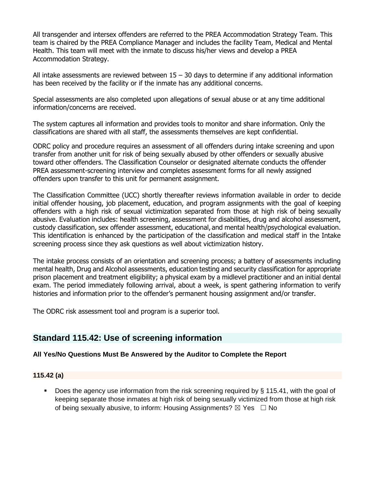All transgender and intersex offenders are referred to the PREA Accommodation Strategy Team. This team is chaired by the PREA Compliance Manager and includes the facility Team, Medical and Mental Health. This team will meet with the inmate to discuss his/her views and develop a PREA Accommodation Strategy.

All intake assessments are reviewed between  $15 - 30$  days to determine if any additional information has been received by the facility or if the inmate has any additional concerns.

Special assessments are also completed upon allegations of sexual abuse or at any time additional information/concerns are received.

The system captures all information and provides tools to monitor and share information. Only the classifications are shared with all staff, the assessments themselves are kept confidential.

ODRC policy and procedure requires an assessment of all offenders during intake screening and upon transfer from another unit for risk of being sexually abused by other offenders or sexually abusive toward other offenders. The Classification Counselor or designated alternate conducts the offender PREA assessment-screening interview and completes assessment forms for all newly assigned offenders upon transfer to this unit for permanent assignment.

The Classification Committee (UCC) shortly thereafter reviews information available in order to decide initial offender housing, job placement, education, and program assignments with the goal of keeping offenders with a high risk of sexual victimization separated from those at high risk of being sexually abusive. Evaluation includes: health screening, assessment for disabilities, drug and alcohol assessment, custody classification, sex offender assessment, educational, and mental health/psychological evaluation. This identification is enhanced by the participation of the classification and medical staff in the Intake screening process since they ask questions as well about victimization history.

The intake process consists of an orientation and screening process; a battery of assessments including mental health, Drug and Alcohol assessments, education testing and security classification for appropriate prison placement and treatment eligibility; a physical exam by a midlevel practitioner and an initial dental exam. The period immediately following arrival, about a week, is spent gathering information to verify histories and information prior to the offender's permanent housing assignment and/or transfer.

The ODRC risk assessment tool and program is a superior tool.

# **Standard 115.42: Use of screening information**

# **All Yes/No Questions Must Be Answered by the Auditor to Complete the Report**

#### **115.42 (a)**

■ Does the agency use information from the risk screening required by § 115.41, with the goal of keeping separate those inmates at high risk of being sexually victimized from those at high risk of being sexually abusive, to inform: Housing Assignments?  $\boxtimes$  Yes  $\Box$  No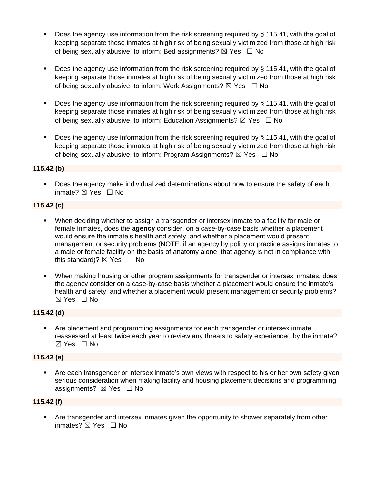- Does the agency use information from the risk screening required by  $\S$  115.41, with the goal of keeping separate those inmates at high risk of being sexually victimized from those at high risk of being sexually abusive, to inform: Bed assignments?  $\boxtimes$  Yes  $\Box$  No
- Does the agency use information from the risk screening required by § 115.41, with the goal of keeping separate those inmates at high risk of being sexually victimized from those at high risk of being sexually abusive, to inform: Work Assignments?  $\boxtimes$  Yes  $\Box$  No
- Does the agency use information from the risk screening required by  $\S$  115.41, with the goal of keeping separate those inmates at high risk of being sexually victimized from those at high risk of being sexually abusive, to inform: Education Assignments?  $\boxtimes$  Yes  $\Box$  No
- Does the agency use information from the risk screening required by § 115.41, with the goal of keeping separate those inmates at high risk of being sexually victimized from those at high risk of being sexually abusive, to inform: Program Assignments?  $\boxtimes$  Yes  $\Box$  No

## **115.42 (b)**

■ Does the agency make individualized determinations about how to ensure the safety of each inmate? ⊠ Yes □ No

#### **115.42 (c)**

- When deciding whether to assign a transgender or intersex inmate to a facility for male or female inmates, does the **agency** consider, on a case-by-case basis whether a placement would ensure the inmate's health and safety, and whether a placement would present management or security problems (NOTE: if an agency by policy or practice assigns inmates to a male or female facility on the basis of anatomy alone, that agency is not in compliance with this standard)?  $\boxtimes$  Yes  $\Box$  No
- When making housing or other program assignments for transgender or intersex inmates, does the agency consider on a case-by-case basis whether a placement would ensure the inmate's health and safety, and whether a placement would present management or security problems? ☒ Yes ☐ No

#### **115.42 (d)**

▪ Are placement and programming assignments for each transgender or intersex inmate reassessed at least twice each year to review any threats to safety experienced by the inmate? ☒ Yes ☐ No

#### **115.42 (e)**

Are each transgender or intersex inmate's own views with respect to his or her own safety given serious consideration when making facility and housing placement decisions and programming assignments?  $\boxtimes$  Yes  $\Box$  No

#### **115.42 (f)**

**EXECT** Are transgender and intersex inmates given the opportunity to shower separately from other inmates? ⊠ Yes □ No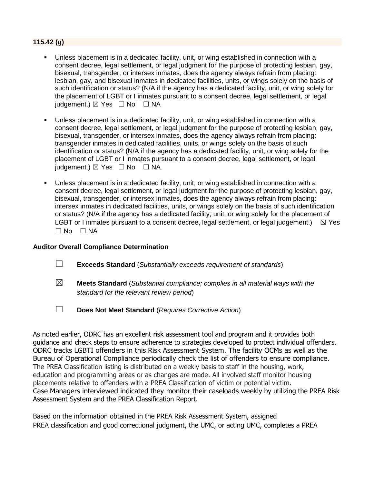## **115.42 (g)**

- Unless placement is in a dedicated facility, unit, or wing established in connection with a consent decree, legal settlement, or legal judgment for the purpose of protecting lesbian, gay, bisexual, transgender, or intersex inmates, does the agency always refrain from placing: lesbian, gay, and bisexual inmates in dedicated facilities, units, or wings solely on the basis of such identification or status? (N/A if the agency has a dedicated facility, unit, or wing solely for the placement of LGBT or I inmates pursuant to a consent decree, legal settlement, or legal judgement.)  $\boxtimes$  Yes  $\Box$  No  $\Box$  NA
- Unless placement is in a dedicated facility, unit, or wing established in connection with a consent decree, legal settlement, or legal judgment for the purpose of protecting lesbian, gay, bisexual, transgender, or intersex inmates, does the agency always refrain from placing: transgender inmates in dedicated facilities, units, or wings solely on the basis of such identification or status? (N/A if the agency has a dedicated facility, unit, or wing solely for the placement of LGBT or I inmates pursuant to a consent decree, legal settlement, or legal judgement.)  $\boxtimes$  Yes  $\Box$  No  $\Box$  NA
- Unless placement is in a dedicated facility, unit, or wing established in connection with a consent decree, legal settlement, or legal judgment for the purpose of protecting lesbian, gay, bisexual, transgender, or intersex inmates, does the agency always refrain from placing: intersex inmates in dedicated facilities, units, or wings solely on the basis of such identification or status? (N/A if the agency has a dedicated facility, unit, or wing solely for the placement of LGBT or I inmates pursuant to a consent decree, legal settlement, or legal judgement.)  $\boxtimes$  Yes  $\Box$  No  $\Box$  NA

#### **Auditor Overall Compliance Determination**

- ☐ **Exceeds Standard** (*Substantially exceeds requirement of standards*)
- ☒ **Meets Standard** (*Substantial compliance; complies in all material ways with the standard for the relevant review period*)
- ☐ **Does Not Meet Standard** (*Requires Corrective Action*)

As noted earlier, ODRC has an excellent risk assessment tool and program and it provides both guidance and check steps to ensure adherence to strategies developed to protect individual offenders. ODRC tracks LGBTI offenders in this Risk Assessment System. The facility OCMs as well as the Bureau of Operational Compliance periodically check the list of offenders to ensure compliance. The PREA Classification listing is distributed on a weekly basis to staff in the housing, work, education and programming areas or as changes are made. All involved staff monitor housing placements relative to offenders with a PREA Classification of victim or potential victim. Case Managers interviewed indicated they monitor their caseloads weekly by utilizing the PREA Risk Assessment System and the PREA Classification Report.

Based on the information obtained in the PREA Risk Assessment System, assigned PREA classification and good correctional judgment, the UMC, or acting UMC, completes a PREA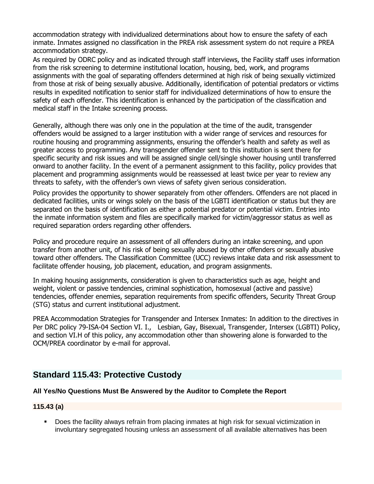accommodation strategy with individualized determinations about how to ensure the safety of each inmate. Inmates assigned no classification in the PREA risk assessment system do not require a PREA accommodation strategy.

As required by ODRC policy and as indicated through staff interviews, the Facility staff uses information from the risk screening to determine institutional location, housing, bed, work, and programs assignments with the goal of separating offenders determined at high risk of being sexually victimized from those at risk of being sexually abusive. Additionally, identification of potential predators or victims results in expedited notification to senior staff for individualized determinations of how to ensure the safety of each offender. This identification is enhanced by the participation of the classification and medical staff in the Intake screening process.

Generally, although there was only one in the population at the time of the audit, transgender offenders would be assigned to a larger institution with a wider range of services and resources for routine housing and programming assignments, ensuring the offender's health and safety as well as greater access to programming. Any transgender offender sent to this institution is sent there for specific security and risk issues and will be assigned single cell/single shower housing until transferred onward to another facility. In the event of a permanent assignment to this facility, policy provides that placement and programming assignments would be reassessed at least twice per year to review any threats to safety, with the offender's own views of safety given serious consideration.

Policy provides the opportunity to shower separately from other offenders. Offenders are not placed in dedicated facilities, units or wings solely on the basis of the LGBTI identification or status but they are separated on the basis of identification as either a potential predator or potential victim. Entries into the inmate information system and files are specifically marked for victim/aggressor status as well as required separation orders regarding other offenders.

Policy and procedure require an assessment of all offenders during an intake screening, and upon transfer from another unit, of his risk of being sexually abused by other offenders or sexually abusive toward other offenders. The Classification Committee (UCC) reviews intake data and risk assessment to facilitate offender housing, job placement, education, and program assignments.

In making housing assignments, consideration is given to characteristics such as age, height and weight, violent or passive tendencies, criminal sophistication, homosexual (active and passive) tendencies, offender enemies, separation requirements from specific offenders, Security Threat Group (STG) status and current institutional adjustment.

PREA Accommodation Strategies for Transgender and Intersex Inmates: In addition to the directives in Per DRC policy 79-ISA-04 Section VI. I., Lesbian, Gay, Bisexual, Transgender, Intersex (LGBTI) Policy, and section VI.H of this policy, any accommodation other than showering alone is forwarded to the OCM/PREA coordinator by e-mail for approval.

# **Standard 115.43: Protective Custody**

#### **All Yes/No Questions Must Be Answered by the Auditor to Complete the Report**

#### **115.43 (a)**

**•** Does the facility always refrain from placing inmates at high risk for sexual victimization in involuntary segregated housing unless an assessment of all available alternatives has been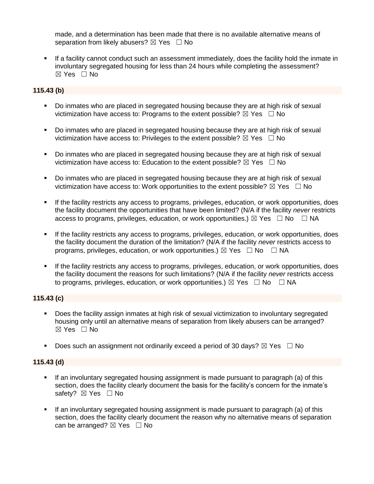made, and a determination has been made that there is no available alternative means of separation from likely abusers?  $\boxtimes$  Yes  $\Box$  No

If a facility cannot conduct such an assessment immediately, does the facility hold the inmate in involuntary segregated housing for less than 24 hours while completing the assessment? ☒ Yes ☐ No

# **115.43 (b)**

- Do inmates who are placed in segregated housing because they are at high risk of sexual victimization have access to: Programs to the extent possible?  $\boxtimes$  Yes  $\Box$  No
- Do inmates who are placed in segregated housing because they are at high risk of sexual victimization have access to: Privileges to the extent possible?  $\boxtimes$  Yes  $\Box$  No
- Do inmates who are placed in segregated housing because they are at high risk of sexual victimization have access to: Education to the extent possible?  $\boxtimes$  Yes  $\Box$  No
- Do inmates who are placed in segregated housing because they are at high risk of sexual victimization have access to: Work opportunities to the extent possible?  $\boxtimes$  Yes  $\Box$  No
- If the facility restricts any access to programs, privileges, education, or work opportunities, does the facility document the opportunities that have been limited? (N/A if the facility *never* restricts access to programs, privileges, education, or work opportunities.)  $\boxtimes$  Yes  $\Box$  No  $\Box$  NA
- If the facility restricts any access to programs, privileges, education, or work opportunities, does the facility document the duration of the limitation? (N/A if the facility *never* restricts access to programs, privileges, education, or work opportunities.)  $\boxtimes$  Yes  $\Box$  No  $\Box$  NA
- If the facility restricts any access to programs, privileges, education, or work opportunities, does the facility document the reasons for such limitations? (N/A if the facility *never* restricts access to programs, privileges, education, or work opportunities.)  $\boxtimes$  Yes  $\Box$  No  $\Box$  NA

#### **115.43 (c)**

- Does the facility assign inmates at high risk of sexual victimization to involuntary segregated housing only until an alternative means of separation from likely abusers can be arranged? ☒ Yes ☐ No
- Does such an assignment not ordinarily exceed a period of 30 days?  $\boxtimes$  Yes  $\Box$  No

#### **115.43 (d)**

- If an involuntary segregated housing assignment is made pursuant to paragraph (a) of this section, does the facility clearly document the basis for the facility's concern for the inmate's safety? ⊠ Yes □ No
- If an involuntary segregated housing assignment is made pursuant to paragraph (a) of this section, does the facility clearly document the reason why no alternative means of separation can be arranged?  $\boxtimes$  Yes  $\Box$  No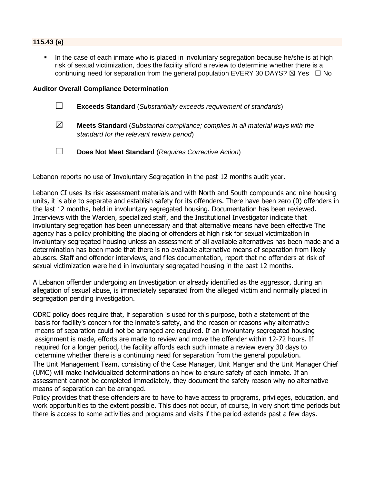#### **115.43 (e)**

In the case of each inmate who is placed in involuntary segregation because he/she is at high risk of sexual victimization, does the facility afford a review to determine whether there is a continuing need for separation from the general population EVERY 30 DAYS?  $\boxtimes$  Yes  $\Box$  No

#### **Auditor Overall Compliance Determination**

- ☐ **Exceeds Standard** (*Substantially exceeds requirement of standards*)
- ☒ **Meets Standard** (*Substantial compliance; complies in all material ways with the standard for the relevant review period*)
- ☐ **Does Not Meet Standard** (*Requires Corrective Action*)

Lebanon reports no use of Involuntary Segregation in the past 12 months audit year.

Lebanon CI uses its risk assessment materials and with North and South compounds and nine housing units, it is able to separate and establish safety for its offenders. There have been zero (0) offenders in the last 12 months, held in involuntary segregated housing. Documentation has been reviewed. Interviews with the Warden, specialized staff, and the Institutional Investigator indicate that involuntary segregation has been unnecessary and that alternative means have been effective The agency has a policy prohibiting the placing of offenders at high risk for sexual victimization in involuntary segregated housing unless an assessment of all available alternatives has been made and a determination has been made that there is no available alternative means of separation from likely abusers. Staff and offender interviews, and files documentation, report that no offenders at risk of sexual victimization were held in involuntary segregated housing in the past 12 months.

A Lebanon offender undergoing an Investigation or already identified as the aggressor, during an allegation of sexual abuse, is immediately separated from the alleged victim and normally placed in segregation pending investigation.

ODRC policy does require that, if separation is used for this purpose, both a statement of the basis for facility's concern for the inmate's safety, and the reason or reasons why alternative means of separation could not be arranged are required. If an involuntary segregated housing assignment is made, efforts are made to review and move the offender within 12-72 hours. If required for a longer period, the facility affords each such inmate a review every 30 days to determine whether there is a continuing need for separation from the general population. The Unit Management Team, consisting of the Case Manager, Unit Manger and the Unit Manager Chief (UMC) will make individualized determinations on how to ensure safety of each inmate. If an assessment cannot be completed immediately, they document the safety reason why no alternative means of separation can be arranged.

Policy provides that these offenders are to have to have access to programs, privileges, education, and work opportunities to the extent possible. This does not occur, of course, in very short time periods but there is access to some activities and programs and visits if the period extends past a few days.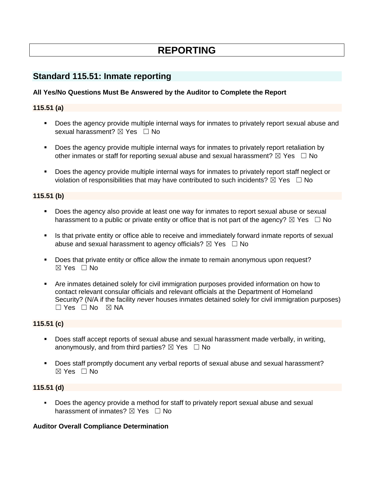# **REPORTING**

# **Standard 115.51: Inmate reporting**

## **All Yes/No Questions Must Be Answered by the Auditor to Complete the Report**

#### **115.51 (a)**

- Does the agency provide multiple internal ways for inmates to privately report sexual abuse and sexual harassment? **⊠** Yes □ No
- Does the agency provide multiple internal ways for inmates to privately report retaliation by other inmates or staff for reporting sexual abuse and sexual harassment?  $\boxtimes$  Yes  $\Box$  No
- Does the agency provide multiple internal ways for inmates to privately report staff neglect or violation of responsibilities that may have contributed to such incidents?  $\boxtimes$  Yes  $\Box$  No

#### **115.51 (b)**

- Does the agency also provide at least one way for inmates to report sexual abuse or sexual harassment to a public or private entity or office that is not part of the agency?  $\boxtimes$  Yes  $\Box$  No
- **.** Is that private entity or office able to receive and immediately forward inmate reports of sexual abuse and sexual harassment to agency officials?  $\boxtimes$  Yes  $\Box$  No
- **•** Does that private entity or office allow the inmate to remain anonymous upon request?  $\boxtimes$  Yes  $\Box$  No
- Are inmates detained solely for civil immigration purposes provided information on how to contact relevant consular officials and relevant officials at the Department of Homeland Security? (N/A if the facility *never* houses inmates detained solely for civil immigration purposes)  $\Box$  Yes  $\Box$  No  $\boxtimes$  NA

### **115.51 (c)**

- Does staff accept reports of sexual abuse and sexual harassment made verbally, in writing, anonymously, and from third parties?  $\boxtimes$  Yes  $\Box$  No
- Does staff promptly document any verbal reports of sexual abuse and sexual harassment?  $\boxtimes$  Yes  $\Box$  No

#### **115.51 (d)**

▪ Does the agency provide a method for staff to privately report sexual abuse and sexual harassment of inmates?  $\boxtimes$  Yes  $\Box$  No

#### **Auditor Overall Compliance Determination**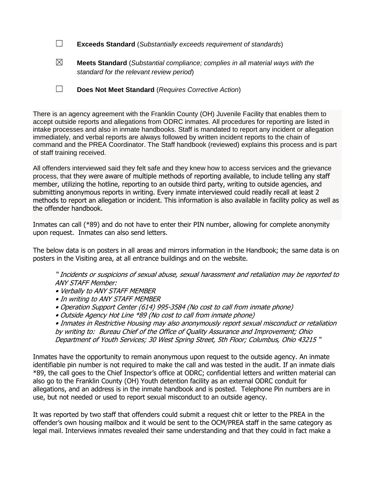- ☐ **Exceeds Standard** (*Substantially exceeds requirement of standards*)
- ☒ **Meets Standard** (*Substantial compliance; complies in all material ways with the standard for the relevant review period*)
- ☐ **Does Not Meet Standard** (*Requires Corrective Action*)

There is an agency agreement with the Franklin County (OH) Juvenile Facility that enables them to accept outside reports and allegations from ODRC inmates. All procedures for reporting are listed in intake processes and also in inmate handbooks. Staff is mandated to report any incident or allegation immediately, and verbal reports are always followed by written incident reports to the chain of command and the PREA Coordinator. The Staff handbook (reviewed) explains this process and is part of staff training received.

All offenders interviewed said they felt safe and they knew how to access services and the grievance process, that they were aware of multiple methods of reporting available, to include telling any staff member, utilizing the hotline, reporting to an outside third party, writing to outside agencies, and submitting anonymous reports in writing. Every inmate interviewed could readily recall at least 2 methods to report an allegation or incident. This information is also available in facility policy as well as the offender handbook.

Inmates can call (\*89) and do not have to enter their PIN number, allowing for complete anonymity upon request. Inmates can also send letters.

The below data is on posters in all areas and mirrors information in the Handbook; the same data is on posters in the Visiting area, at all entrance buildings and on the website.

" Incidents or suspicions of sexual abuse, sexual harassment and retaliation may be reported to ANY STAFF Member:

- Verbally to ANY STAFF MEMBER
- In writing to ANY STAFF MEMBER
- Operation Support Center (614) 995-3584 (No cost to call from inmate phone)
- Outside Agency Hot Line \*89 (No cost to call from inmate phone)

• Inmates in Restrictive Housing may also anonymously report sexual misconduct or retaliation by writing to: Bureau Chief of the Office of Quality Assurance and Improvement; Ohio Department of Youth Services; 30 West Spring Street, 5th Floor; Columbus, Ohio 43215 "

Inmates have the opportunity to remain anonymous upon request to the outside agency. An inmate identifiable pin number is not required to make the call and was tested in the audit. If an inmate dials \*89, the call goes to the Chief Inspector's office at ODRC; confidential letters and written material can also go to the Franklin County (OH) Youth detention facility as an external ODRC conduit for allegations, and an address is in the inmate handbook and is posted. Telephone Pin numbers are in use, but not needed or used to report sexual misconduct to an outside agency.

It was reported by two staff that offenders could submit a request chit or letter to the PREA in the offender's own housing mailbox and it would be sent to the OCM/PREA staff in the same category as legal mail. Interviews inmates revealed their same understanding and that they could in fact make a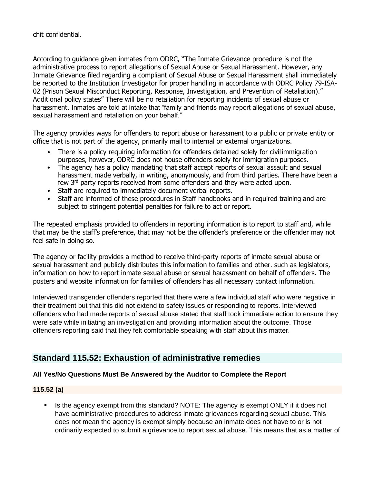chit confidential.

According to guidance given inmates from ODRC, "The Inmate Grievance procedure is not the administrative process to report allegations of Sexual Abuse or Sexual Harassment. However, any Inmate Grievance filed regarding a compliant of Sexual Abuse or Sexual Harassment shall immediately be reported to the Institution Investigator for proper handling in accordance with ODRC Policy 79-ISA-02 (Prison Sexual Misconduct Reporting, Response, Investigation, and Prevention of Retaliation)." Additional policy states" There will be no retaliation for reporting incidents of sexual abuse or harassment. Inmates are told at intake that "family and friends may report allegations of sexual abuse, sexual harassment and retaliation on your behalf."

The agency provides ways for offenders to report abuse or harassment to a public or private entity or office that is not part of the agency, primarily mail to internal or external organizations.

- There is a policy requiring information for offenders detained solely for civil immigration purposes, however, ODRC does not house offenders solely for immigration purposes.
- The agency has a policy mandating that staff accept reports of sexual assault and sexual harassment made verbally, in writing, anonymously, and from third parties. There have been a few 3<sup>rd</sup> party reports received from some offenders and they were acted upon.
- Staff are required to immediately document verbal reports.
- Staff are informed of these procedures in Staff handbooks and in required training and are subject to stringent potential penalties for failure to act or report.

The repeated emphasis provided to offenders in reporting information is to report to staff and, while that may be the staff's preference, that may not be the offender's preference or the offender may not feel safe in doing so.

The agency or facility provides a method to receive third-party reports of inmate sexual abuse or sexual harassment and publicly distributes this information to families and other. such as legislators, information on how to report inmate sexual abuse or sexual harassment on behalf of offenders. The posters and website information for families of offenders has all necessary contact information.

Interviewed transgender offenders reported that there were a few individual staff who were negative in their treatment but that this did not extend to safety issues or responding to reports. Interviewed offenders who had made reports of sexual abuse stated that staff took immediate action to ensure they were safe while initiating an investigation and providing information about the outcome. Those offenders reporting said that they felt comfortable speaking with staff about this matter.

# **Standard 115.52: Exhaustion of administrative remedies**

# **All Yes/No Questions Must Be Answered by the Auditor to Complete the Report**

#### **115.52 (a)**

Is the agency exempt from this standard? NOTE: The agency is exempt ONLY if it does not have administrative procedures to address inmate grievances regarding sexual abuse. This does not mean the agency is exempt simply because an inmate does not have to or is not ordinarily expected to submit a grievance to report sexual abuse. This means that as a matter of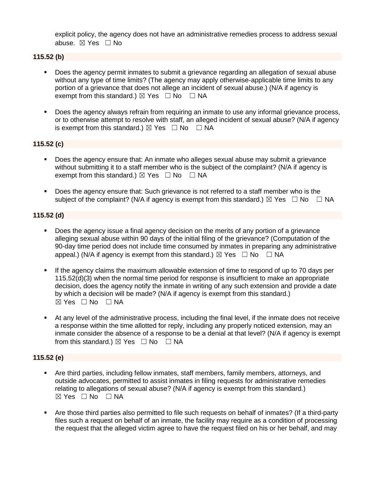explicit policy, the agency does not have an administrative remedies process to address sexual abuse. ☒ Yes ☐ No

## **115.52 (b)**

- Does the agency permit inmates to submit a grievance regarding an allegation of sexual abuse without any type of time limits? (The agency may apply otherwise-applicable time limits to any portion of a grievance that does not allege an incident of sexual abuse.) (N/A if agency is exempt from this standard.)  $\boxtimes$  Yes  $\Box$  No  $\Box$  NA
- **•** Does the agency always refrain from requiring an inmate to use any informal grievance process, or to otherwise attempt to resolve with staff, an alleged incident of sexual abuse? (N/A if agency is exempt from this standard.)  $\boxtimes$  Yes  $\Box$  No  $\Box$  NA

#### **115.52 (c)**

- Does the agency ensure that: An inmate who alleges sexual abuse may submit a grievance without submitting it to a staff member who is the subject of the complaint? (N/A if agency is exempt from this standard.)  $\boxtimes$  Yes  $\Box$  No  $\Box$  NA
- Does the agency ensure that: Such grievance is not referred to a staff member who is the subject of the complaint? (N/A if agency is exempt from this standard.)  $\boxtimes$  Yes  $\Box$  No  $\Box$  NA

#### **115.52 (d)**

- Does the agency issue a final agency decision on the merits of any portion of a grievance alleging sexual abuse within 90 days of the initial filing of the grievance? (Computation of the 90-day time period does not include time consumed by inmates in preparing any administrative appeal.) (N/A if agency is exempt from this standard.)  $\boxtimes$  Yes  $\Box$  No  $\Box$  NA
- If the agency claims the maximum allowable extension of time to respond of up to 70 days per 115.52(d)(3) when the normal time period for response is insufficient to make an appropriate decision, does the agency notify the inmate in writing of any such extension and provide a date by which a decision will be made? (N/A if agency is exempt from this standard.)  $⊠ Yes ⊡ No ⊡ NA$
- At any level of the administrative process, including the final level, if the inmate does not receive a response within the time allotted for reply, including any properly noticed extension, may an inmate consider the absence of a response to be a denial at that level? (N/A if agency is exempt from this standard.)  $\boxtimes$  Yes  $\Box$  No  $\Box$  NA

#### **115.52 (e)**

- Are third parties, including fellow inmates, staff members, family members, attorneys, and outside advocates, permitted to assist inmates in filing requests for administrative remedies relating to allegations of sexual abuse? (N/A if agency is exempt from this standard.) ☒ Yes ☐ No ☐ NA
- Are those third parties also permitted to file such requests on behalf of inmates? (If a third-party files such a request on behalf of an inmate, the facility may require as a condition of processing the request that the alleged victim agree to have the request filed on his or her behalf, and may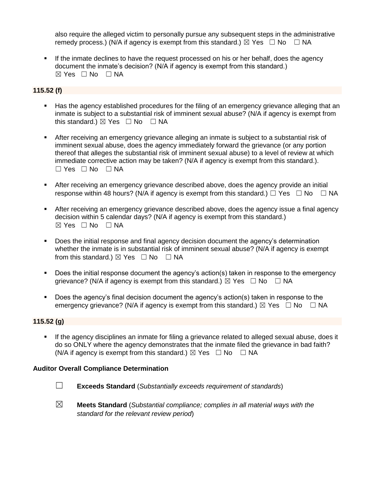also require the alleged victim to personally pursue any subsequent steps in the administrative remedy process.) (N/A if agency is exempt from this standard.)  $\boxtimes$  Yes  $\Box$  No  $\Box$  NA

**.** If the inmate declines to have the request processed on his or her behalf, does the agency document the inmate's decision? (N/A if agency is exempt from this standard.)  $\boxtimes$  Yes  $\Box$  No  $\Box$  NA

# **115.52 (f)**

- Has the agency established procedures for the filing of an emergency grievance alleging that an inmate is subject to a substantial risk of imminent sexual abuse? (N/A if agency is exempt from this standard.)  $\boxtimes$  Yes  $\Box$  No  $\Box$  NA
- **EXECT** After receiving an emergency grievance alleging an inmate is subject to a substantial risk of imminent sexual abuse, does the agency immediately forward the grievance (or any portion thereof that alleges the substantial risk of imminent sexual abuse) to a level of review at which immediate corrective action may be taken? (N/A if agency is exempt from this standard.).  $\Box$  Yes  $\Box$  No  $\Box$  NA
- **EXECT** After receiving an emergency grievance described above, does the agency provide an initial response within 48 hours? (N/A if agency is exempt from this standard.)  $\Box$  Yes  $\Box$  No  $\Box$  NA
- **EXECT** After receiving an emergency grievance described above, does the agency issue a final agency decision within 5 calendar days? (N/A if agency is exempt from this standard.) ☒ Yes ☐ No ☐ NA
- Does the initial response and final agency decision document the agency's determination whether the inmate is in substantial risk of imminent sexual abuse? (N/A if agency is exempt from this standard.)  $\boxtimes$  Yes  $\Box$  No  $\Box$  NA
- Does the initial response document the agency's action(s) taken in response to the emergency grievance? (N/A if agency is exempt from this standard.)  $\boxtimes$  Yes  $\Box$  No  $\Box$  NA
- Does the agency's final decision document the agency's action(s) taken in response to the emergency grievance? (N/A if agency is exempt from this standard.)  $\boxtimes$  Yes  $\Box$  No  $\Box$  NA

#### **115.52 (g)**

**•** If the agency disciplines an inmate for filing a grievance related to alleged sexual abuse, does it do so ONLY where the agency demonstrates that the inmate filed the grievance in bad faith? (N/A if agency is exempt from this standard.)  $\boxtimes$  Yes  $\Box$  No  $\Box$  NA

#### **Auditor Overall Compliance Determination**

- ☐ **Exceeds Standard** (*Substantially exceeds requirement of standards*)
- ☒ **Meets Standard** (*Substantial compliance; complies in all material ways with the standard for the relevant review period*)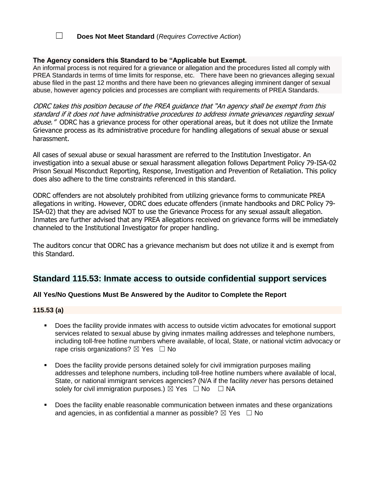# ☐ **Does Not Meet Standard** (*Requires Corrective Action*)

#### **The Agency considers this Standard to be "Applicable but Exempt.**

An informal process is not required for a grievance or allegation and the procedures listed all comply with PREA Standards in terms of time limits for response, etc. There have been no grievances alleging sexual abuse filed in the past 12 months and there have been no grievances alleging imminent danger of sexual abuse, however agency policies and processes are compliant with requirements of PREA Standards.

ODRC takes this position because of the PREA guidance that "An agency shall be exempt from this standard if it does not have administrative procedures to address inmate grievances regarding sexual abuse." ODRC has a grievance process for other operational areas, but it does not utilize the Inmate Grievance process as its administrative procedure for handling allegations of sexual abuse or sexual harassment.

All cases of sexual abuse or sexual harassment are referred to the Institution Investigator. An investigation into a sexual abuse or sexual harassment allegation follows Department Policy 79-ISA-02 Prison Sexual Misconduct Reporting, Response, Investigation and Prevention of Retaliation. This policy does also adhere to the time constraints referenced in this standard.

ODRC offenders are not absolutely prohibited from utilizing grievance forms to communicate PREA allegations in writing. However, ODRC does educate offenders (inmate handbooks and DRC Policy 79- ISA-02) that they are advised NOT to use the Grievance Process for any sexual assault allegation. Inmates are further advised that any PREA allegations received on grievance forms will be immediately channeled to the Institutional Investigator for proper handling.

The auditors concur that ODRC has a grievance mechanism but does not utilize it and is exempt from this Standard.

# **Standard 115.53: Inmate access to outside confidential support services**

#### **All Yes/No Questions Must Be Answered by the Auditor to Complete the Report**

#### **115.53 (a)**

- Does the facility provide inmates with access to outside victim advocates for emotional support services related to sexual abuse by giving inmates mailing addresses and telephone numbers, including toll-free hotline numbers where available, of local, State, or national victim advocacy or rape crisis organizations?  $\boxtimes$  Yes  $\Box$  No
- Does the facility provide persons detained solely for civil immigration purposes mailing addresses and telephone numbers, including toll-free hotline numbers where available of local, State, or national immigrant services agencies? (N/A if the facility *never* has persons detained solely for civil immigration purposes.)  $\boxtimes$  Yes  $\Box$  No  $\Box$  NA
- Does the facility enable reasonable communication between inmates and these organizations and agencies, in as confidential a manner as possible?  $\boxtimes$  Yes  $\Box$  No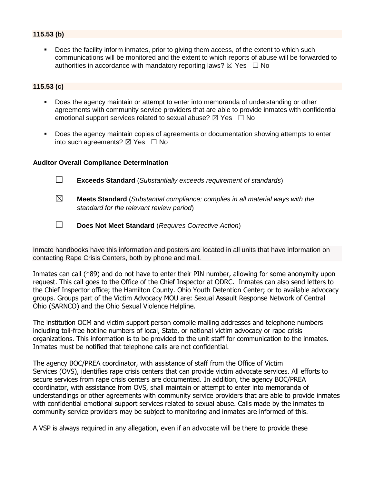## **115.53 (b)**

Does the facility inform inmates, prior to giving them access, of the extent to which such communications will be monitored and the extent to which reports of abuse will be forwarded to authorities in accordance with mandatory reporting laws?  $\boxtimes$  Yes  $\Box$  No

#### **115.53 (c)**

- Does the agency maintain or attempt to enter into memoranda of understanding or other agreements with community service providers that are able to provide inmates with confidential emotional support services related to sexual abuse?  $\boxtimes$  Yes  $\Box$  No
- Does the agency maintain copies of agreements or documentation showing attempts to enter into such agreements?  $\boxtimes$  Yes  $\Box$  No

#### **Auditor Overall Compliance Determination**

- ☐ **Exceeds Standard** (*Substantially exceeds requirement of standards*)
- ☒ **Meets Standard** (*Substantial compliance; complies in all material ways with the standard for the relevant review period*)
- ☐ **Does Not Meet Standard** (*Requires Corrective Action*)

Inmate handbooks have this information and posters are located in all units that have information on contacting Rape Crisis Centers, both by phone and mail.

Inmates can call (\*89) and do not have to enter their PIN number, allowing for some anonymity upon request. This call goes to the Office of the Chief Inspector at ODRC. Inmates can also send letters to the Chief Inspector office; the Hamilton County. Ohio Youth Detention Center; or to available advocacy groups. Groups part of the Victim Advocacy MOU are: Sexual Assault Response Network of Central Ohio (SARNCO) and the Ohio Sexual Violence Helpline.

The institution OCM and victim support person compile mailing addresses and telephone numbers including toll-free hotline numbers of local, State, or national victim advocacy or rape crisis organizations. This information is to be provided to the unit staff for communication to the inmates. Inmates must be notified that telephone calls are not confidential.

The agency BOC/PREA coordinator, with assistance of staff from the Office of Victim Services (OVS), identifies rape crisis centers that can provide victim advocate services. All efforts to secure services from rape crisis centers are documented. In addition, the agency BOC/PREA coordinator, with assistance from OVS, shall maintain or attempt to enter into memoranda of understandings or other agreements with community service providers that are able to provide inmates with confidential emotional support services related to sexual abuse. Calls made by the inmates to community service providers may be subject to monitoring and inmates are informed of this.

A VSP is always required in any allegation, even if an advocate will be there to provide these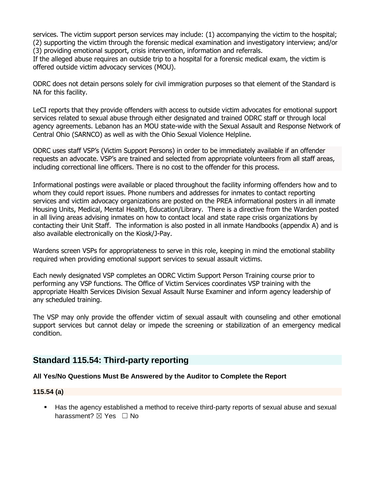services. The victim support person services may include: (1) accompanying the victim to the hospital; (2) supporting the victim through the forensic medical examination and investigatory interview; and/or (3) providing emotional support, crisis intervention, information and referrals.

If the alleged abuse requires an outside trip to a hospital for a forensic medical exam, the victim is offered outside victim advocacy services (MOU).

ODRC does not detain persons solely for civil immigration purposes so that element of the Standard is NA for this facility.

LeCI reports that they provide offenders with access to outside victim advocates for emotional support services related to sexual abuse through either designated and trained ODRC staff or through local agency agreements. Lebanon has an MOU state-wide with the Sexual Assault and Response Network of Central Ohio (SARNCO) as well as with the Ohio Sexual Violence Helpline.

ODRC uses staff VSP's (Victim Support Persons) in order to be immediately available if an offender requests an advocate. VSP's are trained and selected from appropriate volunteers from all staff areas, including correctional line officers. There is no cost to the offender for this process.

Informational postings were available or placed throughout the facility informing offenders how and to whom they could report issues. Phone numbers and addresses for inmates to contact reporting services and victim advocacy organizations are posted on the PREA informational posters in all inmate Housing Units, Medical, Mental Health, Education/Library. There is a directive from the Warden posted in all living areas advising inmates on how to contact local and state rape crisis organizations by contacting their Unit Staff. The information is also posted in all inmate Handbooks (appendix A) and is also available electronically on the Kiosk/J-Pay.

Wardens screen VSPs for appropriateness to serve in this role, keeping in mind the emotional stability required when providing emotional support services to sexual assault victims.

Each newly designated VSP completes an ODRC Victim Support Person Training course prior to performing any VSP functions. The Office of Victim Services coordinates VSP training with the appropriate Health Services Division Sexual Assault Nurse Examiner and inform agency leadership of any scheduled training.

The VSP may only provide the offender victim of sexual assault with counseling and other emotional support services but cannot delay or impede the screening or stabilization of an emergency medical condition.

# **Standard 115.54: Third-party reporting**

#### **All Yes/No Questions Must Be Answered by the Auditor to Complete the Report**

#### **115.54 (a)**

■ Has the agency established a method to receive third-party reports of sexual abuse and sexual harassment? ⊠ Yes □ No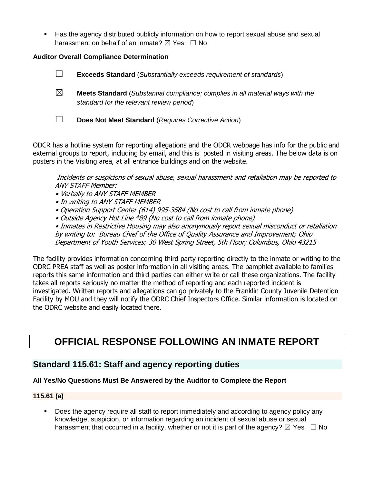■ Has the agency distributed publicly information on how to report sexual abuse and sexual harassment on behalf of an inmate?  $\boxtimes$  Yes  $\Box$  No

## **Auditor Overall Compliance Determination**

- ☐ **Exceeds Standard** (*Substantially exceeds requirement of standards*)
- ☒ **Meets Standard** (*Substantial compliance; complies in all material ways with the standard for the relevant review period*)
- ☐ **Does Not Meet Standard** (*Requires Corrective Action*)

ODCR has a hotline system for reporting allegations and the ODCR webpage has info for the public and external groups to report, including by email, and this is posted in visiting areas. The below data is on posters in the Visiting area, at all entrance buildings and on the website.

Incidents or suspicions of sexual abuse, sexual harassment and retaliation may be reported to ANY STAFF Member:

- Verbally to ANY STAFF MEMBER
- In writing to ANY STAFF MEMBER
- Operation Support Center (614) 995-3584 (No cost to call from inmate phone)
- Outside Agency Hot Line \*89 (No cost to call from inmate phone)

• Inmates in Restrictive Housing may also anonymously report sexual misconduct or retaliation by writing to: Bureau Chief of the Office of Quality Assurance and Improvement; Ohio Department of Youth Services; 30 West Spring Street, 5th Floor; Columbus, Ohio 43215

The facility provides information concerning third party reporting directly to the inmate or writing to the ODRC PREA staff as well as poster information in all visiting areas. The pamphlet available to families reports this same information and third parties can either write or call these organizations. The facility takes all reports seriously no matter the method of reporting and each reported incident is investigated. Written reports and allegations can go privately to the Franklin County Juvenile Detention Facility by MOU and they will notify the ODRC Chief Inspectors Office. Similar information is located on the ODRC website and easily located there.

# **OFFICIAL RESPONSE FOLLOWING AN INMATE REPORT**

# **Standard 115.61: Staff and agency reporting duties**

#### **All Yes/No Questions Must Be Answered by the Auditor to Complete the Report**

#### **115.61 (a)**

Does the agency require all staff to report immediately and according to agency policy any knowledge, suspicion, or information regarding an incident of sexual abuse or sexual harassment that occurred in a facility, whether or not it is part of the agency?  $\boxtimes$  Yes  $\Box$  No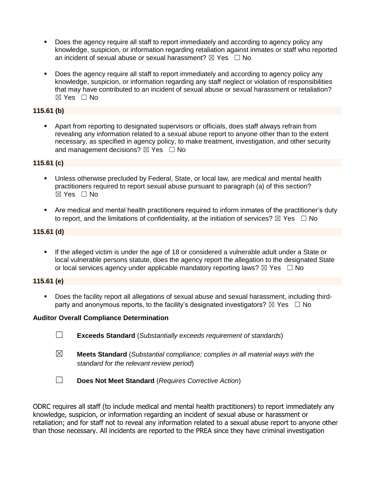- Does the agency require all staff to report immediately and according to agency policy any knowledge, suspicion, or information regarding retaliation against inmates or staff who reported an incident of sexual abuse or sexual harassment?  $\boxtimes$  Yes  $\Box$  No
- Does the agency require all staff to report immediately and according to agency policy any knowledge, suspicion, or information regarding any staff neglect or violation of responsibilities that may have contributed to an incident of sexual abuse or sexual harassment or retaliation? ☒ Yes ☐ No

# **115.61 (b)**

▪ Apart from reporting to designated supervisors or officials, does staff always refrain from revealing any information related to a sexual abuse report to anyone other than to the extent necessary, as specified in agency policy, to make treatment, investigation, and other security and management decisions?  $\boxtimes$  Yes  $\Box$  No

## **115.61 (c)**

- Unless otherwise precluded by Federal, State, or local law, are medical and mental health practitioners required to report sexual abuse pursuant to paragraph (a) of this section?  $\boxtimes$  Yes  $\Box$  No
- Are medical and mental health practitioners required to inform inmates of the practitioner's duty to report, and the limitations of confidentiality, at the initiation of services?  $\boxtimes$  Yes  $\Box$  No

## **115.61 (d)**

**■** If the alleged victim is under the age of 18 or considered a vulnerable adult under a State or local vulnerable persons statute, does the agency report the allegation to the designated State or local services agency under applicable mandatory reporting laws?  $\boxtimes$  Yes  $\Box$  No

### **115.61 (e)**

▪ Does the facility report all allegations of sexual abuse and sexual harassment, including thirdparty and anonymous reports, to the facility's designated investigators?  $\boxtimes$  Yes  $\Box$  No

#### **Auditor Overall Compliance Determination**

- ☐ **Exceeds Standard** (*Substantially exceeds requirement of standards*)
- ☒ **Meets Standard** (*Substantial compliance; complies in all material ways with the standard for the relevant review period*)
- ☐ **Does Not Meet Standard** (*Requires Corrective Action*)

ODRC requires all staff (to include medical and mental health practitioners) to report immediately any knowledge, suspicion, or information regarding an incident of sexual abuse or harassment or retaliation; and for staff not to reveal any information related to a sexual abuse report to anyone other than those necessary. All incidents are reported to the PREA since they have criminal investigation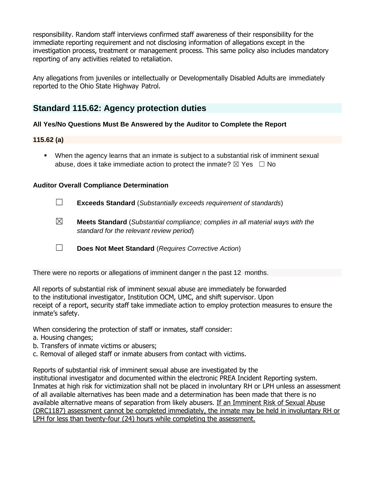responsibility. Random staff interviews confirmed staff awareness of their responsibility for the immediate reporting requirement and not disclosing information of allegations except in the investigation process, treatment or management process. This same policy also includes mandatory reporting of any activities related to retaliation.

Any allegations from juveniles or intellectually or Developmentally Disabled Adults are immediately reported to the Ohio State Highway Patrol.

# **Standard 115.62: Agency protection duties**

## **All Yes/No Questions Must Be Answered by the Auditor to Complete the Report**

## **115.62 (a)**

▪ When the agency learns that an inmate is subject to a substantial risk of imminent sexual abuse, does it take immediate action to protect the inmate?  $\boxtimes$  Yes  $\Box$  No

## **Auditor Overall Compliance Determination**

- ☐ **Exceeds Standard** (*Substantially exceeds requirement of standards*)
- ☒ **Meets Standard** (*Substantial compliance; complies in all material ways with the standard for the relevant review period*)
- ☐ **Does Not Meet Standard** (*Requires Corrective Action*)

There were no reports or allegations of imminent danger n the past 12 months.

All reports of substantial risk of imminent sexual abuse are immediately be forwarded to the institutional investigator, Institution OCM, UMC, and shift supervisor. Upon receipt of a report, security staff take immediate action to employ protection measures to ensure the inmate's safety.

When considering the protection of staff or inmates, staff consider:

- a. Housing changes;
- b. Transfers of inmate victims or abusers;
- c. Removal of alleged staff or inmate abusers from contact with victims.

Reports of substantial risk of imminent sexual abuse are investigated by the institutional investigator and documented within the electronic PREA Incident Reporting system. Inmates at high risk for victimization shall not be placed in involuntary RH or LPH unless an assessment of all available alternatives has been made and a determination has been made that there is no available alternative means of separation from likely abusers. If an Imminent Risk of Sexual Abuse (DRC1187) assessment cannot be completed immediately, the inmate may be held in involuntary RH or LPH for less than twenty-four (24) hours while completing the assessment.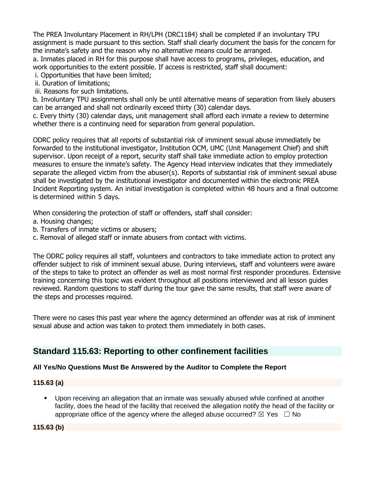The PREA Involuntary Placement in RH/LPH (DRC1184) shall be completed if an involuntary TPU assignment is made pursuant to this section. Staff shall clearly document the basis for the concern for the inmate's safety and the reason why no alternative means could be arranged.

a. Inmates placed in RH for this purpose shall have access to programs, privileges, education, and work opportunities to the extent possible. If access is restricted, staff shall document:

i. Opportunities that have been limited;

ii. Duration of limitations;

iii. Reasons for such limitations.

b. Involuntary TPU assignments shall only be until alternative means of separation from likely abusers can be arranged and shall not ordinarily exceed thirty (30) calendar days.

c. Every thirty (30) calendar days, unit management shall afford each inmate a review to determine whether there is a continuing need for separation from general population.

ODRC policy requires that all reports of substantial risk of imminent sexual abuse immediately be forwarded to the institutional investigator, Institution OCM, UMC (Unit Management Chief) and shift supervisor. Upon receipt of a report, security staff shall take immediate action to employ protection measures to ensure the inmate's safety. The Agency Head interview indicates that they immediately separate the alleged victim from the abuser(s). Reports of substantial risk of imminent sexual abuse shall be investigated by the institutional investigator and documented within the electronic PREA Incident Reporting system. An initial investigation is completed within 48 hours and a final outcome is determined within 5 days.

When considering the protection of staff or offenders, staff shall consider:

- a. Housing changes;
- b. Transfers of inmate victims or abusers;
- c. Removal of alleged staff or inmate abusers from contact with victims.

The ODRC policy requires all staff, volunteers and contractors to take immediate action to protect any offender subject to risk of imminent sexual abuse. During interviews, staff and volunteers were aware of the steps to take to protect an offender as well as most normal first responder procedures. Extensive training concerning this topic was evident throughout all positions interviewed and all lesson guides reviewed. Random questions to staff during the tour gave the same results, that staff were aware of the steps and processes required.

There were no cases this past year where the agency determined an offender was at risk of imminent sexual abuse and action was taken to protect them immediately in both cases.

# **Standard 115.63: Reporting to other confinement facilities**

# **All Yes/No Questions Must Be Answered by the Auditor to Complete the Report**

#### **115.63 (a)**

▪ Upon receiving an allegation that an inmate was sexually abused while confined at another facility, does the head of the facility that received the allegation notify the head of the facility or appropriate office of the agency where the alleged abuse occurred?  $\boxtimes$  Yes  $\Box$  No

**115.63 (b)**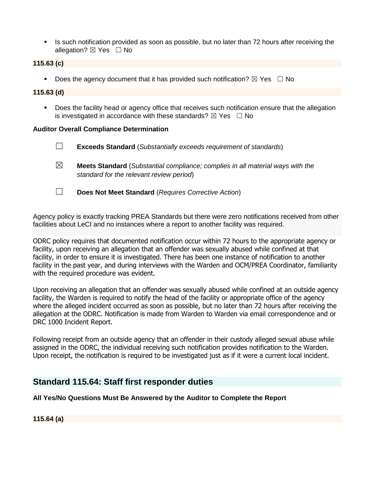**EXECT** Is such notification provided as soon as possible, but no later than 72 hours after receiving the allegation?  $\boxtimes$  Yes  $\Box$  No

#### **115.63 (c)**

**•** Does the agency document that it has provided such notification?  $\boxtimes$  Yes  $\Box$  No

#### **115.63 (d)**

■ Does the facility head or agency office that receives such notification ensure that the allegation is investigated in accordance with these standards?  $\boxtimes$  Yes  $\Box$  No

#### **Auditor Overall Compliance Determination**

- ☐ **Exceeds Standard** (*Substantially exceeds requirement of standards*)
- ☒ **Meets Standard** (*Substantial compliance; complies in all material ways with the standard for the relevant review period*)
- ☐ **Does Not Meet Standard** (*Requires Corrective Action*)

Agency policy is exactly tracking PREA Standards but there were zero notifications received from other facilities about LeCI and no instances where a report to another facility was required.

ODRC policy requires that documented notification occur within 72 hours to the appropriate agency or facility, upon receiving an allegation that an offender was sexually abused while confined at that facility, in order to ensure it is investigated. There has been one instance of notification to another facility in the past year, and during interviews with the Warden and OCM/PREA Coordinator, familiarity with the required procedure was evident.

Upon receiving an allegation that an offender was sexually abused while confined at an outside agency facility, the Warden is required to notify the head of the facility or appropriate office of the agency where the alleged incident occurred as soon as possible, but no later than 72 hours after receiving the allegation at the ODRC. Notification is made from Warden to Warden via email correspondence and or DRC 1000 Incident Report.

Following receipt from an outside agency that an offender in their custody alleged sexual abuse while assigned in the ODRC, the individual receiving such notification provides notification to the Warden. Upon receipt, the notification is required to be investigated just as if it were a current local incident.

# **Standard 115.64: Staff first responder duties**

**All Yes/No Questions Must Be Answered by the Auditor to Complete the Report**

**115.64 (a)**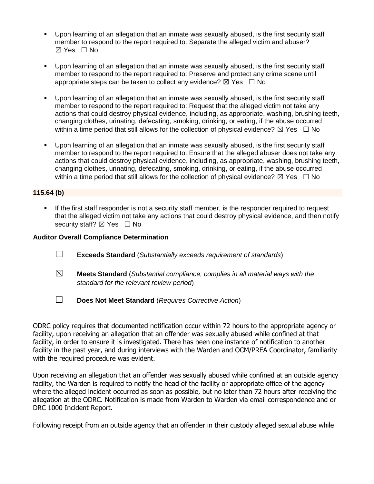- Upon learning of an allegation that an inmate was sexually abused, is the first security staff member to respond to the report required to: Separate the alleged victim and abuser? ☒ Yes ☐ No
- Upon learning of an allegation that an inmate was sexually abused, is the first security staff member to respond to the report required to: Preserve and protect any crime scene until appropriate steps can be taken to collect any evidence?  $\boxtimes$  Yes  $\Box$  No
- Upon learning of an allegation that an inmate was sexually abused, is the first security staff member to respond to the report required to: Request that the alleged victim not take any actions that could destroy physical evidence, including, as appropriate, washing, brushing teeth, changing clothes, urinating, defecating, smoking, drinking, or eating, if the abuse occurred within a time period that still allows for the collection of physical evidence?  $\boxtimes$  Yes  $\Box$  No
- Upon learning of an allegation that an inmate was sexually abused, is the first security staff member to respond to the report required to: Ensure that the alleged abuser does not take any actions that could destroy physical evidence, including, as appropriate, washing, brushing teeth, changing clothes, urinating, defecating, smoking, drinking, or eating, if the abuse occurred within a time period that still allows for the collection of physical evidence?  $\boxtimes$  Yes  $\Box$  No

## **115.64 (b)**

**.** If the first staff responder is not a security staff member, is the responder required to request that the alleged victim not take any actions that could destroy physical evidence, and then notify security staff? ⊠ Yes □ No

#### **Auditor Overall Compliance Determination**

- ☐ **Exceeds Standard** (*Substantially exceeds requirement of standards*)
- ☒ **Meets Standard** (*Substantial compliance; complies in all material ways with the standard for the relevant review period*)
- ☐ **Does Not Meet Standard** (*Requires Corrective Action*)

ODRC policy requires that documented notification occur within 72 hours to the appropriate agency or facility, upon receiving an allegation that an offender was sexually abused while confined at that facility, in order to ensure it is investigated. There has been one instance of notification to another facility in the past year, and during interviews with the Warden and OCM/PREA Coordinator, familiarity with the required procedure was evident.

Upon receiving an allegation that an offender was sexually abused while confined at an outside agency facility, the Warden is required to notify the head of the facility or appropriate office of the agency where the alleged incident occurred as soon as possible, but no later than 72 hours after receiving the allegation at the ODRC. Notification is made from Warden to Warden via email correspondence and or DRC 1000 Incident Report.

Following receipt from an outside agency that an offender in their custody alleged sexual abuse while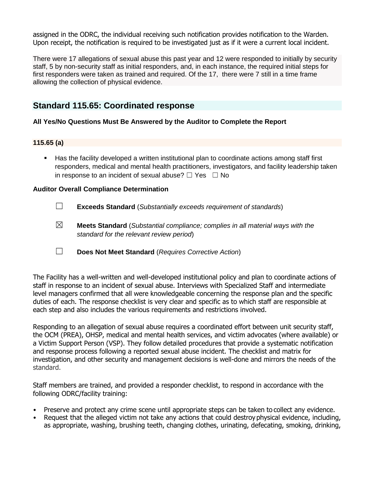assigned in the ODRC, the individual receiving such notification provides notification to the Warden. Upon receipt, the notification is required to be investigated just as if it were a current local incident.

There were 17 allegations of sexual abuse this past year and 12 were responded to initially by security staff, 5 by non-security staff as initial responders, and, in each instance, the required initial steps for first responders were taken as trained and required. Of the 17, there were 7 still in a time frame allowing the collection of physical evidence.

# **Standard 115.65: Coordinated response**

#### **All Yes/No Questions Must Be Answered by the Auditor to Complete the Report**

#### **115.65 (a)**

▪ Has the facility developed a written institutional plan to coordinate actions among staff first responders, medical and mental health practitioners, investigators, and facility leadership taken in response to an incident of sexual abuse?  $\Box$  Yes  $\Box$  No

#### **Auditor Overall Compliance Determination**

- ☐ **Exceeds Standard** (*Substantially exceeds requirement of standards*)
- ☒ **Meets Standard** (*Substantial compliance; complies in all material ways with the standard for the relevant review period*)
- ☐ **Does Not Meet Standard** (*Requires Corrective Action*)

The Facility has a well-written and well-developed institutional policy and plan to coordinate actions of staff in response to an incident of sexual abuse. Interviews with Specialized Staff and intermediate level managers confirmed that all were knowledgeable concerning the response plan and the specific duties of each. The response checklist is very clear and specific as to which staff are responsible at each step and also includes the various requirements and restrictions involved.

Responding to an allegation of sexual abuse requires a coordinated effort between unit security staff, the OCM (PREA), OHSP, medical and mental health services, and victim advocates (where available) or a Victim Support Person (VSP). They follow detailed procedures that provide a systematic notification and response process following a reported sexual abuse incident. The checklist and matrix for investigation, and other security and management decisions is well-done and mirrors the needs of the standard.

Staff members are trained, and provided a responder checklist, to respond in accordance with the following ODRC/facility training:

- Preserve and protect any crime scene until appropriate steps can be taken to collect any evidence.
- Request that the alleged victim not take any actions that could destroy physical evidence, including, as appropriate, washing, brushing teeth, changing clothes, urinating, defecating, smoking, drinking,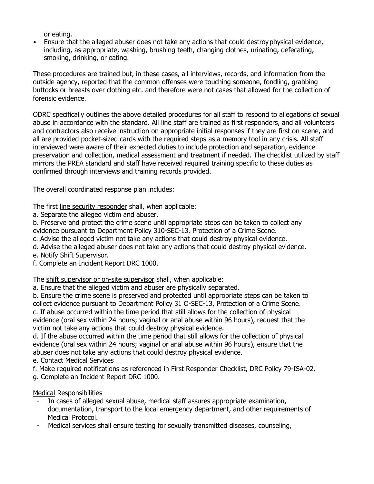or eating.

• Ensure that the alleged abuser does not take any actions that could destroy physical evidence, including, as appropriate, washing, brushing teeth, changing clothes, urinating, defecating, smoking, drinking, or eating.

These procedures are trained but, in these cases, all interviews, records, and information from the outside agency, reported that the common offenses were touching someone, fondling, grabbing buttocks or breasts over clothing etc. and therefore were not cases that allowed for the collection of forensic evidence.

ODRC specifically outlines the above detailed procedures for all staff to respond to allegations of sexual abuse in accordance with the standard. All line staff are trained as first responders, and all volunteers and contractors also receive instruction on appropriate initial responses if they are first on scene, and all are provided pocket-sized cards with the required steps as a memory tool in any crisis. All staff interviewed were aware of their expected duties to include protection and separation, evidence preservation and collection, medical assessment and treatment if needed. The checklist utilized by staff mirrors the PREA standard and staff have received required training specific to these duties as confirmed through interviews and training records provided.

The overall coordinated response plan includes:

The first line security responder shall, when applicable:

a. Separate the alleged victim and abuser.

b. Preserve and protect the crime scene until appropriate steps can be taken to collect any evidence pursuant to Department Policy 310-SEC-13, Protection of a Crime Scene.

c. Advise the alleged victim not take any actions that could destroy physical evidence.

- d. Advise the alleged abuser does not take any actions that could destroy physical evidence.
- e. Notify Shift Supervisor.

f. Complete an Incident Report DRC 1000.

The shift supervisor or on-site supervisor shall, when applicable:

a. Ensure that the alleged victim and abuser are physically separated.

b. Ensure the crime scene is preserved and protected until appropriate steps can be taken to collect evidence pursuant to Department Policy 31 O-SEC-13, Protection of a Crime Scene. c. If abuse occurred within the time period that still allows for the collection of physical evidence (oral sex within 24 hours; vaginal or anal abuse within 96 hours), request that the

victim not take any actions that could destroy physical evidence.

d. If the abuse occurred within the time period that still allows for the collection of physical evidence (oral sex within 24 hours; vaginal or anal abuse within 96 hours), ensure that the abuser does not take any actions that could destroy physical evidence.

- e. Contact Medical Services
- f. Make required notifications as referenced in First Responder Checklist, DRC Policy 79-ISA-02.

g. Complete an Incident Report DRC 1000.

Medical Responsibilities

- In cases of alleged sexual abuse, medical staff assures appropriate examination, documentation, transport to the local emergency department, and other requirements of Medical Protocol.
- Medical services shall ensure testing for sexually transmitted diseases, counseling,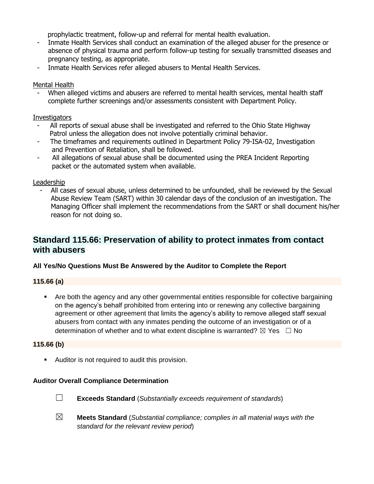prophylactic treatment, follow-up and referral for mental health evaluation.

- Inmate Health Services shall conduct an examination of the alleged abuser for the presence or absence of physical trauma and perform follow-up testing for sexually transmitted diseases and pregnancy testing, as appropriate.
- Inmate Health Services refer alleged abusers to Mental Health Services.

## Mental Health

When alleged victims and abusers are referred to mental health services, mental health staff complete further screenings and/or assessments consistent with Department Policy.

# **Investigators**

- All reports of sexual abuse shall be investigated and referred to the Ohio State Highway Patrol unless the allegation does not involve potentially criminal behavior.
- The timeframes and requirements outlined in Department Policy 79-ISA-02, Investigation and Prevention of Retaliation, shall be followed.
- All allegations of sexual abuse shall be documented using the PREA Incident Reporting packet or the automated system when available.

### Leadership

- All cases of sexual abuse, unless determined to be unfounded, shall be reviewed by the Sexual Abuse Review Team (SART) within 30 calendar days of the conclusion of an investigation. The Managing Officer shall implement the recommendations from the SART or shall document his/her reason for not doing so.

# **Standard 115.66: Preservation of ability to protect inmates from contact with abusers**

### **All Yes/No Questions Must Be Answered by the Auditor to Complete the Report**

### **115.66 (a)**

Are both the agency and any other governmental entities responsible for collective bargaining on the agency's behalf prohibited from entering into or renewing any collective bargaining agreement or other agreement that limits the agency's ability to remove alleged staff sexual abusers from contact with any inmates pending the outcome of an investigation or of a determination of whether and to what extent discipline is warranted?  $\boxtimes$  Yes  $\Box$  No

### **115.66 (b)**

**EXECT** Auditor is not required to audit this provision.

### **Auditor Overall Compliance Determination**



- ☐ **Exceeds Standard** (*Substantially exceeds requirement of standards*)
- ☒ **Meets Standard** (*Substantial compliance; complies in all material ways with the standard for the relevant review period*)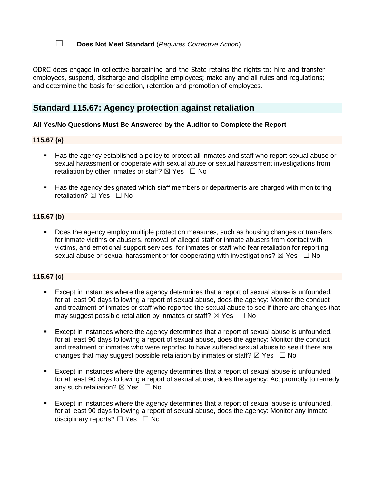# ☐ **Does Not Meet Standard** (*Requires Corrective Action*)

ODRC does engage in collective bargaining and the State retains the rights to: hire and transfer employees, suspend, discharge and discipline employees; make any and all rules and regulations; and determine the basis for selection, retention and promotion of employees.

# **Standard 115.67: Agency protection against retaliation**

#### **All Yes/No Questions Must Be Answered by the Auditor to Complete the Report**

#### **115.67 (a)**

- Has the agency established a policy to protect all inmates and staff who report sexual abuse or sexual harassment or cooperate with sexual abuse or sexual harassment investigations from retaliation by other inmates or staff?  $\boxtimes$  Yes  $\Box$  No
- Has the agency designated which staff members or departments are charged with monitoring retaliation?  $\boxtimes$  Yes  $\Box$  No

#### **115.67 (b)**

Does the agency employ multiple protection measures, such as housing changes or transfers for inmate victims or abusers, removal of alleged staff or inmate abusers from contact with victims, and emotional support services, for inmates or staff who fear retaliation for reporting sexual abuse or sexual harassment or for cooperating with investigations?  $\boxtimes$  Yes  $\Box$  No

#### **115.67 (c)**

- Except in instances where the agency determines that a report of sexual abuse is unfounded, for at least 90 days following a report of sexual abuse, does the agency: Monitor the conduct and treatment of inmates or staff who reported the sexual abuse to see if there are changes that may suggest possible retaliation by inmates or staff?  $\boxtimes$  Yes  $\Box$  No
- Except in instances where the agency determines that a report of sexual abuse is unfounded, for at least 90 days following a report of sexual abuse, does the agency: Monitor the conduct and treatment of inmates who were reported to have suffered sexual abuse to see if there are changes that may suggest possible retaliation by inmates or staff?  $\boxtimes$  Yes  $\Box$  No
- Except in instances where the agency determines that a report of sexual abuse is unfounded, for at least 90 days following a report of sexual abuse, does the agency: Act promptly to remedy any such retaliation?  $\boxtimes$  Yes  $\Box$  No
- Except in instances where the agency determines that a report of sexual abuse is unfounded, for at least 90 days following a report of sexual abuse, does the agency: Monitor any inmate disciplinary reports? □ Yes □ No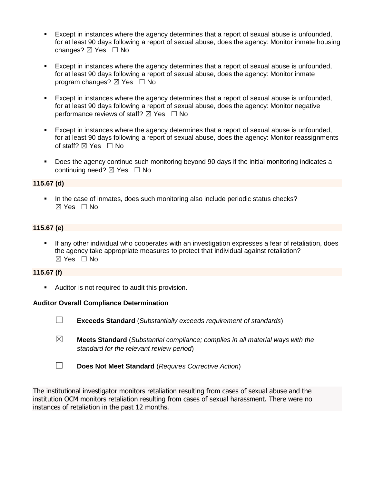- Except in instances where the agency determines that a report of sexual abuse is unfounded, for at least 90 days following a report of sexual abuse, does the agency: Monitor inmate housing changes?  $\boxtimes$  Yes  $\Box$  No
- Except in instances where the agency determines that a report of sexual abuse is unfounded, for at least 90 days following a report of sexual abuse, does the agency: Monitor inmate program changes?  $\boxtimes$  Yes  $\Box$  No
- Except in instances where the agency determines that a report of sexual abuse is unfounded, for at least 90 days following a report of sexual abuse, does the agency: Monitor negative performance reviews of staff?  $\boxtimes$  Yes  $\Box$  No
- Except in instances where the agency determines that a report of sexual abuse is unfounded, for at least 90 days following a report of sexual abuse, does the agency: Monitor reassignments of staff?  $\boxtimes$  Yes  $\Box$  No
- Does the agency continue such monitoring beyond 90 days if the initial monitoring indicates a continuing need?  $\boxtimes$  Yes  $\Box$  No

#### **115.67 (d)**

■ In the case of inmates, does such monitoring also include periodic status checks? ☒ Yes ☐ No

#### **115.67 (e)**

If any other individual who cooperates with an investigation expresses a fear of retaliation, does the agency take appropriate measures to protect that individual against retaliation? ☒ Yes ☐ No

## **115.67 (f)**

■ Auditor is not required to audit this provision.

#### **Auditor Overall Compliance Determination**

- ☐ **Exceeds Standard** (*Substantially exceeds requirement of standards*)
- ☒ **Meets Standard** (*Substantial compliance; complies in all material ways with the standard for the relevant review period*)
- ☐ **Does Not Meet Standard** (*Requires Corrective Action*)

The institutional investigator monitors retaliation resulting from cases of sexual abuse and the institution OCM monitors retaliation resulting from cases of sexual harassment. There were no instances of retaliation in the past 12 months.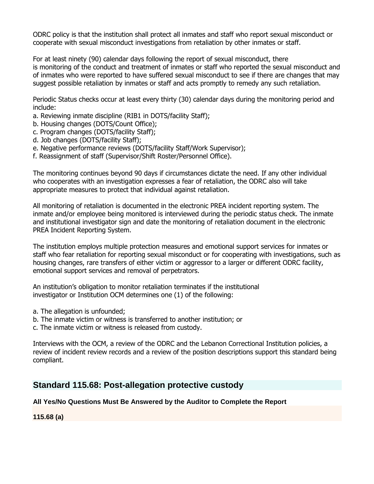ODRC policy is that the institution shall protect all inmates and staff who report sexual misconduct or cooperate with sexual misconduct investigations from retaliation by other inmates or staff.

For at least ninety (90) calendar days following the report of sexual misconduct, there is monitoring of the conduct and treatment of inmates or staff who reported the sexual misconduct and of inmates who were reported to have suffered sexual misconduct to see if there are changes that may suggest possible retaliation by inmates or staff and acts promptly to remedy any such retaliation.

Periodic Status checks occur at least every thirty (30) calendar days during the monitoring period and include:

- a. Reviewing inmate discipline (RIB1 in DOTS/facility Staff);
- b. Housing changes (DOTS/Count Office);
- c. Program changes (DOTS/facility Staff);
- d. Job changes (DOTS/facility Staff);
- e. Negative performance reviews (DOTS/facility Staff/Work Supervisor);
- f. Reassignment of staff (Supervisor/Shift Roster/Personnel Office).

The monitoring continues beyond 90 days if circumstances dictate the need. If any other individual who cooperates with an investigation expresses a fear of retaliation, the ODRC also will take appropriate measures to protect that individual against retaliation.

All monitoring of retaliation is documented in the electronic PREA incident reporting system. The inmate and/or employee being monitored is interviewed during the periodic status check. The inmate and institutional investigator sign and date the monitoring of retaliation document in the electronic PREA Incident Reporting System.

The institution employs multiple protection measures and emotional support services for inmates or staff who fear retaliation for reporting sexual misconduct or for cooperating with investigations, such as housing changes, rare transfers of either victim or aggressor to a larger or different ODRC facility, emotional support services and removal of perpetrators.

An institution's obligation to monitor retaliation terminates if the institutional investigator or Institution OCM determines one (1) of the following:

- a. The allegation is unfounded;
- b. The inmate victim or witness is transferred to another institution; or
- c. The inmate victim or witness is released from custody.

Interviews with the OCM, a review of the ODRC and the Lebanon Correctional Institution policies, a review of incident review records and a review of the position descriptions support this standard being compliant.

# **Standard 115.68: Post-allegation protective custody**

### **All Yes/No Questions Must Be Answered by the Auditor to Complete the Report**

**115.68 (a)**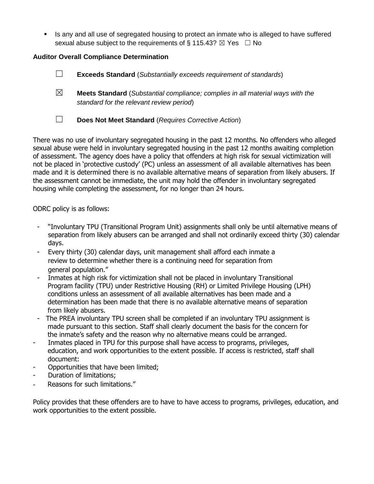**EXECT** Is any and all use of segregated housing to protect an inmate who is alleged to have suffered sexual abuse subject to the requirements of § 115.43?  $\boxtimes$  Yes  $\Box$  No

# **Auditor Overall Compliance Determination**

- ☐ **Exceeds Standard** (*Substantially exceeds requirement of standards*)
- ☒ **Meets Standard** (*Substantial compliance; complies in all material ways with the standard for the relevant review period*)
- ☐ **Does Not Meet Standard** (*Requires Corrective Action*)

There was no use of involuntary segregated housing in the past 12 months. No offenders who alleged sexual abuse were held in involuntary segregated housing in the past 12 months awaiting completion of assessment. The agency does have a policy that offenders at high risk for sexual victimization will not be placed in 'protective custody' (PC) unless an assessment of all available alternatives has been made and it is determined there is no available alternative means of separation from likely abusers. If the assessment cannot be immediate, the unit may hold the offender in involuntary segregated housing while completing the assessment, for no longer than 24 hours.

ODRC policy is as follows:

- "Involuntary TPU (Transitional Program Unit) assignments shall only be until alternative means of separation from likely abusers can be arranged and shall not ordinarily exceed thirty (30) calendar days.
- Every thirty (30) calendar days, unit management shall afford each inmate a review to determine whether there is a continuing need for separation from general population."
- Inmates at high risk for victimization shall not be placed in involuntary Transitional Program facility (TPU) under Restrictive Housing (RH) or Limited Privilege Housing (LPH) conditions unless an assessment of all available alternatives has been made and a determination has been made that there is no available alternative means of separation from likely abusers.
- The PREA involuntary TPU screen shall be completed if an involuntary TPU assignment is made pursuant to this section. Staff shall clearly document the basis for the concern for the inmate's safety and the reason why no alternative means could be arranged.
- Inmates placed in TPU for this purpose shall have access to programs, privileges, education, and work opportunities to the extent possible. If access is restricted, staff shall document:
- Opportunities that have been limited;
- Duration of limitations;
- Reasons for such limitations."

Policy provides that these offenders are to have to have access to programs, privileges, education, and work opportunities to the extent possible.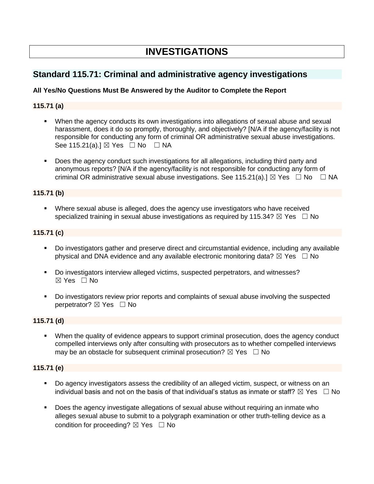# **INVESTIGATIONS**

# **Standard 115.71: Criminal and administrative agency investigations**

# **All Yes/No Questions Must Be Answered by the Auditor to Complete the Report**

# **115.71 (a)**

- When the agency conducts its own investigations into allegations of sexual abuse and sexual harassment, does it do so promptly, thoroughly, and objectively? [N/A if the agency/facility is not responsible for conducting any form of criminal OR administrative sexual abuse investigations. See 115.21(a). $I \boxtimes$  Yes  $\Box$  No  $\Box$  NA
- Does the agency conduct such investigations for all allegations, including third party and anonymous reports? [N/A if the agency/facility is not responsible for conducting any form of criminal OR administrative sexual abuse investigations. See 115.21(a).]  $\boxtimes$  Yes  $\Box$  No  $\Box$  NA

# **115.71 (b)**

**EXECT** Where sexual abuse is alleged, does the agency use investigators who have received specialized training in sexual abuse investigations as required by 115.34?  $\boxtimes$  Yes  $\Box$  No

### **115.71 (c)**

- Do investigators gather and preserve direct and circumstantial evidence, including any available physical and DNA evidence and any available electronic monitoring data?  $\boxtimes$  Yes  $\Box$  No
- Do investigators interview alleged victims, suspected perpetrators, and witnesses?  $\boxtimes$  Yes  $\Box$  No
- Do investigators review prior reports and complaints of sexual abuse involving the suspected perpetrator? ⊠ Yes □ No

### **115.71 (d)**

▪ When the quality of evidence appears to support criminal prosecution, does the agency conduct compelled interviews only after consulting with prosecutors as to whether compelled interviews may be an obstacle for subsequent criminal prosecution?  $\boxtimes$  Yes  $\Box$  No

# **115.71 (e)**

- Do agency investigators assess the credibility of an alleged victim, suspect, or witness on an individual basis and not on the basis of that individual's status as inmate or staff?  $\boxtimes$  Yes  $\;\;\Box$  No
- Does the agency investigate allegations of sexual abuse without requiring an inmate who alleges sexual abuse to submit to a polygraph examination or other truth-telling device as a condition for proceeding?  $\boxtimes$  Yes  $\Box$  No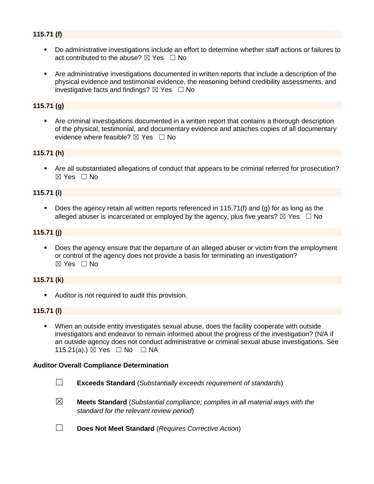# **115.71 (f)**

- Do administrative investigations include an effort to determine whether staff actions or failures to act contributed to the abuse?  $\boxtimes$  Yes  $\Box$  No
- Are administrative investigations documented in written reports that include a description of the physical evidence and testimonial evidence, the reasoning behind credibility assessments, and investigative facts and findings?  $\boxtimes$  Yes  $\Box$  No

#### **115.71 (g)**

Are criminal investigations documented in a written report that contains a thorough description of the physical, testimonial, and documentary evidence and attaches copies of all documentary evidence where feasible?  $\boxtimes$  Yes  $\Box$  No

#### **115.71 (h)**

▪ Are all substantiated allegations of conduct that appears to be criminal referred for prosecution?  $\boxtimes$  Yes  $\Box$  No

### **115.71 (i)**

■ Does the agency retain all written reports referenced in 115.71(f) and (g) for as long as the alleged abuser is incarcerated or employed by the agency, plus five years?  $\boxtimes$  Yes  $\Box$  No

#### **115.71 (j)**

Does the agency ensure that the departure of an alleged abuser or victim from the employment or control of the agency does not provide a basis for terminating an investigation? ☒ Yes ☐ No

#### **115.71 (k)**

■ Auditor is not required to audit this provision.

#### **115.71 (l)**

▪ When an outside entity investigates sexual abuse, does the facility cooperate with outside investigators and endeavor to remain informed about the progress of the investigation? (N/A if an outside agency does not conduct administrative or criminal sexual abuse investigations. See 115.21(a).) ⊠ Yes □ No □ NA

#### **Auditor Overall Compliance Determination**

- 
- ☐ **Exceeds Standard** (*Substantially exceeds requirement of standards*)
- ☒ **Meets Standard** (*Substantial compliance; complies in all material ways with the standard for the relevant review period*)
- ☐ **Does Not Meet Standard** (*Requires Corrective Action*)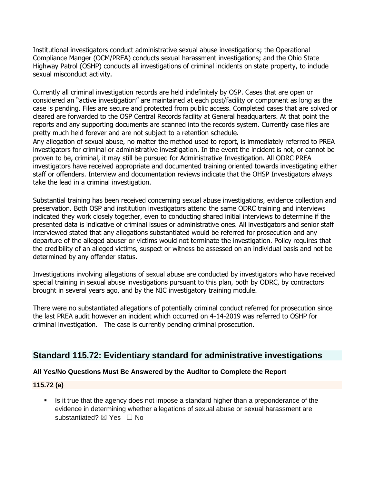Institutional investigators conduct administrative sexual abuse investigations; the Operational Compliance Manger (OCM/PREA) conducts sexual harassment investigations; and the Ohio State Highway Patrol (OSHP) conducts all investigations of criminal incidents on state property, to include sexual misconduct activity.

Currently all criminal investigation records are held indefinitely by OSP. Cases that are open or considered an "active investigation" are maintained at each post/facility or component as long as the case is pending. Files are secure and protected from public access. Completed cases that are solved or cleared are forwarded to the OSP Central Records facility at General headquarters. At that point the reports and any supporting documents are scanned into the records system. Currently case files are pretty much held forever and are not subject to a retention schedule.

Any allegation of sexual abuse, no matter the method used to report, is immediately referred to PREA investigators for criminal or administrative investigation. In the event the incident is not, or cannot be proven to be, criminal, it may still be pursued for Administrative Investigation. All ODRC PREA investigators have received appropriate and documented training oriented towards investigating either staff or offenders. Interview and documentation reviews indicate that the OHSP Investigators always take the lead in a criminal investigation.

Substantial training has been received concerning sexual abuse investigations, evidence collection and preservation. Both OSP and institution investigators attend the same ODRC training and interviews indicated they work closely together, even to conducting shared initial interviews to determine if the presented data is indicative of criminal issues or administrative ones. All investigators and senior staff interviewed stated that any allegations substantiated would be referred for prosecution and any departure of the alleged abuser or victims would not terminate the investigation. Policy requires that the credibility of an alleged victims, suspect or witness be assessed on an individual basis and not be determined by any offender status.

Investigations involving allegations of sexual abuse are conducted by investigators who have received special training in sexual abuse investigations pursuant to this plan, both by ODRC, by contractors brought in several years ago, and by the NIC investigatory training module.

There were no substantiated allegations of potentially criminal conduct referred for prosecution since the last PREA audit however an incident which occurred on 4-14-2019 was referred to OSHP for criminal investigation. The case is currently pending criminal prosecution.

# **Standard 115.72: Evidentiary standard for administrative investigations**

### **All Yes/No Questions Must Be Answered by the Auditor to Complete the Report**

### **115.72 (a)**

■ Is it true that the agency does not impose a standard higher than a preponderance of the evidence in determining whether allegations of sexual abuse or sexual harassment are substantiated? ⊠ Yes □ No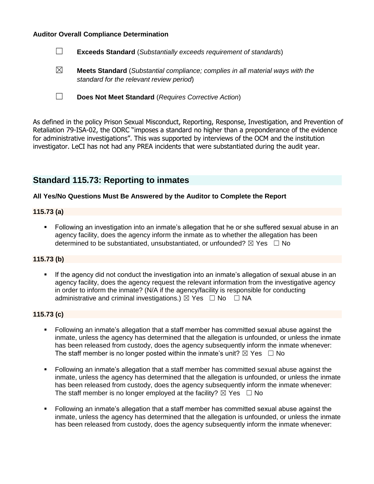#### **Auditor Overall Compliance Determination**

| $\Box$ | <b>Exceeds Standard</b> (Substantially exceeds requirement of standards) |
|--------|--------------------------------------------------------------------------|
|--------|--------------------------------------------------------------------------|

☒ **Meets Standard** (*Substantial compliance; complies in all material ways with the standard for the relevant review period*)

☐ **Does Not Meet Standard** (*Requires Corrective Action*)

As defined in the policy Prison Sexual Misconduct, Reporting, Response, Investigation, and Prevention of Retaliation 79-ISA-02, the ODRC "imposes a standard no higher than a preponderance of the evidence for administrative investigations". This was supported by interviews of the OCM and the institution investigator. LeCI has not had any PREA incidents that were substantiated during the audit year.

# **Standard 115.73: Reporting to inmates**

#### **All Yes/No Questions Must Be Answered by the Auditor to Complete the Report**

#### **115.73 (a)**

■ Following an investigation into an inmate's allegation that he or she suffered sexual abuse in an agency facility, does the agency inform the inmate as to whether the allegation has been determined to be substantiated, unsubstantiated, or unfounded?  $\boxtimes$  Yes  $\Box$  No

#### **115.73 (b)**

If the agency did not conduct the investigation into an inmate's allegation of sexual abuse in an agency facility, does the agency request the relevant information from the investigative agency in order to inform the inmate? (N/A if the agency/facility is responsible for conducting administrative and criminal investigations.)  $\boxtimes$  Yes  $\Box$  No  $\Box$  NA

# **115.73 (c)**

- Following an inmate's allegation that a staff member has committed sexual abuse against the inmate, unless the agency has determined that the allegation is unfounded, or unless the inmate has been released from custody, does the agency subsequently inform the inmate whenever: The staff member is no longer posted within the inmate's unit?  $\boxtimes$  Yes  $\Box$  No
- Following an inmate's allegation that a staff member has committed sexual abuse against the inmate, unless the agency has determined that the allegation is unfounded, or unless the inmate has been released from custody, does the agency subsequently inform the inmate whenever: The staff member is no longer employed at the facility?  $\boxtimes$  Yes  $\Box$  No
- Following an inmate's allegation that a staff member has committed sexual abuse against the inmate, unless the agency has determined that the allegation is unfounded, or unless the inmate has been released from custody, does the agency subsequently inform the inmate whenever: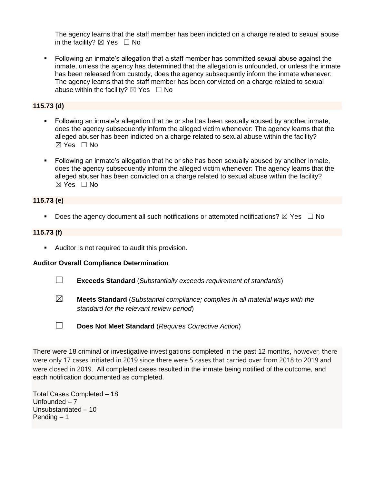The agency learns that the staff member has been indicted on a charge related to sexual abuse in the facility?  $\boxtimes$  Yes  $\Box$  No

▪ Following an inmate's allegation that a staff member has committed sexual abuse against the inmate, unless the agency has determined that the allegation is unfounded, or unless the inmate has been released from custody, does the agency subsequently inform the inmate whenever: The agency learns that the staff member has been convicted on a charge related to sexual abuse within the facility?  $\boxtimes$  Yes  $\Box$  No

# **115.73 (d)**

- Following an inmate's allegation that he or she has been sexually abused by another inmate, does the agency subsequently inform the alleged victim whenever: The agency learns that the alleged abuser has been indicted on a charge related to sexual abuse within the facility?  $\boxtimes$  Yes  $\Box$  No
- Following an inmate's allegation that he or she has been sexually abused by another inmate, does the agency subsequently inform the alleged victim whenever: The agency learns that the alleged abuser has been convicted on a charge related to sexual abuse within the facility? ☒ Yes ☐ No

### **115.73 (e)**

**•** Does the agency document all such notifications or attempted notifications?  $\boxtimes$  Yes  $\Box$  No

#### **115.73 (f)**

■ Auditor is not required to audit this provision.

#### **Auditor Overall Compliance Determination**

- ☐ **Exceeds Standard** (*Substantially exceeds requirement of standards*)
- ☒ **Meets Standard** (*Substantial compliance; complies in all material ways with the standard for the relevant review period*)
- ☐ **Does Not Meet Standard** (*Requires Corrective Action*)

There were 18 criminal or investigative investigations completed in the past 12 months, however, there were only 17 cases initiated in 2019 since there were 5 cases that carried over from 2018 to 2019 and were closed in 2019. All completed cases resulted in the inmate being notified of the outcome, and each notification documented as completed.

Total Cases Completed – 18 Unfounded – 7 Unsubstantiated – 10 Pending – 1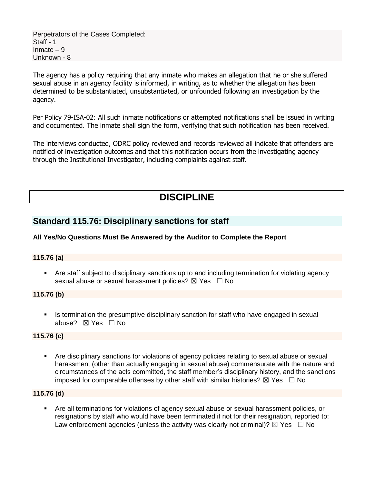Perpetrators of the Cases Completed: Staff - 1 Inmate  $-9$ Unknown - 8

The agency has a policy requiring that any inmate who makes an allegation that he or she suffered sexual abuse in an agency facility is informed, in writing, as to whether the allegation has been determined to be substantiated, unsubstantiated, or unfounded following an investigation by the agency.

Per Policy 79-ISA-02: All such inmate notifications or attempted notifications shall be issued in writing and documented. The inmate shall sign the form, verifying that such notification has been received.

The interviews conducted, ODRC policy reviewed and records reviewed all indicate that offenders are notified of investigation outcomes and that this notification occurs from the investigating agency through the Institutional Investigator, including complaints against staff.

# **DISCIPLINE**

# **Standard 115.76: Disciplinary sanctions for staff**

# **All Yes/No Questions Must Be Answered by the Auditor to Complete the Report**

### **115.76 (a)**

**•** Are staff subject to disciplinary sanctions up to and including termination for violating agency sexual abuse or sexual harassment policies?  $\boxtimes$  Yes  $\Box$  No

### **115.76 (b)**

**•** Is termination the presumptive disciplinary sanction for staff who have engaged in sexual abuse? ☒ Yes ☐ No

### **115.76 (c)**

▪ Are disciplinary sanctions for violations of agency policies relating to sexual abuse or sexual harassment (other than actually engaging in sexual abuse) commensurate with the nature and circumstances of the acts committed, the staff member's disciplinary history, and the sanctions imposed for comparable offenses by other staff with similar histories?  $\boxtimes$  Yes  $\Box$  No

### **115.76 (d)**

Are all terminations for violations of agency sexual abuse or sexual harassment policies, or resignations by staff who would have been terminated if not for their resignation, reported to: Law enforcement agencies (unless the activity was clearly not criminal)?  $\boxtimes$  Yes  $\Box$  No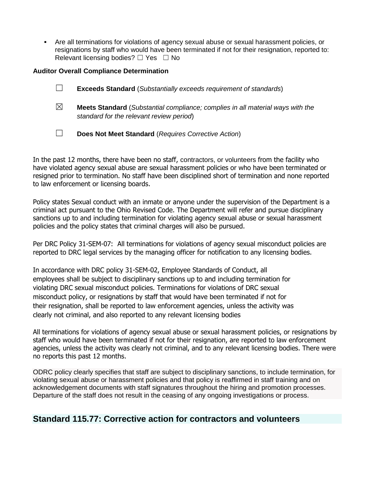▪ Are all terminations for violations of agency sexual abuse or sexual harassment policies, or resignations by staff who would have been terminated if not for their resignation, reported to: Relevant licensing bodies?  $\Box$  Yes  $\Box$  No

### **Auditor Overall Compliance Determination**

|   | <b>Exceeds Standard</b> (Substantially exceeds requirement of standards)                                                          |
|---|-----------------------------------------------------------------------------------------------------------------------------------|
| ⊠ | <b>Meets Standard</b> (Substantial compliance; complies in all material ways with the<br>standard for the relevant review period) |
|   | Does Not Meet Standard (Requires Corrective Action)                                                                               |

In the past 12 months, there have been no staff, contractors, or volunteers from the facility who have violated agency sexual abuse are sexual harassment policies or who have been terminated or resigned prior to termination. No staff have been disciplined short of termination and none reported to law enforcement or licensing boards.

Policy states Sexual conduct with an inmate or anyone under the supervision of the Department is a criminal act pursuant to the Ohio Revised Code. The Department will refer and pursue disciplinary sanctions up to and including termination for violating agency sexual abuse or sexual harassment policies and the policy states that criminal charges will also be pursued.

Per DRC Policy 31-SEM-07: All terminations for violations of agency sexual misconduct policies are reported to DRC legal services by the managing officer for notification to any licensing bodies.

In accordance with DRC policy 31-SEM-02, Employee Standards of Conduct, all employees shall be subject to disciplinary sanctions up to and including termination for violating DRC sexual misconduct policies. Terminations for violations of DRC sexual misconduct policy, or resignations by staff that would have been terminated if not for their resignation, shall be reported to law enforcement agencies, unless the activity was clearly not criminal, and also reported to any relevant licensing bodies

All terminations for violations of agency sexual abuse or sexual harassment policies, or resignations by staff who would have been terminated if not for their resignation, are reported to law enforcement agencies, unless the activity was clearly not criminal, and to any relevant licensing bodies. There were no reports this past 12 months.

ODRC policy clearly specifies that staff are subject to disciplinary sanctions, to include termination, for violating sexual abuse or harassment policies and that policy is reaffirmed in staff training and on acknowledgement documents with staff signatures throughout the hiring and promotion processes. Departure of the staff does not result in the ceasing of any ongoing investigations or process.

# **Standard 115.77: Corrective action for contractors and volunteers**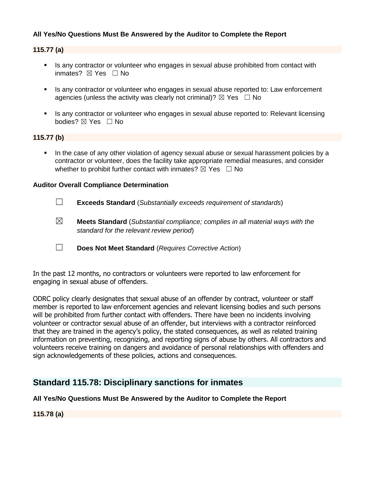## **All Yes/No Questions Must Be Answered by the Auditor to Complete the Report**

#### **115.77 (a)**

- **EXECT** Is any contractor or volunteer who engages in sexual abuse prohibited from contact with inmates?  $\boxtimes$  Yes  $\Box$  No
- Is any contractor or volunteer who engages in sexual abuse reported to: Law enforcement agencies (unless the activity was clearly not criminal)?  $\boxtimes$  Yes  $\Box$  No
- **EXECT** Is any contractor or volunteer who engages in sexual abuse reported to: Relevant licensing bodies? ⊠ Yes □ No

#### **115.77 (b)**

In the case of any other violation of agency sexual abuse or sexual harassment policies by a contractor or volunteer, does the facility take appropriate remedial measures, and consider whether to prohibit further contact with inmates?  $\boxtimes$  Yes  $\Box$  No

#### **Auditor Overall Compliance Determination**

- ☐ **Exceeds Standard** (*Substantially exceeds requirement of standards*)
- ☒ **Meets Standard** (*Substantial compliance; complies in all material ways with the standard for the relevant review period*)
- ☐ **Does Not Meet Standard** (*Requires Corrective Action*)

In the past 12 months, no contractors or volunteers were reported to law enforcement for engaging in sexual abuse of offenders.

ODRC policy clearly designates that sexual abuse of an offender by contract, volunteer or staff member is reported to law enforcement agencies and relevant licensing bodies and such persons will be prohibited from further contact with offenders. There have been no incidents involving volunteer or contractor sexual abuse of an offender, but interviews with a contractor reinforced that they are trained in the agency's policy, the stated consequences, as well as related training information on preventing, recognizing, and reporting signs of abuse by others. All contractors and volunteers receive training on dangers and avoidance of personal relationships with offenders and sign acknowledgements of these policies, actions and consequences.

# **Standard 115.78: Disciplinary sanctions for inmates**

#### **All Yes/No Questions Must Be Answered by the Auditor to Complete the Report**

**115.78 (a)**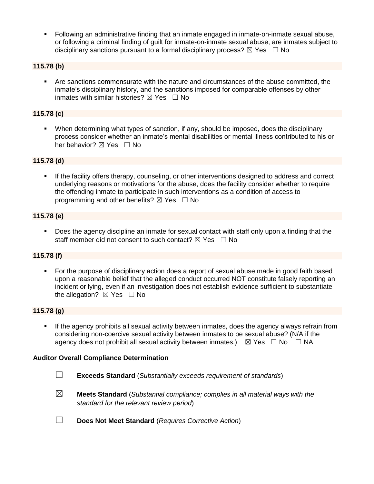▪ Following an administrative finding that an inmate engaged in inmate-on-inmate sexual abuse, or following a criminal finding of guilt for inmate-on-inmate sexual abuse, are inmates subject to disciplinary sanctions pursuant to a formal disciplinary process?  $\boxtimes$  Yes  $\Box$  No

### **115.78 (b)**

▪ Are sanctions commensurate with the nature and circumstances of the abuse committed, the inmate's disciplinary history, and the sanctions imposed for comparable offenses by other inmates with similar histories?  $\boxtimes$  Yes  $\Box$  No

#### **115.78 (c)**

▪ When determining what types of sanction, if any, should be imposed, does the disciplinary process consider whether an inmate's mental disabilities or mental illness contributed to his or her behavior? ⊠ Yes □ No

#### **115.78 (d)**

If the facility offers therapy, counseling, or other interventions designed to address and correct underlying reasons or motivations for the abuse, does the facility consider whether to require the offending inmate to participate in such interventions as a condition of access to programming and other benefits?  $\boxtimes$  Yes  $\Box$  No

#### **115.78 (e)**

■ Does the agency discipline an inmate for sexual contact with staff only upon a finding that the staff member did not consent to such contact?  $\boxtimes$  Yes  $\Box$  No

#### **115.78 (f)**

For the purpose of disciplinary action does a report of sexual abuse made in good faith based upon a reasonable belief that the alleged conduct occurred NOT constitute falsely reporting an incident or lying, even if an investigation does not establish evidence sufficient to substantiate the allegation?  $\boxtimes$  Yes  $\Box$  No

#### **115.78 (g)**

**.** If the agency prohibits all sexual activity between inmates, does the agency always refrain from considering non-coercive sexual activity between inmates to be sexual abuse? (N/A if the agency does not prohibit all sexual activity between inmates.)  $\boxtimes$  Yes  $\Box$  No  $\Box$  NA

#### **Auditor Overall Compliance Determination**

- ☐ **Exceeds Standard** (*Substantially exceeds requirement of standards*)
- ☒ **Meets Standard** (*Substantial compliance; complies in all material ways with the standard for the relevant review period*)
- ☐ **Does Not Meet Standard** (*Requires Corrective Action*)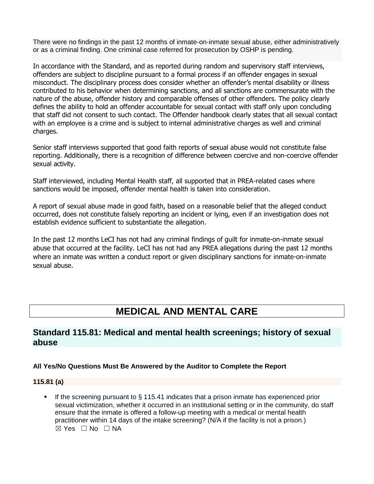There were no findings in the past 12 months of inmate-on-inmate sexual abuse, either administratively or as a criminal finding. One criminal case referred for prosecution by OSHP is pending.

In accordance with the Standard, and as reported during random and supervisory staff interviews, offenders are subject to discipline pursuant to a formal process if an offender engages in sexual misconduct. The disciplinary process does consider whether an offender's mental disability or illness contributed to his behavior when determining sanctions, and all sanctions are commensurate with the nature of the abuse, offender history and comparable offenses of other offenders. The policy clearly defines the ability to hold an offender accountable for sexual contact with staff only upon concluding that staff did not consent to such contact. The Offender handbook clearly states that all sexual contact with an employee is a crime and is subject to internal administrative charges as well and criminal charges.

Senior staff interviews supported that good faith reports of sexual abuse would not constitute false reporting. Additionally, there is a recognition of difference between coercive and non-coercive offender sexual activity.

Staff interviewed, including Mental Health staff, all supported that in PREA-related cases where sanctions would be imposed, offender mental health is taken into consideration.

A report of sexual abuse made in good faith, based on a reasonable belief that the alleged conduct occurred, does not constitute falsely reporting an incident or lying, even if an investigation does not establish evidence sufficient to substantiate the allegation.

In the past 12 months LeCI has not had any criminal findings of guilt for inmate-on-inmate sexual abuse that occurred at the facility. LeCI has not had any PREA allegations during the past 12 months where an inmate was written a conduct report or given disciplinary sanctions for inmate-on-inmate sexual abuse.

# **MEDICAL AND MENTAL CARE**

# **Standard 115.81: Medical and mental health screenings; history of sexual abuse**

### **All Yes/No Questions Must Be Answered by the Auditor to Complete the Report**

### **115.81 (a)**

**.** If the screening pursuant to  $\S$  115.41 indicates that a prison inmate has experienced prior sexual victimization, whether it occurred in an institutional setting or in the community, do staff ensure that the inmate is offered a follow-up meeting with a medical or mental health practitioner within 14 days of the intake screening? (N/A if the facility is not a prison.)  $⊠ Yes ⊡ No ⊡ NA$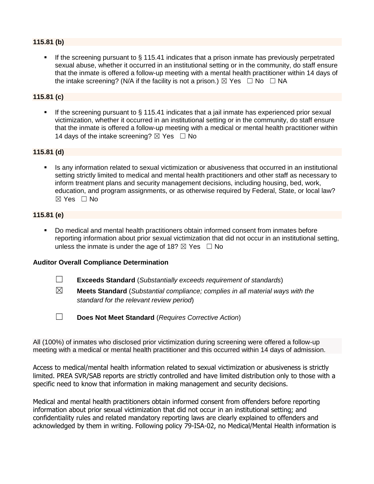# **115.81 (b)**

If the screening pursuant to  $\S$  115.41 indicates that a prison inmate has previously perpetrated sexual abuse, whether it occurred in an institutional setting or in the community, do staff ensure that the inmate is offered a follow-up meeting with a mental health practitioner within 14 days of the intake screening? (N/A if the facility is not a prison.)  $\boxtimes$  Yes  $\Box$  No  $\Box$  NA

## **115.81 (c)**

If the screening pursuant to  $\S$  115.41 indicates that a jail inmate has experienced prior sexual victimization, whether it occurred in an institutional setting or in the community, do staff ensure that the inmate is offered a follow-up meeting with a medical or mental health practitioner within 14 days of the intake screening?  $\boxtimes$  Yes  $\Box$  No

# **115.81 (d)**

Is any information related to sexual victimization or abusiveness that occurred in an institutional setting strictly limited to medical and mental health practitioners and other staff as necessary to inform treatment plans and security management decisions, including housing, bed, work, education, and program assignments, or as otherwise required by Federal, State, or local law? ☒ Yes ☐ No

### **115.81 (e)**

▪ Do medical and mental health practitioners obtain informed consent from inmates before reporting information about prior sexual victimization that did not occur in an institutional setting, unless the inmate is under the age of 18?  $\boxtimes$  Yes  $\Box$  No

### **Auditor Overall Compliance Determination**

- ☐ **Exceeds Standard** (*Substantially exceeds requirement of standards*)
- 
- ☒ **Meets Standard** (*Substantial compliance; complies in all material ways with the standard for the relevant review period*)
- 
- ☐ **Does Not Meet Standard** (*Requires Corrective Action*)

All (100%) of inmates who disclosed prior victimization during screening were offered a follow-up meeting with a medical or mental health practitioner and this occurred within 14 days of admission.

Access to medical/mental health information related to sexual victimization or abusiveness is strictly limited. PREA SVR/SAB reports are strictly controlled and have limited distribution only to those with a specific need to know that information in making management and security decisions.

Medical and mental health practitioners obtain informed consent from offenders before reporting information about prior sexual victimization that did not occur in an institutional setting; and confidentiality rules and related mandatory reporting laws are clearly explained to offenders and acknowledged by them in writing. Following policy 79-ISA-02, no Medical/Mental Health information is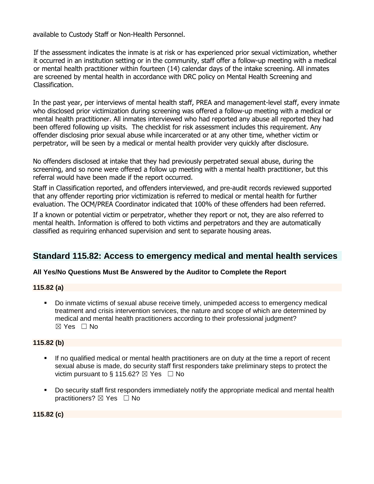available to Custody Staff or Non-Health Personnel.

If the assessment indicates the inmate is at risk or has experienced prior sexual victimization, whether it occurred in an institution setting or in the community, staff offer a follow-up meeting with a medical or mental health practitioner within fourteen (14) calendar days of the intake screening. All inmates are screened by mental health in accordance with DRC policy on Mental Health Screening and Classification.

In the past year, per interviews of mental health staff, PREA and management-level staff, every inmate who disclosed prior victimization during screening was offered a follow-up meeting with a medical or mental health practitioner. All inmates interviewed who had reported any abuse all reported they had been offered following up visits. The checklist for risk assessment includes this requirement. Any offender disclosing prior sexual abuse while incarcerated or at any other time, whether victim or perpetrator, will be seen by a medical or mental health provider very quickly after disclosure.

No offenders disclosed at intake that they had previously perpetrated sexual abuse, during the screening, and so none were offered a follow up meeting with a mental health practitioner, but this referral would have been made if the report occurred.

Staff in Classification reported, and offenders interviewed, and pre-audit records reviewed supported that any offender reporting prior victimization is referred to medical or mental health for further evaluation. The OCM/PREA Coordinator indicated that 100% of these offenders had been referred.

If a known or potential victim or perpetrator, whether they report or not, they are also referred to mental health. Information is offered to both victims and perpetrators and they are automatically classified as requiring enhanced supervision and sent to separate housing areas.

# **Standard 115.82: Access to emergency medical and mental health services**

### **All Yes/No Questions Must Be Answered by the Auditor to Complete the Report**

### **115.82 (a)**

Do inmate victims of sexual abuse receive timely, unimpeded access to emergency medical treatment and crisis intervention services, the nature and scope of which are determined by medical and mental health practitioners according to their professional judgment? ☒ Yes ☐ No

### **115.82 (b)**

- If no qualified medical or mental health practitioners are on duty at the time a report of recent sexual abuse is made, do security staff first responders take preliminary steps to protect the victim pursuant to § 115.62?  $\boxtimes$  Yes  $\Box$  No
- Do security staff first responders immediately notify the appropriate medical and mental health practitioners? ⊠ Yes □ No

# **115.82 (c)**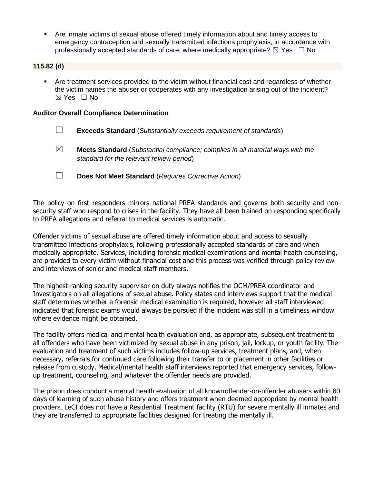Are inmate victims of sexual abuse offered timely information about and timely access to emergency contraception and sexually transmitted infections prophylaxis, in accordance with professionally accepted standards of care, where medically appropriate?  $\boxtimes$  Yes  $\Box$  No

#### **115.82 (d)**

▪ Are treatment services provided to the victim without financial cost and regardless of whether the victim names the abuser or cooperates with any investigation arising out of the incident? ☒ Yes ☐ No

#### **Auditor Overall Compliance Determination**

- ☐ **Exceeds Standard** (*Substantially exceeds requirement of standards*)
- ☒ **Meets Standard** (*Substantial compliance; complies in all material ways with the standard for the relevant review period*)
- ☐ **Does Not Meet Standard** (*Requires Corrective Action*)

The policy on first responders mirrors national PREA standards and governs both security and nonsecurity staff who respond to crises in the facility. They have all been trained on responding specifically to PREA allegations and referral to medical services is automatic.

Offender victims of sexual abuse are offered timely information about and access to sexually transmitted infections prophylaxis, following professionally accepted standards of care and when medically appropriate. Services, including forensic medical examinations and mental health counseling, are provided to every victim without financial cost and this process was verified through policy review and interviews of senior and medical staff members.

The highest-ranking security supervisor on duty always notifies the OCM/PREA coordinator and Investigators on all allegations of sexual abuse. Policy states and interviews support that the medical staff determines whether a forensic medical examination is required, however all staff interviewed indicated that forensic exams would always be pursued if the incident was still in a timeliness window where evidence might be obtained.

The facility offers medical and mental health evaluation and, as appropriate, subsequent treatment to all offenders who have been victimized by sexual abuse in any prison, jail, lockup, or youth facility. The evaluation and treatment of such victims includes follow-up services, treatment plans, and, when necessary, referrals for continued care following their transfer to or placement in other facilities or release from custody. Medical/mental health staff interviews reported that emergency services, followup treatment, counseling, and whatever the offender needs are provided.

The prison does conduct a mental health evaluation of all knownoffender-on-offender abusers within 60 days of learning of such abuse history and offers treatment when deemed appropriate by mental health providers. LeCI does not have a Residential Treatment facility (RTU) for severe mentally ill inmates and they are transferred to appropriate facilities designed for treating the mentally ill.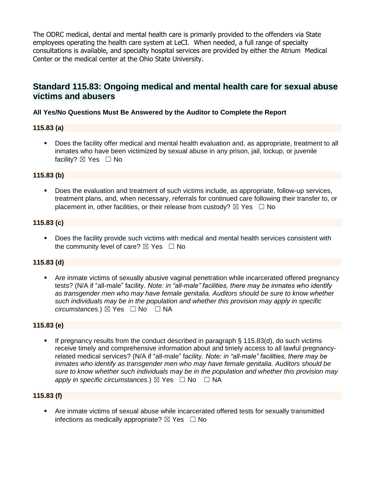The ODRC medical, dental and mental health care is primarily provided to the offenders via State employees operating the health care system at LeCI. When needed, a full range of specialty consultations is available, and specialty hospital services are provided by either the Atrium Medical Center or the medical center at the Ohio State University.

# **Standard 115.83: Ongoing medical and mental health care for sexual abuse victims and abusers**

# **All Yes/No Questions Must Be Answered by the Auditor to Complete the Report**

### **115.83 (a)**

▪ Does the facility offer medical and mental health evaluation and, as appropriate, treatment to all inmates who have been victimized by sexual abuse in any prison, jail, lockup, or juvenile facility? ⊠ Yes □ No

### **115.83 (b)**

**•** Does the evaluation and treatment of such victims include, as appropriate, follow-up services, treatment plans, and, when necessary, referrals for continued care following their transfer to, or placement in, other facilities, or their release from custody?  $\boxtimes$  Yes  $\Box$  No

#### **115.83 (c)**

■ Does the facility provide such victims with medical and mental health services consistent with the community level of care?  $\boxtimes$  Yes  $\Box$  No

### **115.83 (d)**

Are inmate victims of sexually abusive vaginal penetration while incarcerated offered pregnancy tests? (N/A if "all-male" facility. *Note: in "all-male" facilities, there may be inmates who identify as transgender men who may have female genitalia. Auditors should be sure to know whether such individuals may be in the population and whether this provision may apply in specific circumstances.*) ⊠ Yes  $□$  No  $□$  NA

#### **115.83 (e)**

If pregnancy results from the conduct described in paragraph  $\S$  115.83(d), do such victims receive timely and comprehensive information about and timely access to all lawful pregnancyrelated medical services? (N/A if "all-male" facility. *Note: in "all-male" facilities, there may be inmates who identify as transgender men who may have female genitalia. Auditors should be sure to know whether such individuals may be in the population and whether this provision may apply in specific circumstances.*)  $\boxtimes$  Yes  $\Box$  No  $\Box$  NA

#### **115.83 (f)**

▪ Are inmate victims of sexual abuse while incarcerated offered tests for sexually transmitted infections as medically appropriate?  $\boxtimes$  Yes  $\Box$  No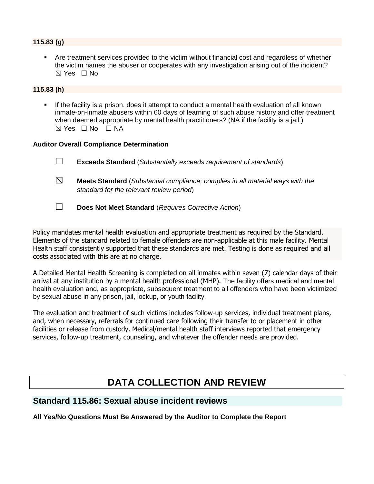## **115.83 (g)**

Are treatment services provided to the victim without financial cost and regardless of whether the victim names the abuser or cooperates with any investigation arising out of the incident?  $\boxtimes$  Yes  $\Box$  No

## **115.83 (h)**

**•** If the facility is a prison, does it attempt to conduct a mental health evaluation of all known inmate-on-inmate abusers within 60 days of learning of such abuse history and offer treatment when deemed appropriate by mental health practitioners? (NA if the facility is a jail.)  $\boxtimes$  Yes  $\Box$  No  $\Box$  NA

#### **Auditor Overall Compliance Determination**

| $\Box$ | <b>Exceeds Standard</b> (Substantially exceeds requirement of standards) |
|--------|--------------------------------------------------------------------------|
|        |                                                                          |

- ☒ **Meets Standard** (*Substantial compliance; complies in all material ways with the standard for the relevant review period*)
- ☐ **Does Not Meet Standard** (*Requires Corrective Action*)

Policy mandates mental health evaluation and appropriate treatment as required by the Standard. Elements of the standard related to female offenders are non-applicable at this male facility. Mental Health staff consistently supported that these standards are met. Testing is done as required and all costs associated with this are at no charge.

A Detailed Mental Health Screening is completed on all inmates within seven (7) calendar days of their arrival at any institution by a mental health professional (MHP). The facility offers medical and mental health evaluation and, as appropriate, subsequent treatment to all offenders who have been victimized by sexual abuse in any prison, jail, lockup, or youth facility.

The evaluation and treatment of such victims includes follow-up services, individual treatment plans, and, when necessary, referrals for continued care following their transfer to or placement in other facilities or release from custody. Medical/mental health staff interviews reported that emergency services, follow-up treatment, counseling, and whatever the offender needs are provided.

# **DATA COLLECTION AND REVIEW**

# **Standard 115.86: Sexual abuse incident reviews**

**All Yes/No Questions Must Be Answered by the Auditor to Complete the Report**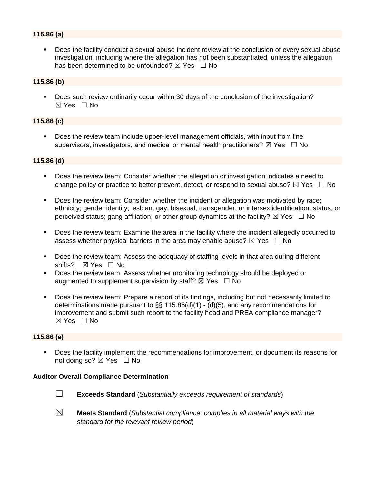# **115.86 (a)**

Does the facility conduct a sexual abuse incident review at the conclusion of every sexual abuse investigation, including where the allegation has not been substantiated, unless the allegation has been determined to be unfounded?  $\boxtimes$  Yes  $\Box$  No

#### **115.86 (b)**

■ Does such review ordinarily occur within 30 days of the conclusion of the investigation?  $\boxtimes$  Yes  $\Box$  No

#### **115.86 (c)**

Does the review team include upper-level management officials, with input from line supervisors, investigators, and medical or mental health practitioners?  $\boxtimes$  Yes  $\Box$  No

#### **115.86 (d)**

- Does the review team: Consider whether the allegation or investigation indicates a need to change policy or practice to better prevent, detect, or respond to sexual abuse?  $\boxtimes$  Yes  $\Box$  No
- Does the review team: Consider whether the incident or allegation was motivated by race; ethnicity; gender identity; lesbian, gay, bisexual, transgender, or intersex identification, status, or perceived status; gang affiliation; or other group dynamics at the facility?  $\boxtimes$  Yes  $\Box$  No
- Does the review team: Examine the area in the facility where the incident allegedly occurred to assess whether physical barriers in the area may enable abuse?  $\boxtimes$  Yes  $\Box$  No
- Does the review team: Assess the adequacy of staffing levels in that area during different shifts? ⊠ Yes □ No
- Does the review team: Assess whether monitoring technology should be deployed or augmented to supplement supervision by staff?  $\boxtimes$  Yes  $\Box$  No
- Does the review team: Prepare a report of its findings, including but not necessarily limited to determinations made pursuant to §§ 115.86(d)(1) - (d)(5), and any recommendations for improvement and submit such report to the facility head and PREA compliance manager? ☒ Yes ☐ No

#### **115.86 (e)**

■ Does the facility implement the recommendations for improvement, or document its reasons for not doing so?  $\boxtimes$  Yes  $\Box$  No

#### **Auditor Overall Compliance Determination**



- ☐ **Exceeds Standard** (*Substantially exceeds requirement of standards*)
- ☒ **Meets Standard** (*Substantial compliance; complies in all material ways with the standard for the relevant review period*)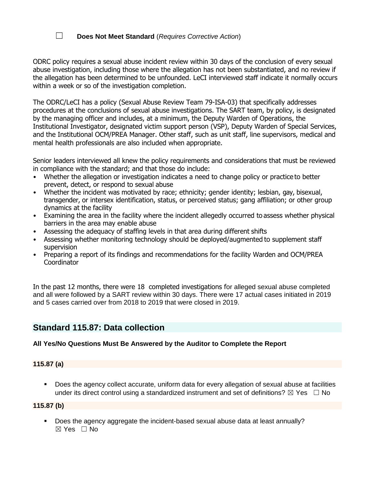# ☐ **Does Not Meet Standard** (*Requires Corrective Action*)

ODRC policy requires a sexual abuse incident review within 30 days of the conclusion of every sexual abuse investigation, including those where the allegation has not been substantiated, and no review if the allegation has been determined to be unfounded. LeCI interviewed staff indicate it normally occurs within a week or so of the investigation completion.

The ODRC/LeCI has a policy (Sexual Abuse Review Team 79-ISA-03) that specifically addresses procedures at the conclusions of sexual abuse investigations. The SART team, by policy, is designated by the managing officer and includes, at a minimum, the Deputy Warden of Operations, the Institutional Investigator, designated victim support person (VSP), Deputy Warden of Special Services, and the Institutional OCM/PREA Manager. Other staff, such as unit staff, line supervisors, medical and mental health professionals are also included when appropriate.

Senior leaders interviewed all knew the policy requirements and considerations that must be reviewed in compliance with the standard; and that those do include:

- Whether the allegation or investigation indicates a need to change policy or practice to better prevent, detect, or respond to sexual abuse
- Whether the incident was motivated by race; ethnicity; gender identity; lesbian, gay, bisexual, transgender, or intersex identification, status, or perceived status; gang affiliation; or other group dynamics at the facility
- Examining the area in the facility where the incident allegedly occurred to assess whether physical barriers in the area may enable abuse
- Assessing the adequacy of staffing levels in that area during different shifts
- Assessing whether monitoring technology should be deployed/augmented to supplement staff supervision
- Preparing a report of its findings and recommendations for the facility Warden and OCM/PREA **Coordinator**

In the past 12 months, there were 18 completed investigations for alleged sexual abuse completed and all were followed by a SART review within 30 days. There were 17 actual cases initiated in 2019 and 5 cases carried over from 2018 to 2019 that were closed in 2019.

# **Standard 115.87: Data collection**

### **All Yes/No Questions Must Be Answered by the Auditor to Complete the Report**

### **115.87 (a)**

■ Does the agency collect accurate, uniform data for every allegation of sexual abuse at facilities under its direct control using a standardized instrument and set of definitions?  $\boxtimes$  Yes  $\Box$  No

### **115.87 (b)**

▪ Does the agency aggregate the incident-based sexual abuse data at least annually?  $\boxtimes$  Yes  $\Box$  No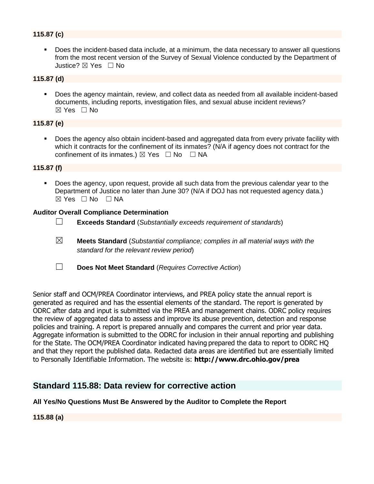# **115.87 (c)**

▪ Does the incident-based data include, at a minimum, the data necessary to answer all questions from the most recent version of the Survey of Sexual Violence conducted by the Department of Justice? ☒ Yes ☐ No

#### **115.87 (d)**

■ Does the agency maintain, review, and collect data as needed from all available incident-based documents, including reports, investigation files, and sexual abuse incident reviews? ☒ Yes ☐ No

#### **115.87 (e)**

■ Does the agency also obtain incident-based and aggregated data from every private facility with which it contracts for the confinement of its inmates? (N/A if agency does not contract for the confinement of its inmates.)  $\boxtimes$  Yes  $\Box$  No  $\Box$  NA

### **115.87 (f)**

▪ Does the agency, upon request, provide all such data from the previous calendar year to the Department of Justice no later than June 30? (N/A if DOJ has not requested agency data.) ☒ Yes ☐ No ☐ NA

#### **Auditor Overall Compliance Determination**

- ☐ **Exceeds Standard** (*Substantially exceeds requirement of standards*)
- ☒ **Meets Standard** (*Substantial compliance; complies in all material ways with the standard for the relevant review period*)
- ☐ **Does Not Meet Standard** (*Requires Corrective Action*)

Senior staff and OCM/PREA Coordinator interviews, and PREA policy state the annual report is generated as required and has the essential elements of the standard. The report is generated by ODRC after data and input is submitted via the PREA and management chains. ODRC policy requires the review of aggregated data to assess and improve its abuse prevention, detection and response policies and training. A report is prepared annually and compares the current and prior year data. Aggregate information is submitted to the ODRC for inclusion in their annual reporting and publishing for the State. The OCM/PREA Coordinator indicated having prepared the data to report to ODRC HQ and that they report the published data. Redacted data areas are identified but are essentially limited to Personally Identifiable Information. The website is: **http://www.drc.ohio.gov/prea**

# **Standard 115.88: Data review for corrective action**

### **All Yes/No Questions Must Be Answered by the Auditor to Complete the Report**

**115.88 (a)**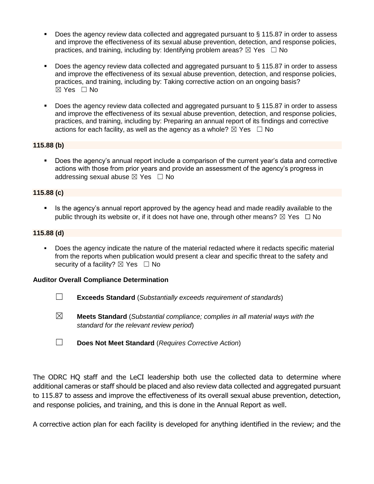- Does the agency review data collected and aggregated pursuant to  $\S$  115.87 in order to assess and improve the effectiveness of its sexual abuse prevention, detection, and response policies, practices, and training, including by: Identifying problem areas?  $\boxtimes$  Yes  $\Box$  No
- Does the agency review data collected and aggregated pursuant to § 115.87 in order to assess and improve the effectiveness of its sexual abuse prevention, detection, and response policies, practices, and training, including by: Taking corrective action on an ongoing basis? ☒ Yes ☐ No
- Does the agency review data collected and aggregated pursuant to § 115.87 in order to assess and improve the effectiveness of its sexual abuse prevention, detection, and response policies, practices, and training, including by: Preparing an annual report of its findings and corrective actions for each facility, as well as the agency as a whole?  $\boxtimes$  Yes  $\Box$  No

### **115.88 (b)**

Does the agency's annual report include a comparison of the current year's data and corrective actions with those from prior years and provide an assessment of the agency's progress in addressing sexual abuse  $\boxtimes$  Yes  $\Box$  No

# **115.88 (c)**

**EXTE:** Is the agency's annual report approved by the agency head and made readily available to the public through its website or, if it does not have one, through other means?  $\boxtimes$  Yes  $\Box$  No

### **115.88 (d)**

▪ Does the agency indicate the nature of the material redacted where it redacts specific material from the reports when publication would present a clear and specific threat to the safety and security of a facility?  $\boxtimes$  Yes  $\Box$  No

### **Auditor Overall Compliance Determination**

- ☐ **Exceeds Standard** (*Substantially exceeds requirement of standards*)
- ☒ **Meets Standard** (*Substantial compliance; complies in all material ways with the standard for the relevant review period*)
- ☐ **Does Not Meet Standard** (*Requires Corrective Action*)

The ODRC HQ staff and the LeCI leadership both use the collected data to determine where additional cameras or staff should be placed and also review data collected and aggregated pursuant to 115.87 to assess and improve the effectiveness of its overall sexual abuse prevention, detection, and response policies, and training, and this is done in the Annual Report as well.

A corrective action plan for each facility is developed for anything identified in the review; and the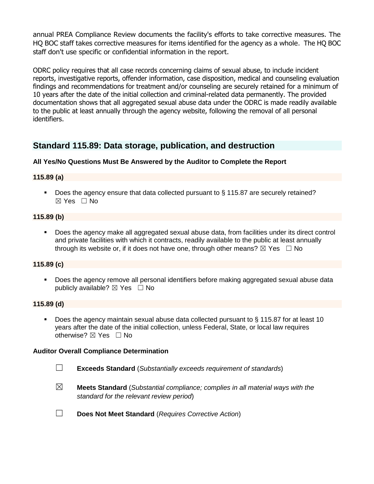annual PREA Compliance Review documents the facility's efforts to take corrective measures. The HQ BOC staff takes corrective measures for items identified for the agency as a whole. The HQ BOC staff don't use specific or confidential information in the report.

ODRC policy requires that all case records concerning claims of sexual abuse, to include incident reports, investigative reports, offender information, case disposition, medical and counseling evaluation findings and recommendations for treatment and/or counseling are securely retained for a minimum of 10 years after the date of the initial collection and criminal-related data permanently. The provided documentation shows that all aggregated sexual abuse data under the ODRC is made readily available to the public at least annually through the agency website, following the removal of all personal identifiers.

# **Standard 115.89: Data storage, publication, and destruction**

# **All Yes/No Questions Must Be Answered by the Auditor to Complete the Report**

### **115.89 (a)**

■ Does the agency ensure that data collected pursuant to § 115.87 are securely retained? ☒ Yes ☐ No

#### **115.89 (b)**

Does the agency make all aggregated sexual abuse data, from facilities under its direct control and private facilities with which it contracts, readily available to the public at least annually through its website or, if it does not have one, through other means?  $\boxtimes$  Yes  $\Box$  No

### **115.89 (c)**

**•** Does the agency remove all personal identifiers before making aggregated sexual abuse data publicly available?  $\boxtimes$  Yes  $\Box$  No

#### **115.89 (d)**

■ Does the agency maintain sexual abuse data collected pursuant to § 115.87 for at least 10 years after the date of the initial collection, unless Federal, State, or local law requires otherwise? ☒ Yes ☐ No

#### **Auditor Overall Compliance Determination**

- ☐ **Exceeds Standard** (*Substantially exceeds requirement of standards*)
- ☒ **Meets Standard** (*Substantial compliance; complies in all material ways with the standard for the relevant review period*)
- ☐ **Does Not Meet Standard** (*Requires Corrective Action*)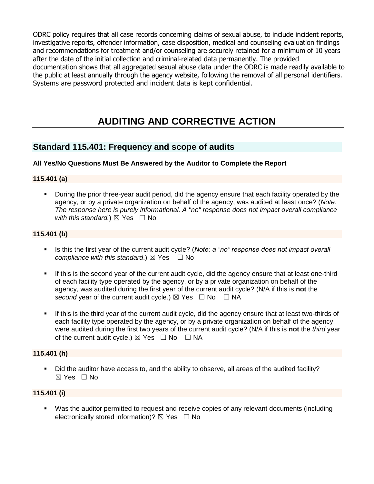ODRC policy requires that all case records concerning claims of sexual abuse, to include incident reports, investigative reports, offender information, case disposition, medical and counseling evaluation findings and recommendations for treatment and/or counseling are securely retained for a minimum of 10 years after the date of the initial collection and criminal-related data permanently. The provided documentation shows that all aggregated sexual abuse data under the ODRC is made readily available to the public at least annually through the agency website, following the removal of all personal identifiers. Systems are password protected and incident data is kept confidential.

# **AUDITING AND CORRECTIVE ACTION**

# **Standard 115.401: Frequency and scope of audits**

# **All Yes/No Questions Must Be Answered by the Auditor to Complete the Report**

#### **115.401 (a)**

▪ During the prior three-year audit period, did the agency ensure that each facility operated by the agency, or by a private organization on behalf of the agency, was audited at least once? (*Note: The response here is purely informational. A "no" response does not impact overall compliance with this standard.*)  $\boxtimes$  Yes  $\Box$  No

### **115.401 (b)**

- Is this the first year of the current audit cycle? (*Note: a "no" response does not impact overall compliance with this standard.*)  $\boxtimes$  Yes  $\Box$  No
- If this is the second year of the current audit cycle, did the agency ensure that at least one-third of each facility type operated by the agency, or by a private organization on behalf of the agency, was audited during the first year of the current audit cycle? (N/A if this is **not** the *second* year of the current audit cycle.)  $\boxtimes$  Yes  $\Box$  No  $\Box$  NA
- If this is the third year of the current audit cycle, did the agency ensure that at least two-thirds of each facility type operated by the agency, or by a private organization on behalf of the agency, were audited during the first two years of the current audit cycle? (N/A if this is **not** the *third* year of the current audit cycle.)  $\boxtimes$  Yes  $\Box$  No  $\Box$  NA

#### **115.401 (h)**

▪ Did the auditor have access to, and the ability to observe, all areas of the audited facility? ☒ Yes ☐ No

### **115.401 (i)**

■ Was the auditor permitted to request and receive copies of any relevant documents (including electronically stored information)?  $\boxtimes$  Yes  $\Box$  No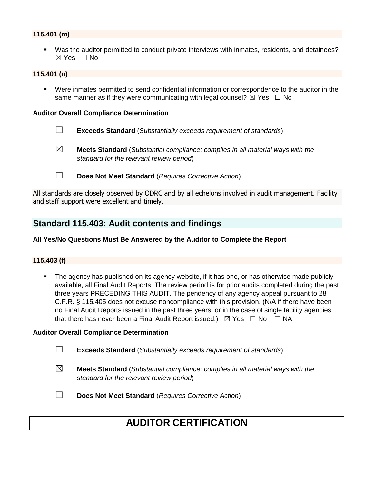### **115.401 (m)**

▪ Was the auditor permitted to conduct private interviews with inmates, residents, and detainees? ☒ Yes ☐ No

#### **115.401 (n)**

▪ Were inmates permitted to send confidential information or correspondence to the auditor in the same manner as if they were communicating with legal counsel?  $\boxtimes$  Yes  $\Box$  No

#### **Auditor Overall Compliance Determination**

- ☐ **Exceeds Standard** (*Substantially exceeds requirement of standards*)
- ☒ **Meets Standard** (*Substantial compliance; complies in all material ways with the standard for the relevant review period*)
- ☐ **Does Not Meet Standard** (*Requires Corrective Action*)

All standards are closely observed by ODRC and by all echelons involved in audit management. Facility and staff support were excellent and timely.

# **Standard 115.403: Audit contents and findings**

#### **All Yes/No Questions Must Be Answered by the Auditor to Complete the Report**

### **115.403 (f)**

The agency has published on its agency website, if it has one, or has otherwise made publicly available, all Final Audit Reports. The review period is for prior audits completed during the past three years PRECEDING THIS AUDIT. The pendency of any agency appeal pursuant to 28 C.F.R. § 115.405 does not excuse noncompliance with this provision. (N/A if there have been no Final Audit Reports issued in the past three years, or in the case of single facility agencies that there has never been a Final Audit Report issued.)  $\boxtimes$  Yes  $\Box$  No  $\Box$  NA

#### **Auditor Overall Compliance Determination**

☐ **Exceeds Standard** (*Substantially exceeds requirement of standards*)

- ☒ **Meets Standard** (*Substantial compliance; complies in all material ways with the standard for the relevant review period*)
- ☐ **Does Not Meet Standard** (*Requires Corrective Action*)

# **AUDITOR CERTIFICATION**